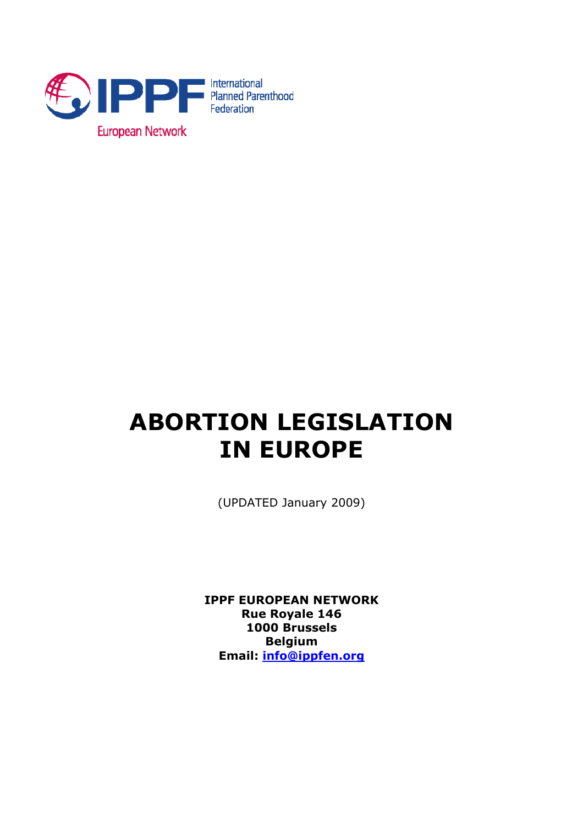

# **ABORTION LEGISLATION IN EUROPE**

(UPDATED January 2009)

**IPPF EUROPEAN NETWORK Rue Royale 146 1000 Brussels Belgium Email: info@ippfen.org**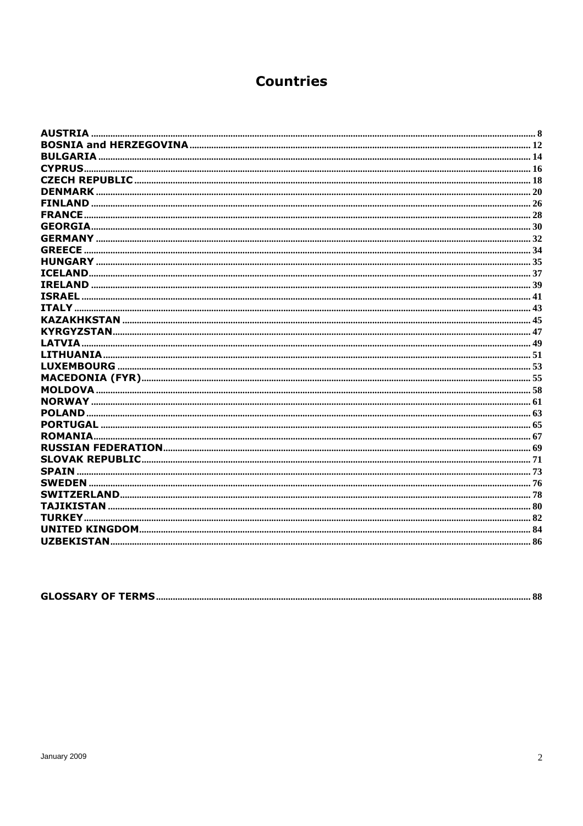# **Countries**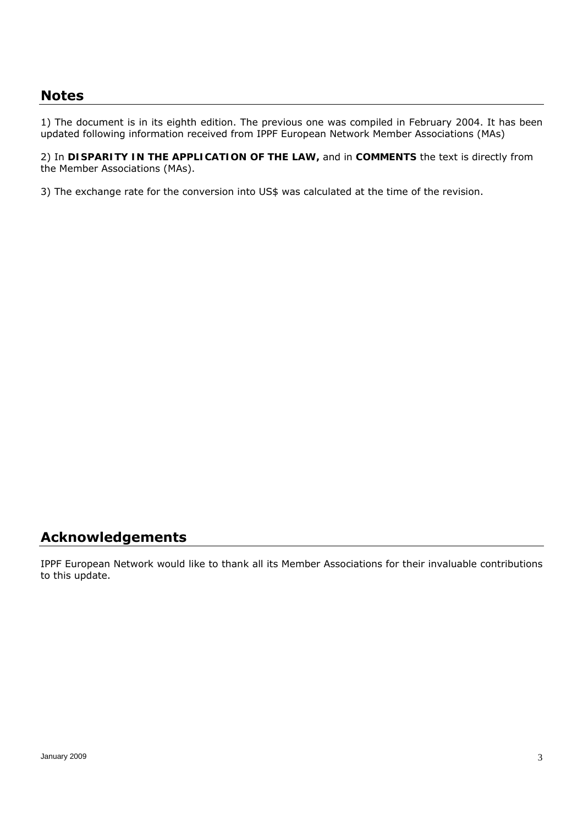# **Notes**

1) The document is in its eighth edition. The previous one was compiled in February 2004. It has been updated following information received from IPPF European Network Member Associations (MAs)

2) In *DISPARITY IN THE APPLICATION OF THE LAW,* and in *COMMENTS* the text is directly from the Member Associations (MAs).

3) The exchange rate for the conversion into US\$ was calculated at the time of the revision.

# **Acknowledgements**

IPPF European Network would like to thank all its Member Associations for their invaluable contributions to this update.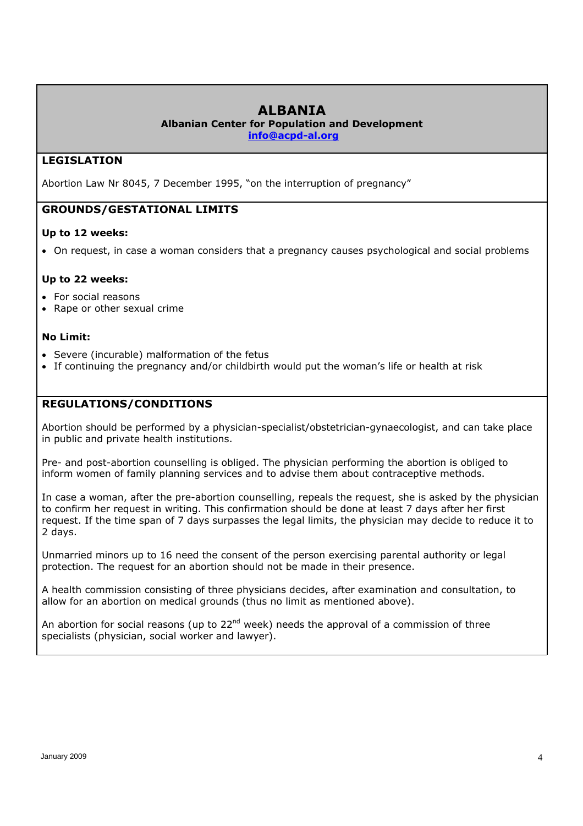# **ALBANIA**

**Albanian Center for Population and Development** 

**info@acpd-al.org**

# **LEGISLATION**

Abortion Law Nr 8045, 7 December 1995, "on the interruption of pregnancy"

# **GROUNDS/GESTATIONAL LIMITS**

#### **Up to 12 weeks:**

On request, in case a woman considers that a pregnancy causes psychological and social problems

#### **Up to 22 weeks:**

- For social reasons
- Rape or other sexual crime

#### **No Limit:**

- Severe (incurable) malformation of the fetus
- If continuing the pregnancy and/or childbirth would put the woman's life or health at risk

# **REGULATIONS/CONDITIONS**

Abortion should be performed by a physician-specialist/obstetrician-gynaecologist, and can take place in public and private health institutions.

Pre- and post-abortion counselling is obliged. The physician performing the abortion is obliged to inform women of family planning services and to advise them about contraceptive methods.

In case a woman, after the pre-abortion counselling, repeals the request, she is asked by the physician to confirm her request in writing. This confirmation should be done at least 7 days after her first request. If the time span of 7 days surpasses the legal limits, the physician may decide to reduce it to 2 days.

Unmarried minors up to 16 need the consent of the person exercising parental authority or legal protection. The request for an abortion should not be made in their presence.

A health commission consisting of three physicians decides, after examination and consultation, to allow for an abortion on medical grounds (thus no limit as mentioned above).

An abortion for social reasons (up to  $22^{nd}$  week) needs the approval of a commission of three specialists (physician, social worker and lawyer).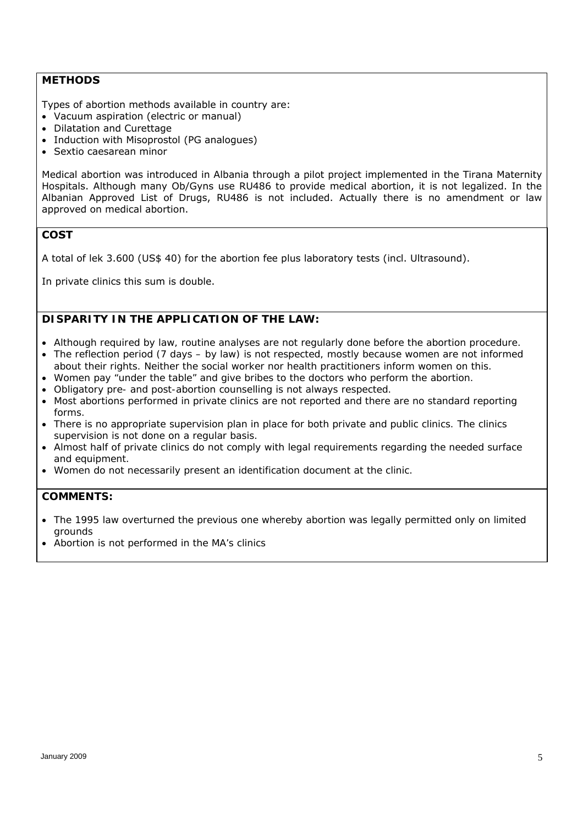#### **METHODS**

Types of abortion methods available in country are:

- Vacuum aspiration (electric or manual)
- Dilatation and Curettage
- Induction with Misoprostol (PG analogues)
- Sextio caesarean minor

Medical abortion was introduced in Albania through a pilot project implemented in the Tirana Maternity Hospitals. Although many Ob/Gyns use RU486 to provide medical abortion, it is not legalized. In the Albanian Approved List of Drugs, RU486 is not included. Actually there is no amendment or law approved on medical abortion.

#### **COST**

A total of lek 3.600 (US\$ 40) for the abortion fee plus laboratory tests (incl. Ultrasound).

In private clinics this sum is double.

# *DISPARITY IN THE APPLICATION OF THE LAW:*

- *Although required by law, routine analyses are not regularly done before the abortion procedure.*
- *The reflection period (7 days by law) is not respected, mostly because women are not informed about their rights. Neither the social worker nor health practitioners inform women on this.*
- *Women pay "under the table" and give bribes to the doctors who perform the abortion.*
- *Obligatory pre- and post-abortion counselling is not always respected.*
- *Most abortions performed in private clinics are not reported and there are no standard reporting forms.*
- *There is no appropriate supervision plan in place for both private and public clinics. The clinics supervision is not done on a regular basis.*
- *Almost half of private clinics do not comply with legal requirements regarding the needed surface and equipment.*
- *Women do not necessarily present an identification document at the clinic.*

- *The 1995 law overturned the previous one whereby abortion was legally permitted only on limited grounds*
- *Abortion is not performed in the MA's clinics*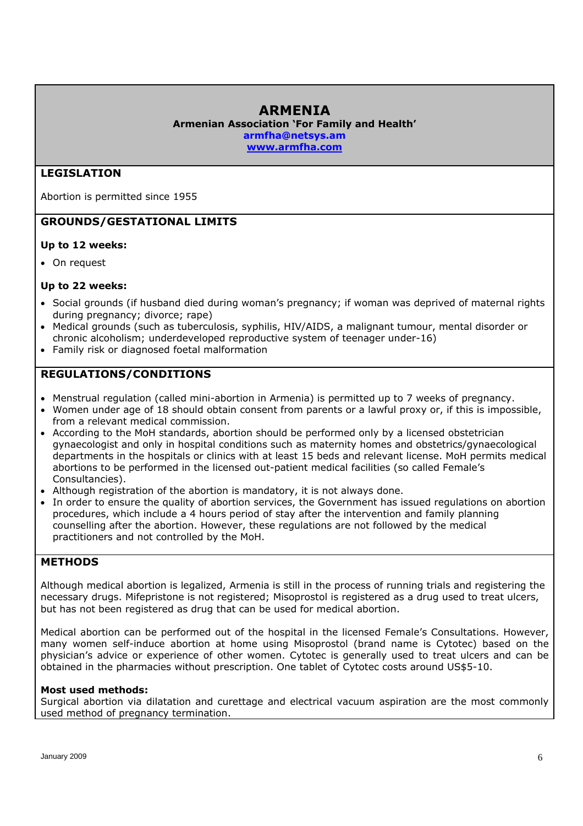# **ARMENIA**

**Armenian Association 'For Family and Health' armfha@netsys.am** 

**www.armfha.com** 

# **LEGISLATION**

Abortion is permitted since 1955

# **GROUNDS/GESTATIONAL LIMITS**

#### **Up to 12 weeks:**

• On request

#### **Up to 22 weeks:**

- Social grounds (if husband died during woman's pregnancy; if woman was deprived of maternal rights during pregnancy; divorce; rape)
- Medical grounds (such as tuberculosis, syphilis, HIV/AIDS, a malignant tumour, mental disorder or chronic alcoholism; underdeveloped reproductive system of teenager under-16)
- Family risk or diagnosed foetal malformation

# **REGULATIONS/CONDITIONS**

- Menstrual regulation (called mini-abortion in Armenia) is permitted up to 7 weeks of pregnancy.
- Women under age of 18 should obtain consent from parents or a lawful proxy or, if this is impossible, from a relevant medical commission.
- According to the MoH standards, abortion should be performed only by a licensed obstetrician gynaecologist and only in hospital conditions such as maternity homes and obstetrics/gynaecological departments in the hospitals or clinics with at least 15 beds and relevant license. MoH permits medical abortions to be performed in the licensed out-patient medical facilities (so called Female's Consultancies).
- Although registration of the abortion is mandatory, it is not always done.
- In order to ensure the quality of abortion services, the Government has issued regulations on abortion procedures, which include a 4 hours period of stay after the intervention and family planning counselling after the abortion. However, these regulations are not followed by the medical practitioners and not controlled by the MoH.

#### **METHODS**

Although medical abortion is legalized, Armenia is still in the process of running trials and registering the necessary drugs. Mifepristone is not registered; Misoprostol is registered as a drug used to treat ulcers, but has not been registered as drug that can be used for medical abortion.

Medical abortion can be performed out of the hospital in the licensed Female's Consultations. However, many women self-induce abortion at home using Misoprostol (brand name is Cytotec) based on the physician's advice or experience of other women. Cytotec is generally used to treat ulcers and can be obtained in the pharmacies without prescription. One tablet of Cytotec costs around US\$5-10.

#### **Most used methods:**

Surgical abortion via dilatation and curettage and electrical vacuum aspiration are the most commonly used method of pregnancy termination.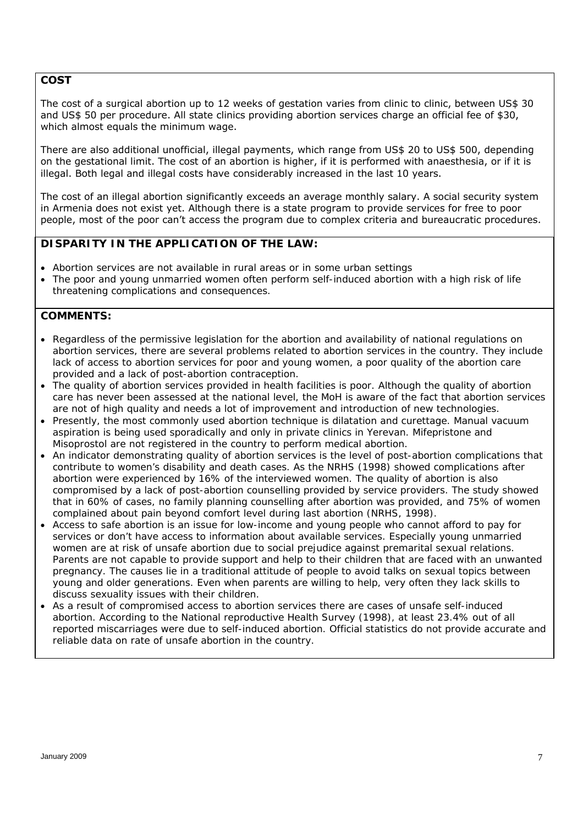#### **COST**

The cost of a surgical abortion up to 12 weeks of gestation varies from clinic to clinic, between US\$ 30 and US\$ 50 per procedure. All state clinics providing abortion services charge an official fee of \$30, which almost equals the minimum wage.

There are also additional unofficial, illegal payments, which range from US\$ 20 to US\$ 500, depending on the gestational limit. The cost of an abortion is higher, if it is performed with anaesthesia, or if it is illegal. Both legal and illegal costs have considerably increased in the last 10 years.

The cost of an illegal abortion significantly exceeds an average monthly salary. A social security system in Armenia does not exist yet. Although there is a state program to provide services for free to poor people, most of the poor can't access the program due to complex criteria and bureaucratic procedures.

#### *DISPARITY IN THE APPLICATION OF THE LAW:*

- *Abortion services are not available in rural areas or in some urban settings*
- The poor and young unmarried women often perform self-induced abortion with a high risk of life *threatening complications and consequences.*

- *Regardless of the permissive legislation for the abortion and availability of national regulations on abortion services, there are several problems related to abortion services in the country. They include lack of access to abortion services for poor and young women, a poor quality of the abortion care provided and a lack of post-abortion contraception.*
- The quality of abortion services provided in health facilities is poor. Although the quality of abortion *care has never been assessed at the national level, the MoH is aware of the fact that abortion services are not of high quality and needs a lot of improvement and introduction of new technologies.*
- *Presently, the most commonly used abortion technique is dilatation and curettage. Manual vacuum aspiration is being used sporadically and only in private clinics in Yerevan. Mifepristone and Misoprostol are not registered in the country to perform medical abortion.*
- *An indicator demonstrating quality of abortion services is the level of post-abortion complications that contribute to women's disability and death cases. As the NRHS (1998) showed complications after abortion were experienced by 16% of the interviewed women. The quality of abortion is also compromised by a lack of post-abortion counselling provided by service providers. The study showed that in 60% of cases, no family planning counselling after abortion was provided, and 75% of women complained about pain beyond comfort level during last abortion (NRHS, 1998).*
- *Access to safe abortion is an issue for low-income and young people who cannot afford to pay for services or don't have access to information about available services. Especially young unmarried women are at risk of unsafe abortion due to social prejudice against premarital sexual relations. Parents are not capable to provide support and help to their children that are faced with an unwanted pregnancy. The causes lie in a traditional attitude of people to avoid talks on sexual topics between young and older generations. Even when parents are willing to help, very often they lack skills to discuss sexuality issues with their children.*
- *As a result of compromised access to abortion services there are cases of unsafe self-induced abortion. According to the National reproductive Health Survey (1998), at least 23.4% out of all reported miscarriages were due to self-induced abortion. Official statistics do not provide accurate and reliable data on rate of unsafe abortion in the country.*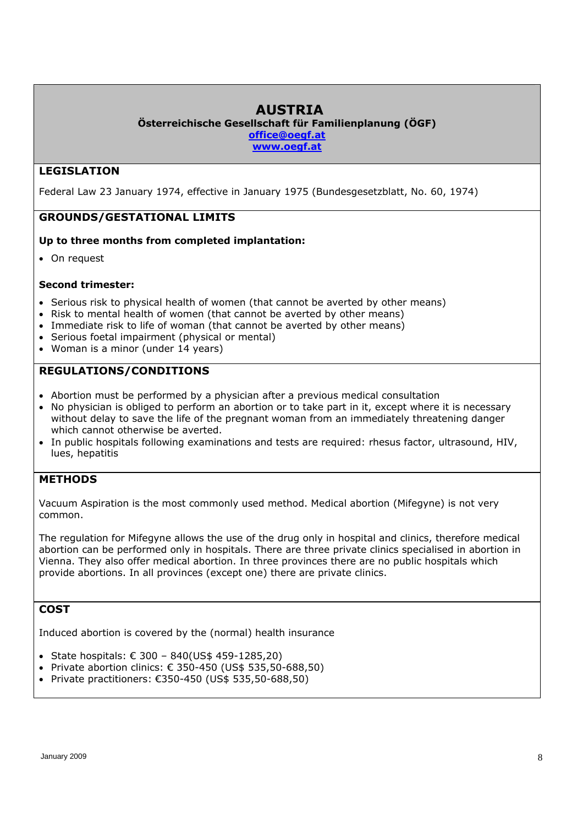# **AUSTRIA**

**Österreichische Gesellschaft für Familienplanung (ÖGF)** 

**office@oegf.at** 

**www.oegf.at**

# **LEGISLATION**

Federal Law 23 January 1974, effective in January 1975 (Bundesgesetzblatt, No. 60, 1974)

# **GROUNDS/GESTATIONAL LIMITS**

#### **Up to three months from completed implantation:**

On request

#### **Second trimester:**

- Serious risk to physical health of women (that cannot be averted by other means)
- Risk to mental health of women (that cannot be averted by other means)
- Immediate risk to life of woman (that cannot be averted by other means)
- Serious foetal impairment (physical or mental)
- Woman is a minor (under 14 years)

# **REGULATIONS/CONDITIONS**

- Abortion must be performed by a physician after a previous medical consultation
- No physician is obliged to perform an abortion or to take part in it, except where it is necessary without delay to save the life of the pregnant woman from an immediately threatening danger which cannot otherwise be averted.
- In public hospitals following examinations and tests are required: rhesus factor, ultrasound, HIV, lues, hepatitis

# **METHODS**

Vacuum Aspiration is the most commonly used method. Medical abortion (Mifegyne) is not very common.

The regulation for Mifegyne allows the use of the drug only in hospital and clinics, therefore medical abortion can be performed only in hospitals. There are three private clinics specialised in abortion in Vienna. They also offer medical abortion. In three provinces there are no public hospitals which provide abortions. In all provinces (except one) there are private clinics.

# **COST**

Induced abortion is covered by the (normal) health insurance

- State hospitals:  $€ 300 840(US$ 459-1285,20)$
- Private abortion clinics:  $€ 350-450$  (US\$ 535,50-688,50)
- Private practitioners:  $€350-450$  (US\$ 535,50-688,50)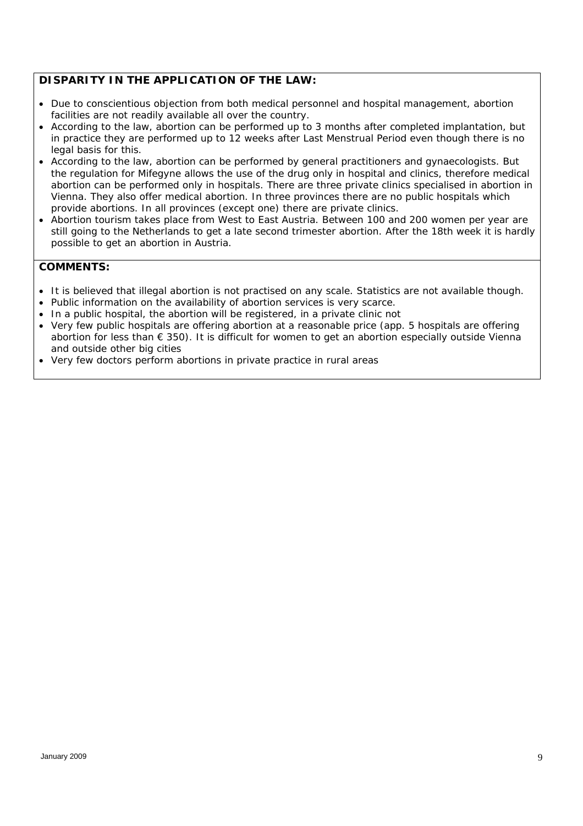# *DISPARITY IN THE APPLICATION OF THE LAW:*

- *Due to conscientious objection from both medical personnel and hospital management, abortion facilities are not readily available all over the country.*
- *According to the law, abortion can be performed up to 3 months after completed implantation, but in practice they are performed up to 12 weeks after Last Menstrual Period even though there is no legal basis for this.*
- *According to the law, abortion can be performed by general practitioners and gynaecologists. But the regulation for Mifegyne allows the use of the drug only in hospital and clinics, therefore medical abortion can be performed only in hospitals. There are three private clinics specialised in abortion in Vienna. They also offer medical abortion. In three provinces there are no public hospitals which provide abortions. In all provinces (except one) there are private clinics.*
- *Abortion tourism takes place from West to East Austria. Between 100 and 200 women per year are still going to the Netherlands to get a late second trimester abortion. After the 18th week it is hardly possible to get an abortion in Austria.*

- *It is believed that illegal abortion is not practised on any scale. Statistics are not available though.*
- *Public information on the availability of abortion services is very scarce.*
- In a public hospital, the abortion will be registered, in a private clinic not
- Very few public hospitals are offering abortion at a reasonable price (app. 5 hospitals are offering *abortion for less than € 350). It is difficult for women to get an abortion especially outside Vienna and outside other big cities*
- *Very few doctors perform abortions in private practice in rural areas*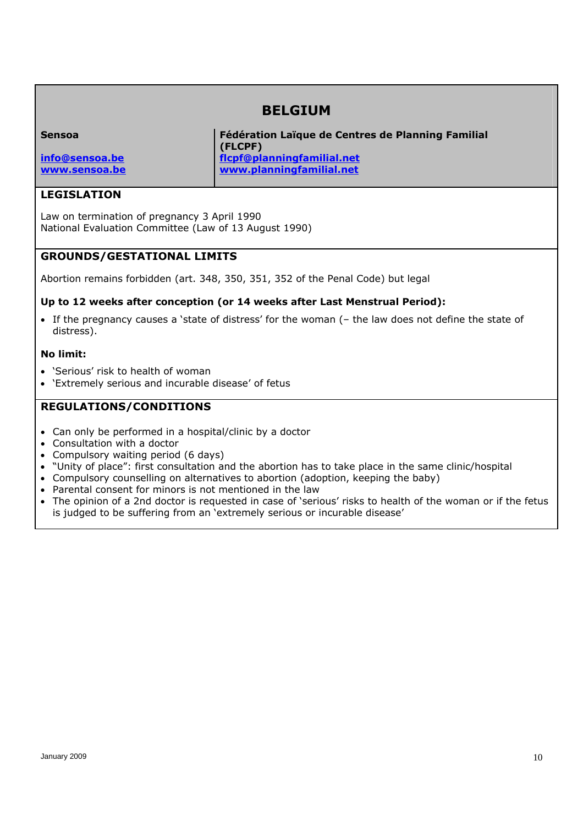# **BELGIUM**

| <b>Sensoa</b>  | Fédération Laïque de Centres de Planning Familial |  |
|----------------|---------------------------------------------------|--|
|                | (FLCPF)                                           |  |
| info@sensoa.be | flcpf@planningfamilial.net                        |  |
| www.sensoa.be  | www.planningfamilial.net                          |  |

#### **LEGISLATION**

Law on termination of pregnancy 3 April 1990 National Evaluation Committee (Law of 13 August 1990)

#### **GROUNDS/GESTATIONAL LIMITS**

Abortion remains forbidden (art. 348, 350, 351, 352 of the Penal Code) but legal

#### **Up to 12 weeks after conception (or 14 weeks after Last Menstrual Period):**

 If the pregnancy causes a 'state of distress' for the woman (– the law does not define the state of distress).

#### **No limit:**

- 'Serious' risk to health of woman
- 'Extremely serious and incurable disease' of fetus

#### **REGULATIONS/CONDITIONS**

- Can only be performed in a hospital/clinic by a doctor
- Consultation with a doctor
- Compulsory waiting period (6 days)
- "Unity of place": first consultation and the abortion has to take place in the same clinic/hospital
- Compulsory counselling on alternatives to abortion (adoption, keeping the baby)
- Parental consent for minors is not mentioned in the law
- The opinion of a 2nd doctor is requested in case of 'serious' risks to health of the woman or if the fetus is judged to be suffering from an 'extremely serious or incurable disease'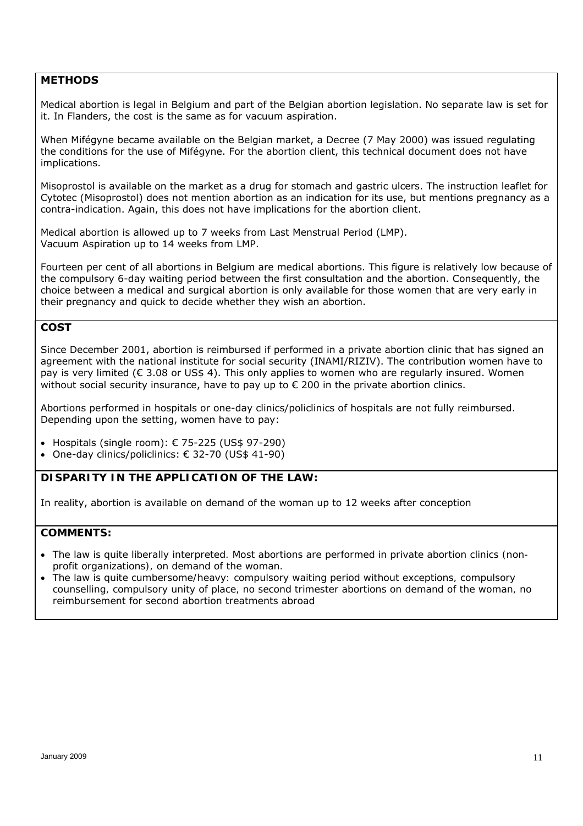#### **METHODS**

Medical abortion is legal in Belgium and part of the Belgian abortion legislation. No separate law is set for it. In Flanders, the cost is the same as for vacuum aspiration.

When Mifégyne became available on the Belgian market, a Decree (7 May 2000) was issued regulating the conditions for the use of Mifégyne. For the abortion client, this technical document does not have implications.

Misoprostol is available on the market as a drug for stomach and gastric ulcers. The instruction leaflet for Cytotec (Misoprostol) does not mention abortion as an indication for its use, but mentions pregnancy as a contra-indication. Again, this does not have implications for the abortion client.

Medical abortion is allowed up to 7 weeks from Last Menstrual Period (LMP). Vacuum Aspiration up to 14 weeks from LMP.

Fourteen per cent of all abortions in Belgium are medical abortions. This figure is relatively low because of the compulsory 6-day waiting period between the first consultation and the abortion. Consequently, the choice between a medical and surgical abortion is only available for those women that are very early in their pregnancy and quick to decide whether they wish an abortion.

# **COST**

Since December 2001, abortion is reimbursed if performed in a private abortion clinic that has signed an agreement with the national institute for social security (INAMI/RIZIV). The contribution women have to pay is very limited (€ 3.08 or US\$ 4). This only applies to women who are regularly insured. Women without social security insurance, have to pay up to  $\epsilon$  200 in the private abortion clinics.

Abortions performed in hospitals or one-day clinics/policlinics of hospitals are not fully reimbursed. Depending upon the setting, women have to pay:

- $\bullet$  Hospitals (single room): € 75-225 (US\$ 97-290)
- One-day clinics/policlinics:  $\epsilon$  32-70 (US\$ 41-90)

#### *DISPARITY IN THE APPLICATION OF THE LAW:*

In reality, abortion is available on demand of the woman up to 12 weeks after conception

- *The law is quite liberally interpreted. Most abortions are performed in private abortion clinics (nonprofit organizations), on demand of the woman.*
- *The law is quite cumbersome/heavy: compulsory waiting period without exceptions, compulsory counselling, compulsory unity of place, no second trimester abortions on demand of the woman, no reimbursement for second abortion treatments abroad*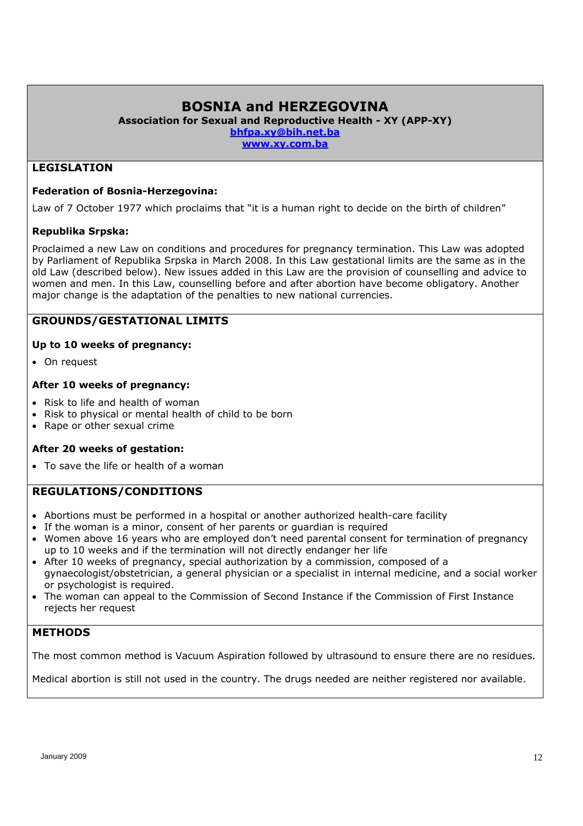# **BOSNIA and HERZEGOVINA**

**Association for Sexual and Reproductive Health - XY (APP-XY)** 

**bhfpa.xy@bih.net.ba** 

**www.xy.com.ba** 

### **LEGISLATION**

#### **Federation of Bosnia-Herzegovina:**

Law of 7 October 1977 which proclaims that "it is a human right to decide on the birth of children"

#### **Republika Srpska:**

Proclaimed a new Law on conditions and procedures for pregnancy termination. This Law was adopted by Parliament of Republika Srpska in March 2008. In this Law gestational limits are the same as in the old Law (described below). New issues added in this Law are the provision of counselling and advice to women and men. In this Law, counselling before and after abortion have become obligatory. Another major change is the adaptation of the penalties to new national currencies.

# **GROUNDS/GESTATIONAL LIMITS**

#### **Up to 10 weeks of pregnancy:**

On request

#### **After 10 weeks of pregnancy:**

- Risk to life and health of woman
- Risk to physical or mental health of child to be born
- Rape or other sexual crime

#### **After 20 weeks of gestation:**

To save the life or health of a woman

#### **REGULATIONS/CONDITIONS**

- Abortions must be performed in a hospital or another authorized health-care facility
- If the woman is a minor, consent of her parents or guardian is required
- Women above 16 years who are employed don't need parental consent for termination of pregnancy up to 10 weeks and if the termination will not directly endanger her life
- After 10 weeks of pregnancy, special authorization by a commission, composed of a gynaecologist/obstetrician, a general physician or a specialist in internal medicine, and a social worker or psychologist is required.
- The woman can appeal to the Commission of Second Instance if the Commission of First Instance rejects her request

#### **METHODS**

The most common method is Vacuum Aspiration followed by ultrasound to ensure there are no residues.

Medical abortion is still not used in the country. The drugs needed are neither registered nor available.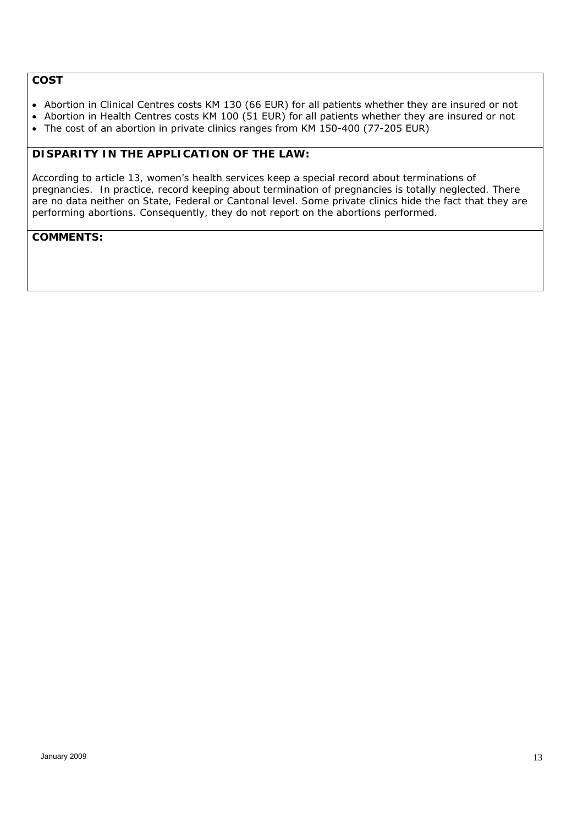# **COST**

- Abortion in Clinical Centres costs KM 130 (66 EUR) for all patients whether they are insured or not
- Abortion in Health Centres costs KM 100 (51 EUR) for all patients whether they are insured or not
- The cost of an abortion in private clinics ranges from KM 150-400 (77-205 EUR)

### *DISPARITY IN THE APPLICATION OF THE LAW:*

*According to article 13, women's health services keep a special record about terminations of pregnancies. In practice, record keeping about termination of pregnancies is totally neglected. There are no data neither on State, Federal or Cantonal level. Some private clinics hide the fact that they are performing abortions. Consequently, they do not report on the abortions performed.*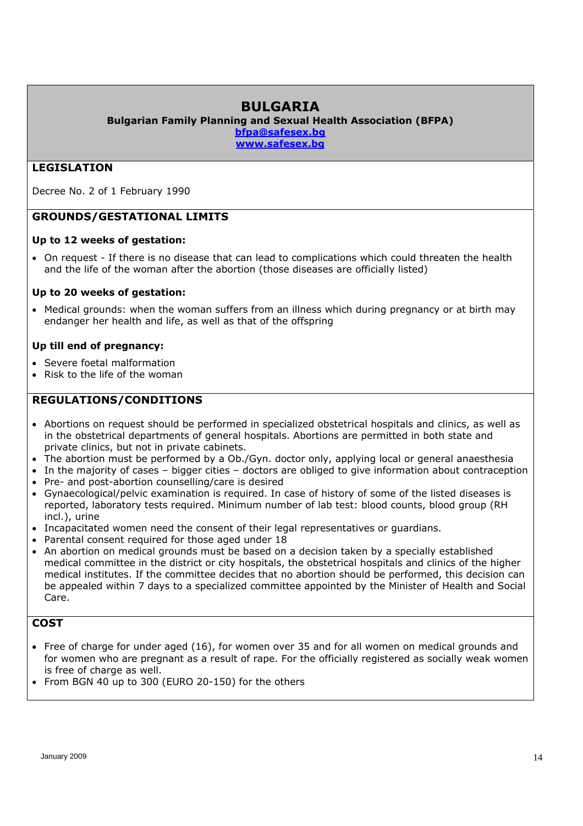# **BULGARIA**

**Bulgarian Family Planning and Sexual Health Association (BFPA)** 

**bfpa@safesex.bg** 

**www.safesex.bg**

# **LEGISLATION**

Decree No. 2 of 1 February 1990

# **GROUNDS/GESTATIONAL LIMITS**

#### **Up to 12 weeks of gestation:**

 On request - If there is no disease that can lead to complications which could threaten the health and the life of the woman after the abortion (those diseases are officially listed)

#### **Up to 20 weeks of gestation:**

• Medical grounds: when the woman suffers from an illness which during pregnancy or at birth may endanger her health and life, as well as that of the offspring

#### **Up till end of pregnancy:**

- Severe foetal malformation
- Risk to the life of the woman

# **REGULATIONS/CONDITIONS**

- Abortions on request should be performed in specialized obstetrical hospitals and clinics, as well as in the obstetrical departments of general hospitals. Abortions are permitted in both state and private clinics, but not in private cabinets.
- The abortion must be performed by a Ob./Gyn. doctor only, applying local or general anaesthesia
- In the majority of cases bigger cities doctors are obliged to give information about contraception
- Pre- and post-abortion counselling/care is desired
- Gynaecological/pelvic examination is required. In case of history of some of the listed diseases is reported, laboratory tests required. Minimum number of lab test: blood counts, blood group (RH incl.), urine
- Incapacitated women need the consent of their legal representatives or guardians.
- Parental consent required for those aged under 18
- An abortion on medical grounds must be based on a decision taken by a specially established medical committee in the district or city hospitals, the obstetrical hospitals and clinics of the higher medical institutes. If the committee decides that no abortion should be performed, this decision can be appealed within 7 days to a specialized committee appointed by the Minister of Health and Social Care.

#### **COST**

- Free of charge for under aged (16), for women over 35 and for all women on medical grounds and for women who are pregnant as a result of rape. For the officially registered as socially weak women is free of charge as well.
- From BGN 40 up to 300 (EURO 20-150) for the others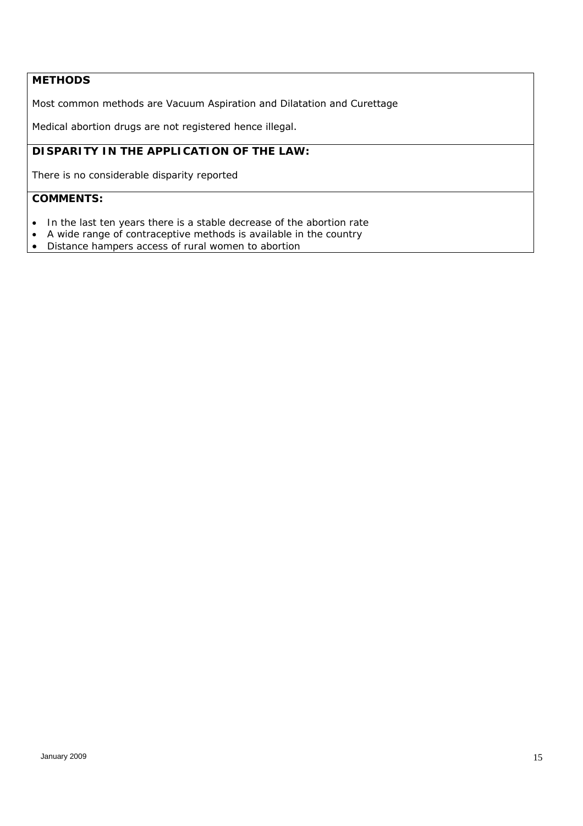# **METHODS**

Most common methods are Vacuum Aspiration and Dilatation and Curettage

Medical abortion drugs are not registered hence illegal.

# *DISPARITY IN THE APPLICATION OF THE LAW:*

*There is no considerable disparity reported* 

- *In the last ten years there is a stable decrease of the abortion rate*
- *A wide range of contraceptive methods is available in the country*
- *Distance hampers access of rural women to abortion*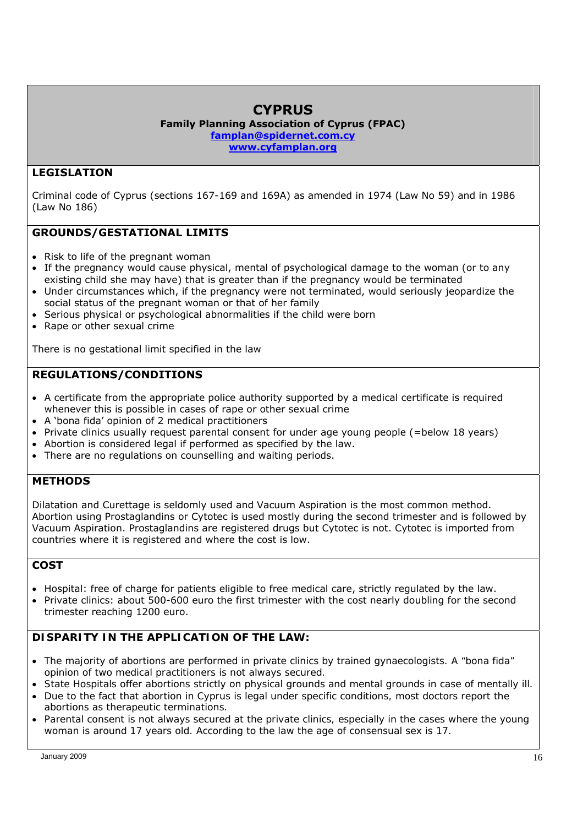# **CYPRUS**

**Family Planning Association of Cyprus (FPAC) famplan@spidernet.com.cy www.cyfamplan.org** 

# **LEGISLATION**

Criminal code of Cyprus (sections 167-169 and 169A) as amended in 1974 (Law No 59) and in 1986 (Law No 186)

# **GROUNDS/GESTATIONAL LIMITS**

- Risk to life of the pregnant woman
- If the pregnancy would cause physical, mental of psychological damage to the woman (or to any existing child she may have) that is greater than if the pregnancy would be terminated
- Under circumstances which, if the pregnancy were not terminated, would seriously jeopardize the social status of the pregnant woman or that of her family
- Serious physical or psychological abnormalities if the child were born
- Rape or other sexual crime

There is no gestational limit specified in the law

# **REGULATIONS/CONDITIONS**

- A certificate from the appropriate police authority supported by a medical certificate is required whenever this is possible in cases of rape or other sexual crime
- A 'bona fida' opinion of 2 medical practitioners
- Private clinics usually request parental consent for under age young people (=below 18 years)
- Abortion is considered legal if performed as specified by the law.
- There are no regulations on counselling and waiting periods.

#### **METHODS**

Dilatation and Curettage is seldomly used and Vacuum Aspiration is the most common method. Abortion using Prostaglandins or Cytotec is used mostly during the second trimester and is followed by Vacuum Aspiration. Prostaglandins are registered drugs but Cytotec is not. Cytotec is imported from countries where it is registered and where the cost is low.

# **COST**

- Hospital: free of charge for patients eligible to free medical care, strictly regulated by the law.
- Private clinics: about 500-600 euro the first trimester with the cost nearly doubling for the second trimester reaching 1200 euro.

# *DISPARITY IN THE APPLICATION OF THE LAW:*

- *The majority of abortions are performed in private clinics by trained gynaecologists. A "bona fida" opinion of two medical practitioners is not always secured.*
- *State Hospitals offer abortions strictly on physical grounds and mental grounds in case of mentally ill.*  • Due to the fact that abortion in Cyprus is legal under specific conditions, most doctors report the
- *abortions as therapeutic terminations.*
- *Parental consent is not always secured at the private clinics, especially in the cases where the young woman is around 17 years old. According to the law the age of consensual sex is 17.*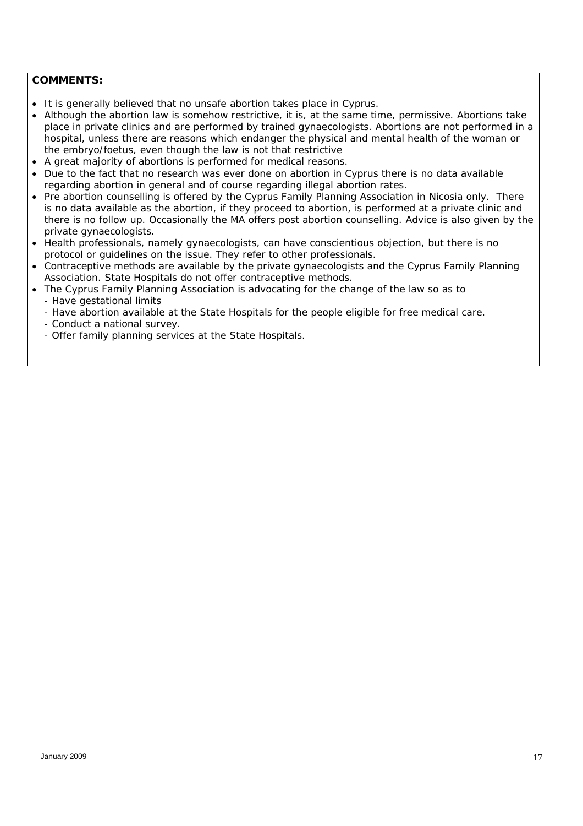- *It is generally believed that no unsafe abortion takes place in Cyprus.*
- *Although the abortion law is somehow restrictive, it is, at the same time, permissive. Abortions take place in private clinics and are performed by trained gynaecologists. Abortions are not performed in a hospital, unless there are reasons which endanger the physical and mental health of the woman or the embryo/foetus, even though the law is not that restrictive*
- *A great majority of abortions is performed for medical reasons.*
- *Due to the fact that no research was ever done on abortion in Cyprus there is no data available regarding abortion in general and of course regarding illegal abortion rates.*
- *Pre abortion counselling is offered by the Cyprus Family Planning Association in Nicosia only. There is no data available as the abortion, if they proceed to abortion, is performed at a private clinic and there is no follow up. Occasionally the MA offers post abortion counselling. Advice is also given by the private gynaecologists.*
- *Health professionals, namely gynaecologists, can have conscientious objection, but there is no protocol or guidelines on the issue. They refer to other professionals.*
- *Contraceptive methods are available by the private gynaecologists and the Cyprus Family Planning Association. State Hospitals do not offer contraceptive methods.*
- *The Cyprus Family Planning Association is advocating for the change of the law so as to - Have gestational limits* 
	- *Have abortion available at the State Hospitals for the people eligible for free medical care.*
	- *Conduct a national survey.*
	- *Offer family planning services at the State Hospitals.*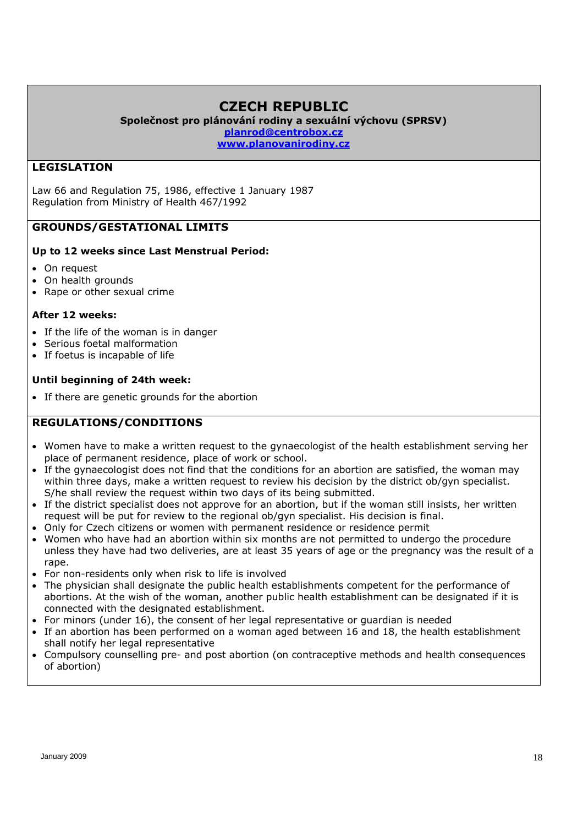# **CZECH REPUBLIC**

**Společnost pro plánování rodiny a sexuální výchovu (SPRSV) planrod@centrobox.cz**

**www.planovanirodiny.cz** 

# **LEGISLATION**

Law 66 and Regulation 75, 1986, effective 1 January 1987 Regulation from Ministry of Health 467/1992

# **GROUNDS/GESTATIONAL LIMITS**

#### **Up to 12 weeks since Last Menstrual Period:**

- On request
- On health grounds
- Rape or other sexual crime

#### **After 12 weeks:**

- If the life of the woman is in danger
- Serious foetal malformation
- If foetus is incapable of life

#### **Until beginning of 24th week:**

• If there are genetic grounds for the abortion

#### **REGULATIONS/CONDITIONS**

- Women have to make a written request to the gynaecologist of the health establishment serving her place of permanent residence, place of work or school.
- If the gynaecologist does not find that the conditions for an abortion are satisfied, the woman may within three days, make a written request to review his decision by the district ob/gyn specialist. S/he shall review the request within two days of its being submitted.
- If the district specialist does not approve for an abortion, but if the woman still insists, her written request will be put for review to the regional ob/gyn specialist. His decision is final.
- Only for Czech citizens or women with permanent residence or residence permit
- Women who have had an abortion within six months are not permitted to undergo the procedure unless they have had two deliveries, are at least 35 years of age or the pregnancy was the result of a rape.
- For non-residents only when risk to life is involved
- The physician shall designate the public health establishments competent for the performance of abortions. At the wish of the woman, another public health establishment can be designated if it is connected with the designated establishment.
- For minors (under 16), the consent of her legal representative or guardian is needed
- If an abortion has been performed on a woman aged between 16 and 18, the health establishment shall notify her legal representative
- Compulsory counselling pre- and post abortion (on contraceptive methods and health consequences of abortion)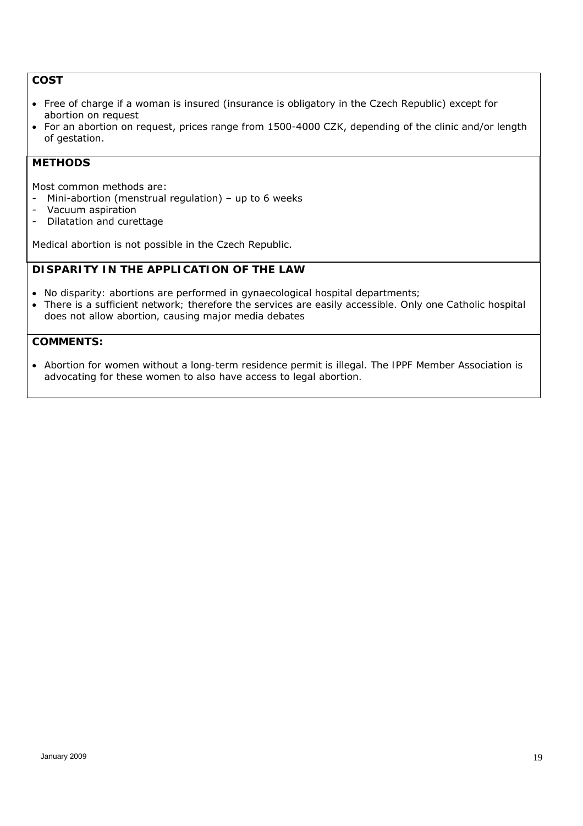#### **COST**

- Free of charge if a woman is insured (insurance is obligatory in the Czech Republic) except for abortion on request
- For an abortion on request, prices range from 1500-4000 CZK, depending of the clinic and/or length of gestation.

#### **METHODS**

Most common methods are:

- Mini-abortion (menstrual regulation) up to 6 weeks
- Vacuum aspiration
- Dilatation and curettage

Medical abortion is not possible in the Czech Republic.

# *DISPARITY IN THE APPLICATION OF THE LAW*

- *No disparity: abortions are performed in gynaecological hospital departments;*
- *There is a sufficient network; therefore the services are easily accessible. Only one Catholic hospital does not allow abortion, causing major media debates*

# *COMMENTS:*

 *Abortion for women without a long-term residence permit is illegal. The IPPF Member Association is advocating for these women to also have access to legal abortion.*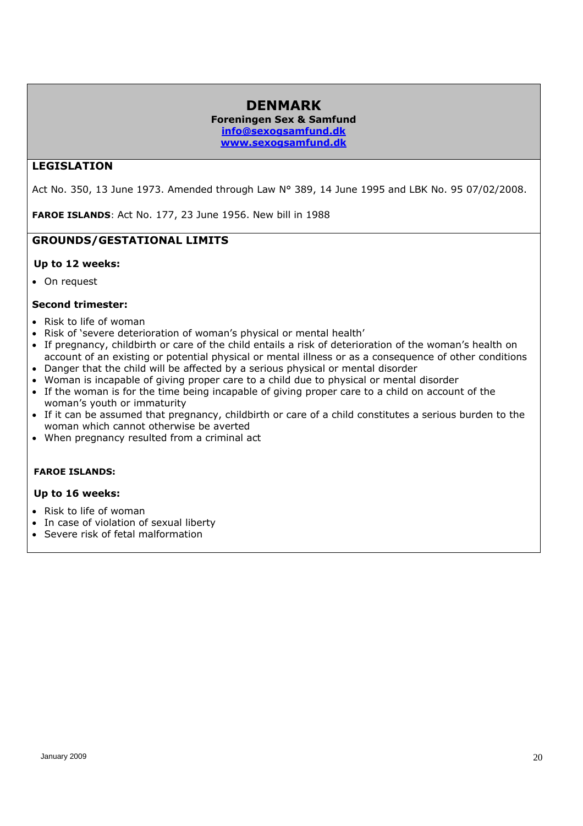#### **DENMARK Foreningen Sex & Samfund info@sexogsamfund.dk**

**www.sexogsamfund.dk**

### **LEGISLATION**

Act No. 350, 13 June 1973. Amended through Law N° 389, 14 June 1995 and LBK No. 95 07/02/2008.

**FAROE ISLANDS**: Act No. 177, 23 June 1956. New bill in 1988

#### **GROUNDS/GESTATIONAL LIMITS**

#### **Up to 12 weeks:**

• On request

#### **Second trimester:**

- Risk to life of woman
- Risk of 'severe deterioration of woman's physical or mental health'
- If pregnancy, childbirth or care of the child entails a risk of deterioration of the woman's health on account of an existing or potential physical or mental illness or as a consequence of other conditions
- Danger that the child will be affected by a serious physical or mental disorder
- Woman is incapable of giving proper care to a child due to physical or mental disorder
- If the woman is for the time being incapable of giving proper care to a child on account of the woman's youth or immaturity
- If it can be assumed that pregnancy, childbirth or care of a child constitutes a serious burden to the woman which cannot otherwise be averted
- When pregnancy resulted from a criminal act

#### **FAROE ISLANDS:**

#### **Up to 16 weeks:**

- Risk to life of woman
- In case of violation of sexual liberty
- Severe risk of fetal malformation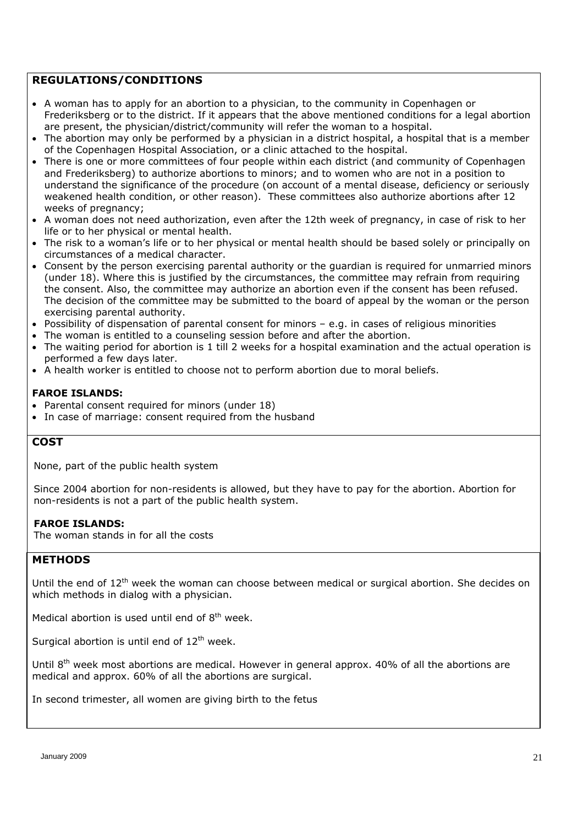#### **REGULATIONS/CONDITIONS**

- A woman has to apply for an abortion to a physician, to the community in Copenhagen or Frederiksberg or to the district. If it appears that the above mentioned conditions for a legal abortion are present, the physician/district/community will refer the woman to a hospital.
- The abortion may only be performed by a physician in a district hospital, a hospital that is a member of the Copenhagen Hospital Association, or a clinic attached to the hospital.
- There is one or more committees of four people within each district (and community of Copenhagen and Frederiksberg) to authorize abortions to minors; and to women who are not in a position to understand the significance of the procedure (on account of a mental disease, deficiency or seriously weakened health condition, or other reason). These committees also authorize abortions after 12 weeks of pregnancy;
- A woman does not need authorization, even after the 12th week of pregnancy, in case of risk to her life or to her physical or mental health.
- The risk to a woman's life or to her physical or mental health should be based solely or principally on circumstances of a medical character.
- Consent by the person exercising parental authority or the guardian is required for unmarried minors (under 18). Where this is justified by the circumstances, the committee may refrain from requiring the consent. Also, the committee may authorize an abortion even if the consent has been refused. The decision of the committee may be submitted to the board of appeal by the woman or the person exercising parental authority.
- Possibility of dispensation of parental consent for minors e.g. in cases of religious minorities
- The woman is entitled to a counseling session before and after the abortion.
- The waiting period for abortion is 1 till 2 weeks for a hospital examination and the actual operation is performed a few days later.
- A health worker is entitled to choose not to perform abortion due to moral beliefs.

#### **FAROE ISLANDS:**

- Parental consent required for minors (under 18)
- In case of marriage: consent required from the husband

#### **COST**

None, part of the public health system

Since 2004 abortion for non-residents is allowed, but they have to pay for the abortion. Abortion for non-residents is not a part of the public health system.

#### **FAROE ISLANDS:**

The woman stands in for all the costs

#### **METHODS**

Until the end of  $12<sup>th</sup>$  week the woman can choose between medical or surgical abortion. She decides on which methods in dialog with a physician.

Medical abortion is used until end of  $8<sup>th</sup>$  week.

Surgical abortion is until end of  $12<sup>th</sup>$  week.

Until 8<sup>th</sup> week most abortions are medical. However in general approx. 40% of all the abortions are medical and approx. 60% of all the abortions are surgical.

In second trimester, all women are giving birth to the fetus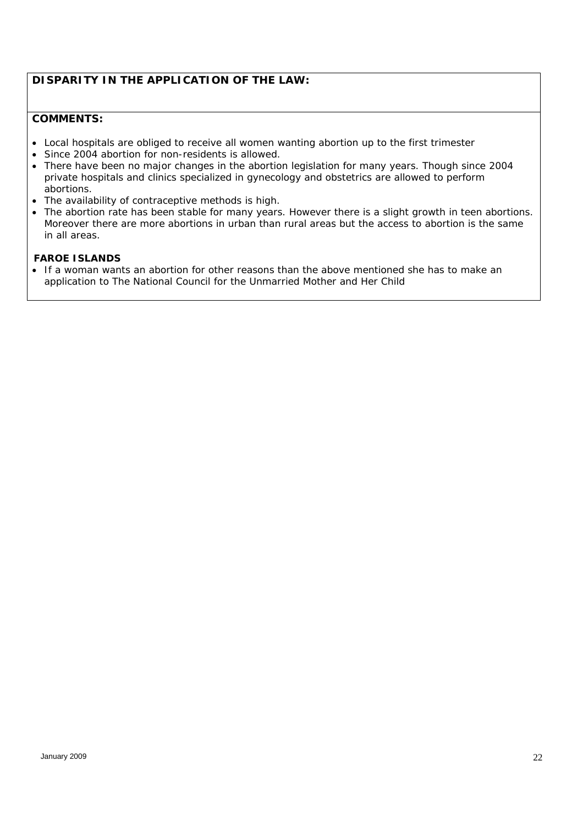# *DISPARITY IN THE APPLICATION OF THE LAW:*

#### *COMMENTS:*

- *Local hospitals are obliged to receive all women wanting abortion up to the first trimester*
- *Since 2004 abortion for non-residents is allowed.*
- *There have been no major changes in the abortion legislation for many years. Though since 2004 private hospitals and clinics specialized in gynecology and obstetrics are allowed to perform abortions.*
- *The availability of contraceptive methods is high.*
- *The abortion rate has been stable for many years. However there is a slight growth in teen abortions. Moreover there are more abortions in urban than rural areas but the access to abortion is the same in all areas.*

#### *FAROE ISLANDS*

 *If a woman wants an abortion for other reasons than the above mentioned she has to make an application to The National Council for the Unmarried Mother and Her Child*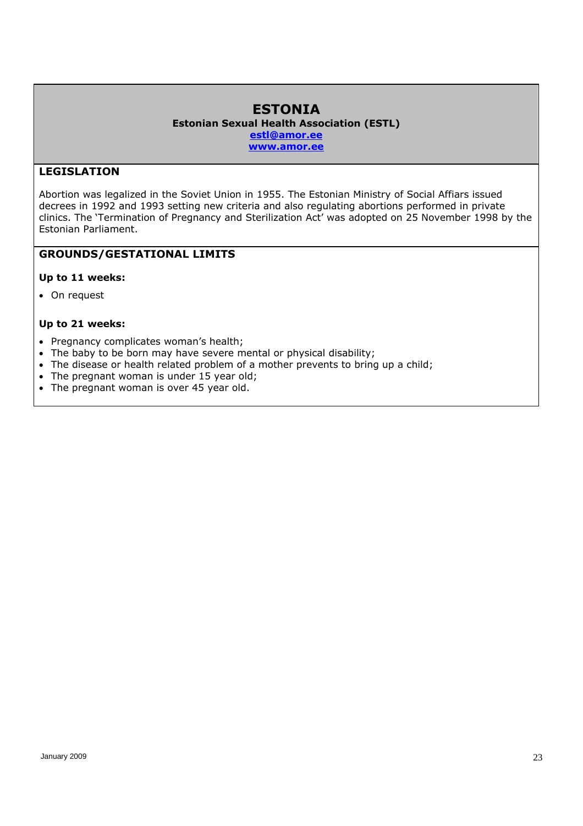#### **ESTONIA Estonian Sexual Health Association (ESTL) estl@amor.ee www.amor.ee**

# **LEGISLATION**

Abortion was legalized in the Soviet Union in 1955. The Estonian Ministry of Social Affiars issued decrees in 1992 and 1993 setting new criteria and also regulating abortions performed in private clinics. The 'Termination of Pregnancy and Sterilization Act' was adopted on 25 November 1998 by the Estonian Parliament.

### **GROUNDS/GESTATIONAL LIMITS**

#### **Up to 11 weeks:**

• On request

#### **Up to 21 weeks:**

- Pregnancy complicates woman's health;
- The baby to be born may have severe mental or physical disability;
- The disease or health related problem of a mother prevents to bring up a child;
- The pregnant woman is under 15 year old;
- The pregnant woman is over 45 year old.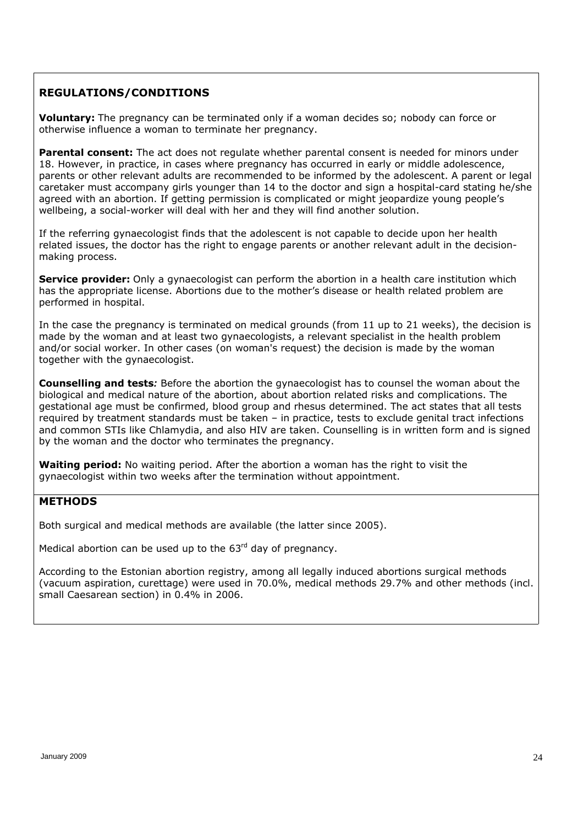# **REGULATIONS/CONDITIONS**

**Voluntary:** The pregnancy can be terminated only if a woman decides so; nobody can force or otherwise influence a woman to terminate her pregnancy.

**Parental consent:** The act does not regulate whether parental consent is needed for minors under 18. However, in practice, in cases where pregnancy has occurred in early or middle adolescence, parents or other relevant adults are recommended to be informed by the adolescent. A parent or legal caretaker must accompany girls younger than 14 to the doctor and sign a hospital-card stating he/she agreed with an abortion. If getting permission is complicated or might jeopardize young people's wellbeing, a social-worker will deal with her and they will find another solution.

If the referring gynaecologist finds that the adolescent is not capable to decide upon her health related issues, the doctor has the right to engage parents or another relevant adult in the decisionmaking process.

**Service provider:** Only a gynaecologist can perform the abortion in a health care institution which has the appropriate license. Abortions due to the mother's disease or health related problem are performed in hospital.

In the case the pregnancy is terminated on medical grounds (from 11 up to 21 weeks), the decision is made by the woman and at least two gynaecologists, a relevant specialist in the health problem and/or social worker. In other cases (on woman's request) the decision is made by the woman together with the gynaecologist.

**Counselling and tests***:* Before the abortion the gynaecologist has to counsel the woman about the biological and medical nature of the abortion, about abortion related risks and complications. The gestational age must be confirmed, blood group and rhesus determined. The act states that all tests required by treatment standards must be taken – in practice, tests to exclude genital tract infections and common STIs like Chlamydia, and also HIV are taken. Counselling is in written form and is signed by the woman and the doctor who terminates the pregnancy.

**Waiting period:** No waiting period. After the abortion a woman has the right to visit the gynaecologist within two weeks after the termination without appointment.

# **METHODS**

Both surgical and medical methods are available (the latter since 2005).

Medical abortion can be used up to the  $63<sup>rd</sup>$  day of pregnancy.

According to the Estonian abortion registry, among all legally induced abortions surgical methods (vacuum aspiration, curettage) were used in 70.0%, medical methods 29.7% and other methods (incl. small Caesarean section) in 0.4% in 2006.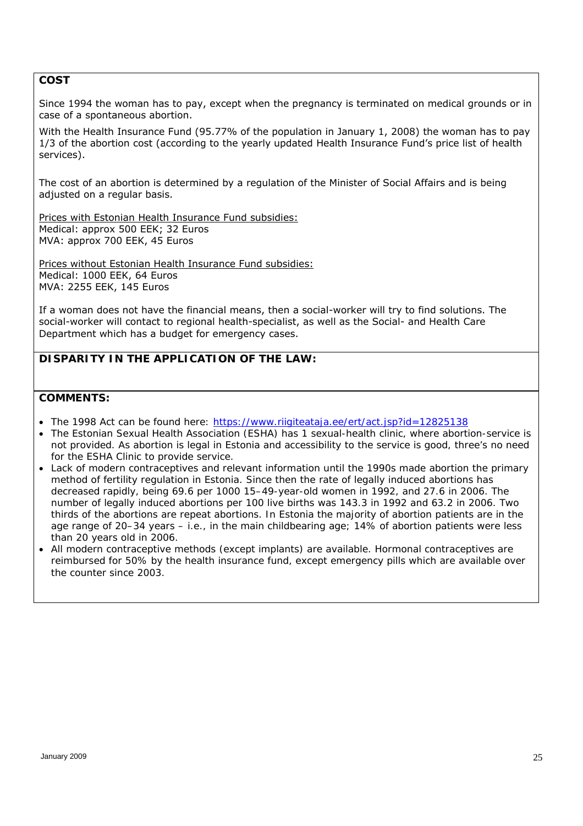#### **COST**

Since 1994 the woman has to pay, except when the pregnancy is terminated on medical grounds or in case of a spontaneous abortion.

With the Health Insurance Fund (95.77% of the population in January 1, 2008) the woman has to pay 1/3 of the abortion cost (according to the yearly updated Health Insurance Fund's price list of health services).

The cost of an abortion is determined by a regulation of the Minister of Social Affairs and is being adjusted on a regular basis.

Prices with Estonian Health Insurance Fund subsidies: Medical: approx 500 EEK; 32 Euros MVA: approx 700 EEK, 45 Euros

Prices without Estonian Health Insurance Fund subsidies: Medical: 1000 EEK, 64 Euros MVA: 2255 EEK, 145 Euros

If a woman does not have the financial means, then a social-worker will try to find solutions. The social-worker will contact to regional health-specialist, as well as the Social- and Health Care Department which has a budget for emergency cases.

# *DISPARITY IN THE APPLICATION OF THE LAW:*

- *The 1998 Act can be found here: https://www.riigiteataja.ee/ert/act.jsp?id=12825138*
- *The Estonian Sexual Health Association (ESHA) has 1 sexual-health clinic, where abortion-service is not provided. As abortion is legal in Estonia and accessibility to the service is good, three's no need for the ESHA Clinic to provide service.*
- *Lack of modern contraceptives and relevant information until the 1990s made abortion the primary method of fertility regulation in Estonia. Since then the rate of legally induced abortions has decreased rapidly, being 69.6 per 1000 15–49-year-old women in 1992, and 27.6 in 2006. The number of legally induced abortions per 100 live births was 143.3 in 1992 and 63.2 in 2006. Two thirds of the abortions are repeat abortions. In Estonia the majority of abortion patients are in the age range of 20–34 years – i.e., in the main childbearing age; 14% of abortion patients were less than 20 years old in 2006.*
- *All modern contraceptive methods (except implants) are available. Hormonal contraceptives are reimbursed for 50% by the health insurance fund, except emergency pills which are available over the counter since 2003.*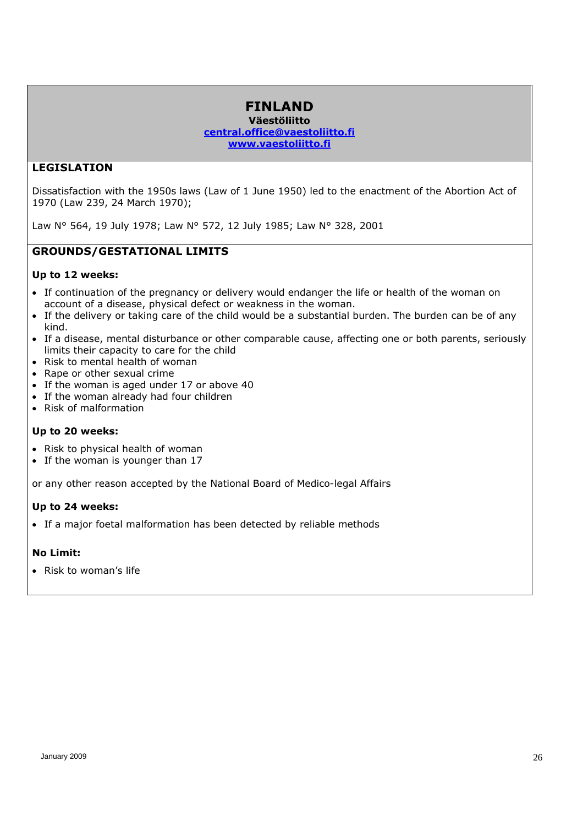#### **FINLAND Väestöliitto central.office@vaestoliitto.fi www.vaestoliitto.fi**

#### **LEGISLATION**

Dissatisfaction with the 1950s laws (Law of 1 June 1950) led to the enactment of the Abortion Act of 1970 (Law 239, 24 March 1970);

Law N° 564, 19 July 1978; Law N° 572, 12 July 1985; Law N° 328, 2001

#### **GROUNDS/GESTATIONAL LIMITS**

#### **Up to 12 weeks:**

- If continuation of the pregnancy or delivery would endanger the life or health of the woman on account of a disease, physical defect or weakness in the woman.
- If the delivery or taking care of the child would be a substantial burden. The burden can be of any kind.
- If a disease, mental disturbance or other comparable cause, affecting one or both parents, seriously limits their capacity to care for the child
- Risk to mental health of woman
- Rape or other sexual crime
- If the woman is aged under 17 or above 40
- If the woman already had four children
- Risk of malformation

#### **Up to 20 weeks:**

- Risk to physical health of woman
- If the woman is younger than 17

or any other reason accepted by the National Board of Medico-legal Affairs

#### **Up to 24 weeks:**

• If a major foetal malformation has been detected by reliable methods

#### **No Limit:**

• Risk to woman's life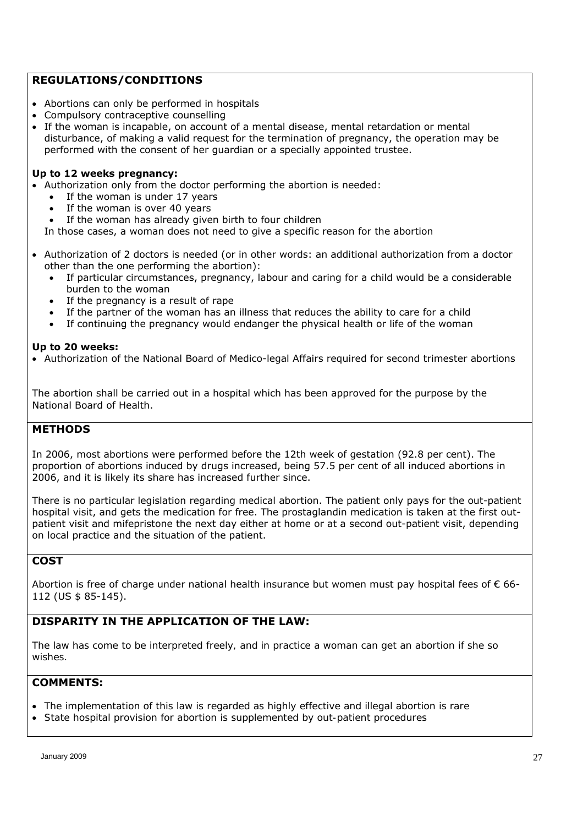### **REGULATIONS/CONDITIONS**

- Abortions can only be performed in hospitals
- Compulsory contraceptive counselling
- If the woman is incapable, on account of a mental disease, mental retardation or mental disturbance, of making a valid request for the termination of pregnancy, the operation may be performed with the consent of her guardian or a specially appointed trustee.

#### **Up to 12 weeks pregnancy:**

- Authorization only from the doctor performing the abortion is needed:
	- If the woman is under 17 years
		- If the woman is over 40 years
	- If the woman has already given birth to four children

In those cases, a woman does not need to give a specific reason for the abortion

- Authorization of 2 doctors is needed (or in other words: an additional authorization from a doctor other than the one performing the abortion):
	- If particular circumstances, pregnancy, labour and caring for a child would be a considerable burden to the woman
	- If the pregnancy is a result of rape
	- If the partner of the woman has an illness that reduces the ability to care for a child
	- If continuing the pregnancy would endanger the physical health or life of the woman

#### **Up to 20 weeks:**

Authorization of the National Board of Medico-legal Affairs required for second trimester abortions

The abortion shall be carried out in a hospital which has been approved for the purpose by the National Board of Health.

### **METHODS**

In 2006, most abortions were performed before the 12th week of gestation (92.8 per cent). The proportion of abortions induced by drugs increased, being 57.5 per cent of all induced abortions in 2006, and it is likely its share has increased further since.

There is no particular legislation regarding medical abortion. The patient only pays for the out-patient hospital visit, and gets the medication for free. The prostaglandin medication is taken at the first outpatient visit and mifepristone the next day either at home or at a second out-patient visit, depending on local practice and the situation of the patient.

# **COST**

Abortion is free of charge under national health insurance but women must pay hospital fees of  $\epsilon$  66-112 (US \$ 85-145).

# **DISPARITY IN THE APPLICATION OF THE LAW***:*

*The law has come to be interpreted freely, and in practice a woman can get an abortion if she so wishes.* 

- *The implementation of this law is regarded as highly effective and illegal abortion is rare*
- *State hospital provision for abortion is supplemented by out-patient procedures*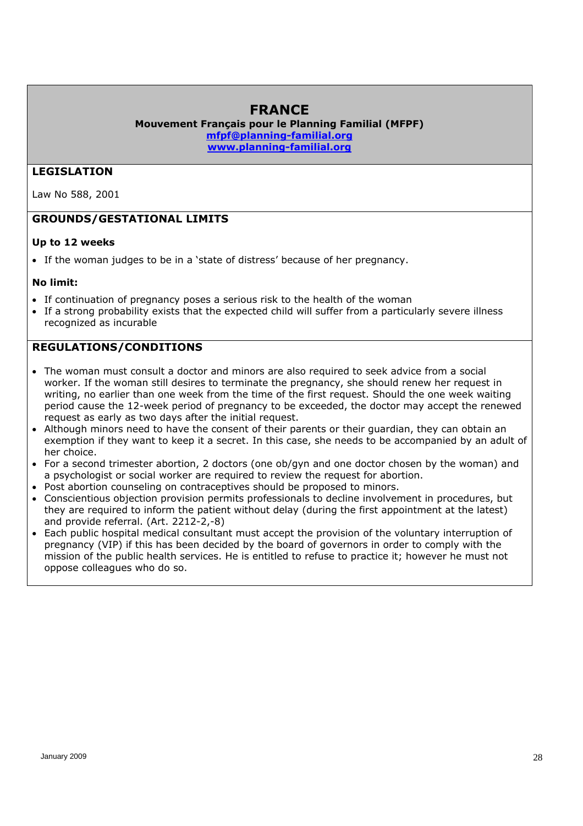# **FRANCE**

**Mouvement Français pour le Planning Familial (MFPF) mfpf@planning-familial.org www.planning-familial.org**

#### **LEGISLATION**

Law No 588, 2001

#### **GROUNDS/GESTATIONAL LIMITS**

#### **Up to 12 weeks**

If the woman judges to be in a 'state of distress' because of her pregnancy.

#### **No limit:**

- If continuation of pregnancy poses a serious risk to the health of the woman
- If a strong probability exists that the expected child will suffer from a particularly severe illness recognized as incurable

#### **REGULATIONS/CONDITIONS**

- The woman must consult a doctor and minors are also required to seek advice from a social worker. If the woman still desires to terminate the pregnancy, she should renew her request in writing, no earlier than one week from the time of the first request. Should the one week waiting period cause the 12-week period of pregnancy to be exceeded, the doctor may accept the renewed request as early as two days after the initial request.
- Although minors need to have the consent of their parents or their guardian, they can obtain an exemption if they want to keep it a secret. In this case, she needs to be accompanied by an adult of her choice.
- For a second trimester abortion, 2 doctors (one ob/gyn and one doctor chosen by the woman) and a psychologist or social worker are required to review the request for abortion.
- Post abortion counseling on contraceptives should be proposed to minors.
- Conscientious objection provision permits professionals to decline involvement in procedures, but they are required to inform the patient without delay (during the first appointment at the latest) and provide referral. (Art. 2212-2,-8)
- Each public hospital medical consultant must accept the provision of the voluntary interruption of pregnancy (VIP) if this has been decided by the board of governors in order to comply with the mission of the public health services. He is entitled to refuse to practice it; however he must not oppose colleagues who do so.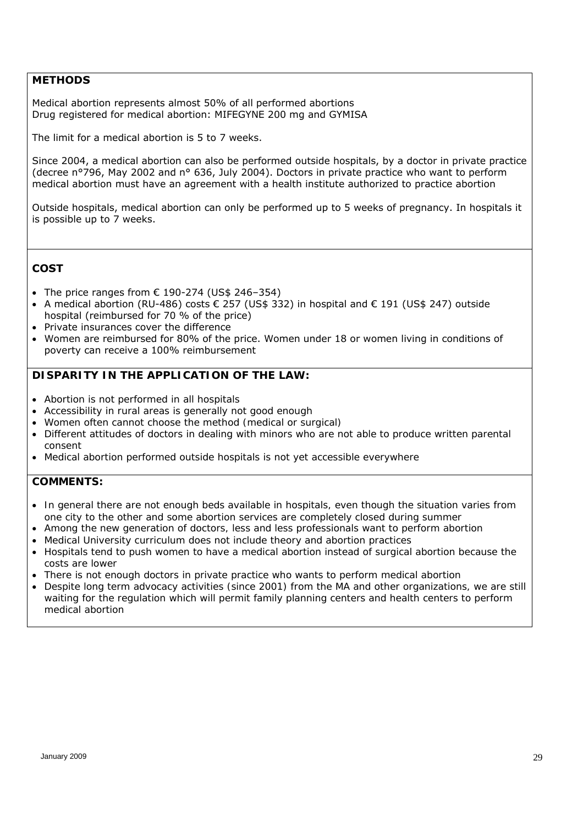#### **METHODS**

Medical abortion represents almost 50% of all performed abortions Drug registered for medical abortion: MIFEGYNE 200 mg and GYMISA

The limit for a medical abortion is 5 to 7 weeks.

Since 2004, a medical abortion can also be performed outside hospitals, by a doctor in private practice (decree n°796, May 2002 and n° 636, July 2004). Doctors in private practice who want to perform medical abortion must have an agreement with a health institute authorized to practice abortion

Outside hospitals, medical abortion can only be performed up to 5 weeks of pregnancy. In hospitals it is possible up to 7 weeks.

#### **COST**

- The price ranges from  $\epsilon$  190-274 (US\$ 246-354)
- A medical abortion (RU-486) costs  $\epsilon$  257 (US\$ 332) in hospital and  $\epsilon$  191 (US\$ 247) outside hospital (reimbursed for 70 % of the price)
- Private insurances cover the difference
- Women are reimbursed for 80% of the price. Women under 18 or women living in conditions of poverty can receive a 100% reimbursement

#### *DISPARITY IN THE APPLICATION OF THE LAW:*

- *Abortion is not performed in all hospitals*
- *Accessibility in rural areas is generally not good enough*
- *Women often cannot choose the method (medical or surgical)*
- *Different attitudes of doctors in dealing with minors who are not able to produce written parental consent*
- *Medical abortion performed outside hospitals is not yet accessible everywhere*

- *In general there are not enough beds available in hospitals, even though the situation varies from one city to the other and some abortion services are completely closed during summer*
- *Among the new generation of doctors, less and less professionals want to perform abortion*
- *Medical University curriculum does not include theory and abortion practices*
- *Hospitals tend to push women to have a medical abortion instead of surgical abortion because the costs are lower*
- *There is not enough doctors in private practice who wants to perform medical abortion*
- Despite long term advocacy activities (since 2001) from the MA and other organizations, we are still *waiting for the regulation which will permit family planning centers and health centers to perform medical abortion*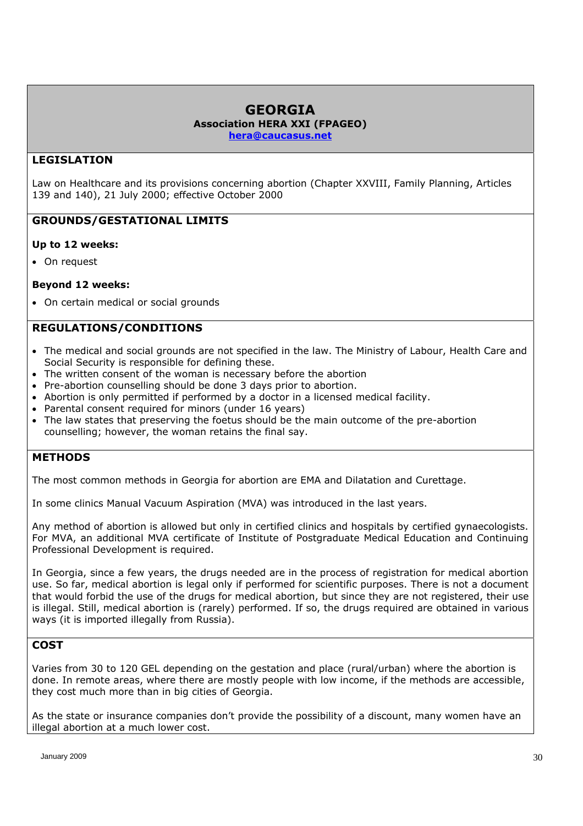# **GEORGIA Association HERA XXI (FPAGEO)**

**hera@caucasus.net**

#### **LEGISLATION**

Law on Healthcare and its provisions concerning abortion (Chapter XXVIII, Family Planning, Articles 139 and 140), 21 July 2000; effective October 2000

# **GROUNDS/GESTATIONAL LIMITS**

#### **Up to 12 weeks:**

On request

#### **Beyond 12 weeks:**

• On certain medical or social grounds

#### **REGULATIONS/CONDITIONS**

- The medical and social grounds are not specified in the law. The Ministry of Labour, Health Care and Social Security is responsible for defining these.
- The written consent of the woman is necessary before the abortion
- Pre-abortion counselling should be done 3 days prior to abortion.
- Abortion is only permitted if performed by a doctor in a licensed medical facility.
- Parental consent required for minors (under 16 years)
- The law states that preserving the foetus should be the main outcome of the pre-abortion counselling; however, the woman retains the final say.

### **METHODS**

The most common methods in Georgia for abortion are EMA and Dilatation and Curettage.

In some clinics Manual Vacuum Aspiration (MVA) was introduced in the last years.

Any method of abortion is allowed but only in certified clinics and hospitals by certified gynaecologists. For MVA, an additional MVA certificate of Institute of Postgraduate Medical Education and Continuing Professional Development is required.

In Georgia, since a few years, the drugs needed are in the process of registration for medical abortion use. So far, medical abortion is legal only if performed for scientific purposes. There is not a document that would forbid the use of the drugs for medical abortion, but since they are not registered, their use is illegal. Still, medical abortion is (rarely) performed. If so, the drugs required are obtained in various ways (it is imported illegally from Russia).

# **COST**

Varies from 30 to 120 GEL depending on the gestation and place (rural/urban) where the abortion is done. In remote areas, where there are mostly people with low income, if the methods are accessible, they cost much more than in big cities of Georgia.

As the state or insurance companies don't provide the possibility of a discount, many women have an illegal abortion at a much lower cost.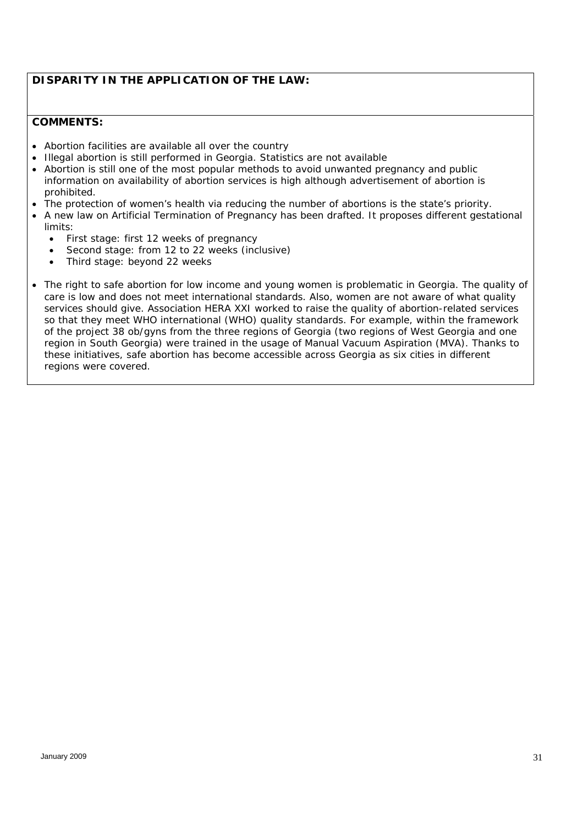# *DISPARITY IN THE APPLICATION OF THE LAW:*

- *Abortion facilities are available all over the country*
- *Illegal abortion is still performed in Georgia. Statistics are not available*
- *Abortion is still one of the most popular methods to avoid unwanted pregnancy and public information on availability of abortion services is high although advertisement of abortion is prohibited.*
- *The protection of women's health via reducing the number of abortions is the state's priority.*
- *A new law on Artificial Termination of Pregnancy has been drafted. It proposes different gestational limits:* 
	- *First stage: first 12 weeks of pregnancy*
	- *Second stage: from 12 to 22 weeks (inclusive)*
	- *Third stage: beyond 22 weeks*
- The right to safe abortion for low income and young women is problematic in Georgia. The quality of *care is low and does not meet international standards. Also, women are not aware of what quality services should give. Association HERA XXI worked to raise the quality of abortion-related services so that they meet WHO international (WHO) quality standards. For example, within the framework of the project 38 ob/gyns from the three regions of Georgia (two regions of West Georgia and one region in South Georgia) were trained in the usage of Manual Vacuum Aspiration (MVA). Thanks to these initiatives, safe abortion has become accessible across Georgia as six cities in different regions were covered.*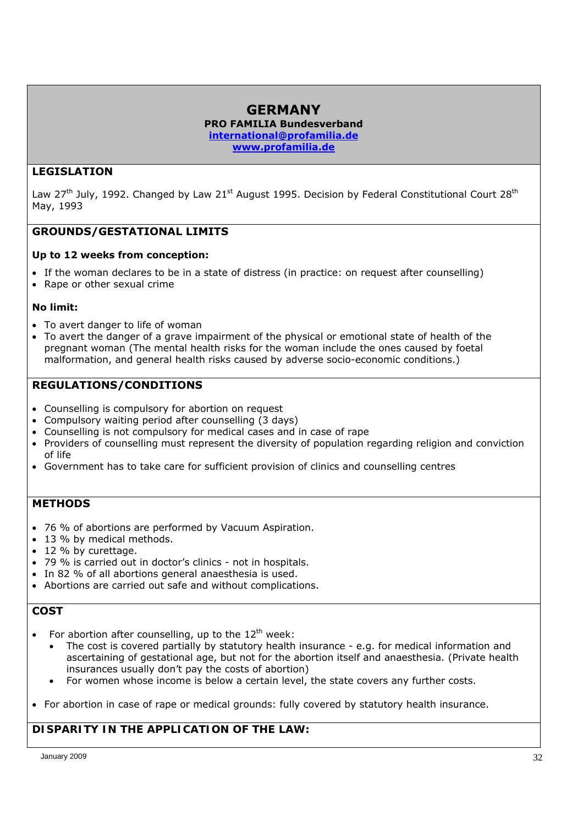### **GERMANY PRO FAMILIA Bundesverband international@profamilia.de www.profamilia.de**

# **LEGISLATION**

Law 27<sup>th</sup> July, 1992. Changed by Law 21<sup>st</sup> August 1995. Decision by Federal Constitutional Court 28<sup>th</sup> May, 1993

# **GROUNDS/GESTATIONAL LIMITS**

#### **Up to 12 weeks from conception:**

- If the woman declares to be in a state of distress (in practice: on request after counselling)
- Rape or other sexual crime

#### **No limit:**

- To avert danger to life of woman
- To avert the danger of a grave impairment of the physical or emotional state of health of the pregnant woman (The mental health risks for the woman include the ones caused by foetal malformation, and general health risks caused by adverse socio-economic conditions.)

# **REGULATIONS/CONDITIONS**

- Counselling is compulsory for abortion on request
- Compulsory waiting period after counselling (3 days)
- Counselling is not compulsory for medical cases and in case of rape
- Providers of counselling must represent the diversity of population regarding religion and conviction of life
- Government has to take care for sufficient provision of clinics and counselling centres

#### **METHODS**

- 76 % of abortions are performed by Vacuum Aspiration.
- 13 % by medical methods.
- 12 % by curettage.
- 79 % is carried out in doctor's clinics not in hospitals.
- In 82 % of all abortions general anaesthesia is used.
- Abortions are carried out safe and without complications.

# **COST**

- For abortion after counselling, up to the  $12<sup>th</sup>$  week:
	- The cost is covered partially by statutory health insurance e.g. for medical information and ascertaining of gestational age, but not for the abortion itself and anaesthesia. (Private health insurances usually don't pay the costs of abortion)
	- For women whose income is below a certain level, the state covers any further costs.
- For abortion in case of rape or medical grounds: fully covered by statutory health insurance.

# *DISPARITY IN THE APPLICATION OF THE LAW:*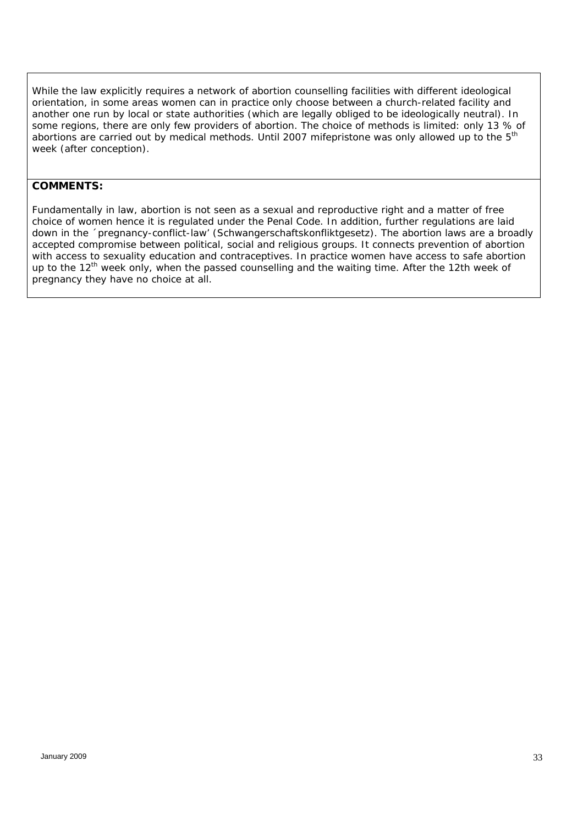*While the law explicitly requires a network of abortion counselling facilities with different ideological orientation, in some areas women can in practice only choose between a church-related facility and another one run by local or state authorities (which are legally obliged to be ideologically neutral). In some regions, there are only few providers of abortion. The choice of methods is limited: only 13 % of abortions are carried out by medical methods. Until 2007 mifepristone was only allowed up to the 5th week (after conception).* 

#### *COMMENTS:*

*Fundamentally in law, abortion is not seen as a sexual and reproductive right and a matter of free choice of women hence it is regulated under the Penal Code. In addition, further regulations are laid down in the ´pregnancy-conflict-law' (Schwangerschaftskonfliktgesetz). The abortion laws are a broadly accepted compromise between political, social and religious groups. It connects prevention of abortion with access to sexuality education and contraceptives. In practice women have access to safe abortion up to the 12th week only, when the passed counselling and the waiting time. After the 12th week of pregnancy they have no choice at all.*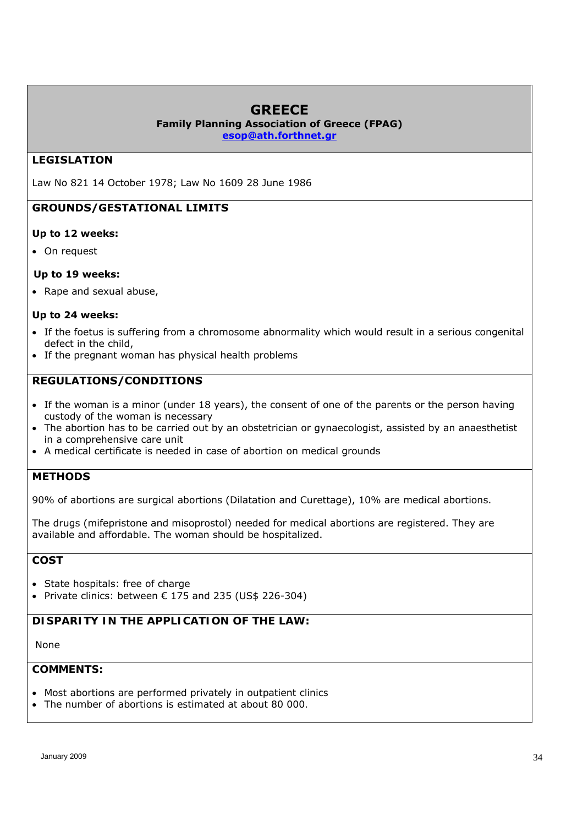# **GREECE**

**Family Planning Association of Greece (FPAG)**

**esop@ath.forthnet.gr** 

# **LEGISLATION**

Law No 821 14 October 1978; Law No 1609 28 June 1986

# **GROUNDS/GESTATIONAL LIMITS**

#### **Up to 12 weeks:**

On request

#### **Up to 19 weeks:**

• Rape and sexual abuse,

#### **Up to 24 weeks:**

- If the foetus is suffering from a chromosome abnormality which would result in a serious congenital defect in the child,
- If the pregnant woman has physical health problems

# **REGULATIONS/CONDITIONS**

- If the woman is a minor (under 18 years), the consent of one of the parents or the person having custody of the woman is necessary
- The abortion has to be carried out by an obstetrician or gynaecologist, assisted by an anaesthetist in a comprehensive care unit
- A medical certificate is needed in case of abortion on medical grounds

#### **METHODS**

90% of abortions are surgical abortions (Dilatation and Curettage), 10% are medical abortions.

The drugs (mifepristone and misoprostol) needed for medical abortions are registered. They are available and affordable. The woman should be hospitalized.

# **COST**

- State hospitals: free of charge
- Private clinics: between  $€ 175$  and 235 (US\$ 226-304)

### *DISPARITY IN THE APPLICATION OF THE LAW:*

#### *None*

- *Most abortions are performed privately in outpatient clinics*
- *The number of abortions is estimated at about 80 000.*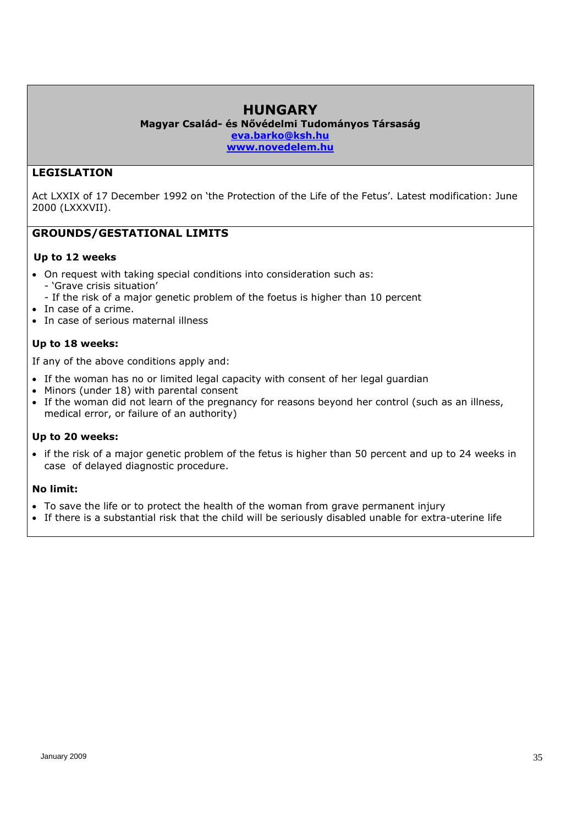# **HUNGARY**

**Magyar Család- és Nővédelmi Tudományos Társaság eva.barko@ksh.hu www.novedelem.hu** 

### **LEGISLATION**

Act LXXIX of 17 December 1992 on 'the Protection of the Life of the Fetus'. Latest modification: June 2000 (LXXXVII).

#### **GROUNDS/GESTATIONAL LIMITS**

#### **Up to 12 weeks**

- On request with taking special conditions into consideration such as: - 'Grave crisis situation' - If the risk of a major genetic problem of the foetus is higher than 10 percent
- In case of a crime.
- In case of serious maternal illness

# **Up to 18 weeks:**

If any of the above conditions apply and:

- If the woman has no or limited legal capacity with consent of her legal guardian
- Minors (under 18) with parental consent
- If the woman did not learn of the pregnancy for reasons beyond her control (such as an illness, medical error, or failure of an authority)

#### **Up to 20 weeks:**

• if the risk of a major genetic problem of the fetus is higher than 50 percent and up to 24 weeks in case of delayed diagnostic procedure.

#### **No limit:**

- To save the life or to protect the health of the woman from grave permanent injury
- If there is a substantial risk that the child will be seriously disabled unable for extra-uterine life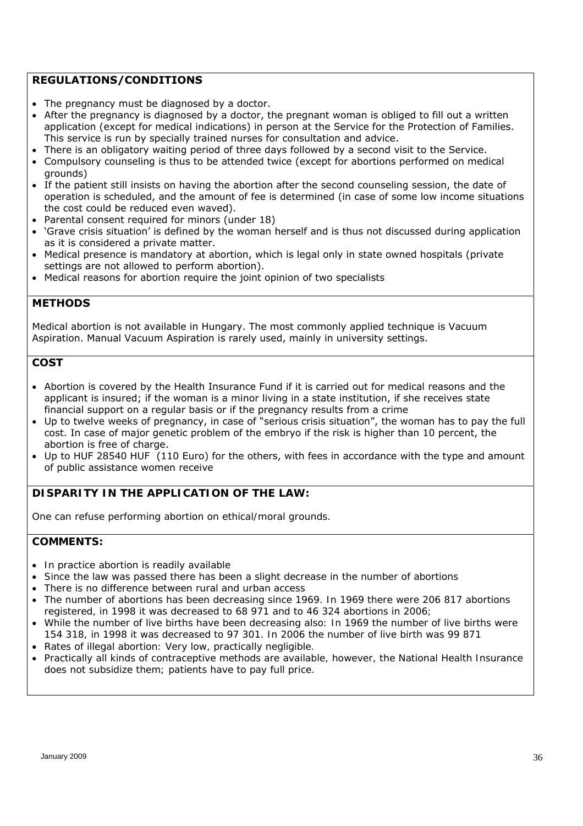#### **REGULATIONS/CONDITIONS**

- The pregnancy must be diagnosed by a doctor.
- After the pregnancy is diagnosed by a doctor, the pregnant woman is obliged to fill out a written application (except for medical indications) in person at the Service for the Protection of Families. This service is run by specially trained nurses for consultation and advice.
- There is an obligatory waiting period of three days followed by a second visit to the Service.
- Compulsory counseling is thus to be attended twice (except for abortions performed on medical grounds)
- If the patient still insists on having the abortion after the second counseling session, the date of operation is scheduled, and the amount of fee is determined (in case of some low income situations the cost could be reduced even waved).
- Parental consent required for minors (under 18)
- 'Grave crisis situation' is defined by the woman herself and is thus not discussed during application as it is considered a private matter.
- Medical presence is mandatory at abortion, which is legal only in state owned hospitals (private settings are not allowed to perform abortion).
- Medical reasons for abortion require the joint opinion of two specialists

#### **METHODS**

Medical abortion is not available in Hungary. The most commonly applied technique is Vacuum Aspiration. Manual Vacuum Aspiration is rarely used, mainly in university settings.

### **COST**

- Abortion is covered by the Health Insurance Fund if it is carried out for medical reasons and the applicant is insured; if the woman is a minor living in a state institution, if she receives state financial support on a regular basis or if the pregnancy results from a crime
- Up to twelve weeks of pregnancy, in case of "serious crisis situation", the woman has to pay the full cost. In case of major genetic problem of the embryo if the risk is higher than 10 percent, the abortion is free of charge.
- Up to HUF 28540 HUF (110 Euro) for the others, with fees in accordance with the type and amount of public assistance women receive

### *DISPARITY IN THE APPLICATION OF THE LAW:*

*One can refuse performing abortion on ethical/moral grounds.* 

- *In practice abortion is readily available*
- *Since the law was passed there has been a slight decrease in the number of abortions*
- *There is no difference between rural and urban access*
- *The number of abortions has been decreasing since 1969. In 1969 there were 206 817 abortions registered, in 1998 it was decreased to 68 971 and to 46 324 abortions in 2006;*
- *While the number of live births have been decreasing also: In 1969 the number of live births were 154 318, in 1998 it was decreased to 97 301. In 2006 the number of live birth was 99 871*
- *Rates of illegal abortion: Very low, practically negligible.*
- *Practically all kinds of contraceptive methods are available, however, the National Health Insurance does not subsidize them; patients have to pay full price.*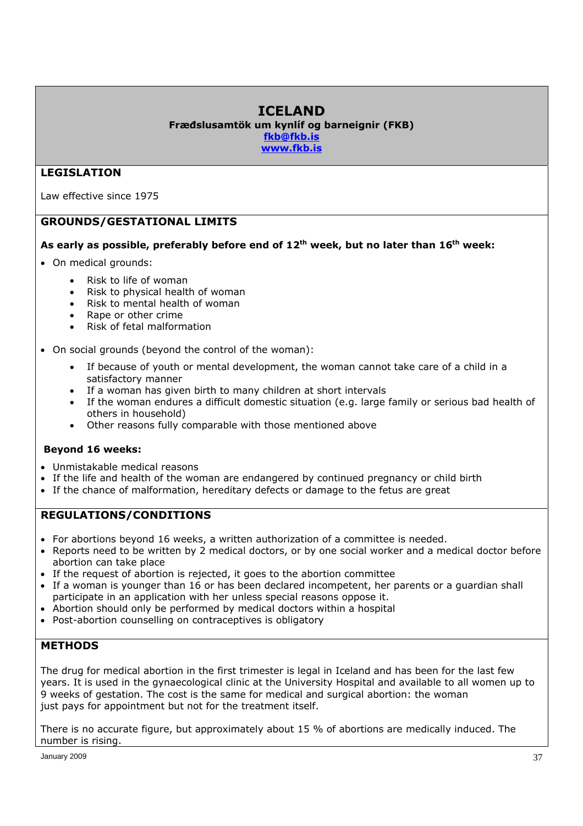# **ICELAND**

**Fræđslusamtök um kynlíf og barneignir (FKB) fkb@fkb.is www.fkb.is** 

# **LEGISLATION**

Law effective since 1975

# **GROUNDS/GESTATIONAL LIMITS**

### **As early as possible, preferably before end of 12th week, but no later than 16th week:**

- On medical grounds:
	- Risk to life of woman
	- Risk to physical health of woman
	- Risk to mental health of woman
	- Rape or other crime
	- Risk of fetal malformation
- On social grounds (beyond the control of the woman):
	- If because of youth or mental development, the woman cannot take care of a child in a satisfactory manner
	- If a woman has given birth to many children at short intervals
	- If the woman endures a difficult domestic situation (e.g. large family or serious bad health of others in household)
	- Other reasons fully comparable with those mentioned above

### **Beyond 16 weeks:**

- Unmistakable medical reasons
- If the life and health of the woman are endangered by continued pregnancy or child birth
- If the chance of malformation, hereditary defects or damage to the fetus are great

# **REGULATIONS/CONDITIONS**

- For abortions beyond 16 weeks, a written authorization of a committee is needed.
- Reports need to be written by 2 medical doctors, or by one social worker and a medical doctor before abortion can take place
- If the request of abortion is rejected, it goes to the abortion committee
- If a woman is younger than 16 or has been declared incompetent, her parents or a guardian shall participate in an application with her unless special reasons oppose it.
- Abortion should only be performed by medical doctors within a hospital
- Post-abortion counselling on contraceptives is obligatory

### **METHODS**

The drug for medical abortion in the first trimester is legal in Iceland and has been for the last few years. It is used in the gynaecological clinic at the University Hospital and available to all women up to 9 weeks of gestation. The cost is the same for medical and surgical abortion: the woman just pays for appointment but not for the treatment itself.

There is no accurate figure, but approximately about 15 % of abortions are medically induced. The number is rising.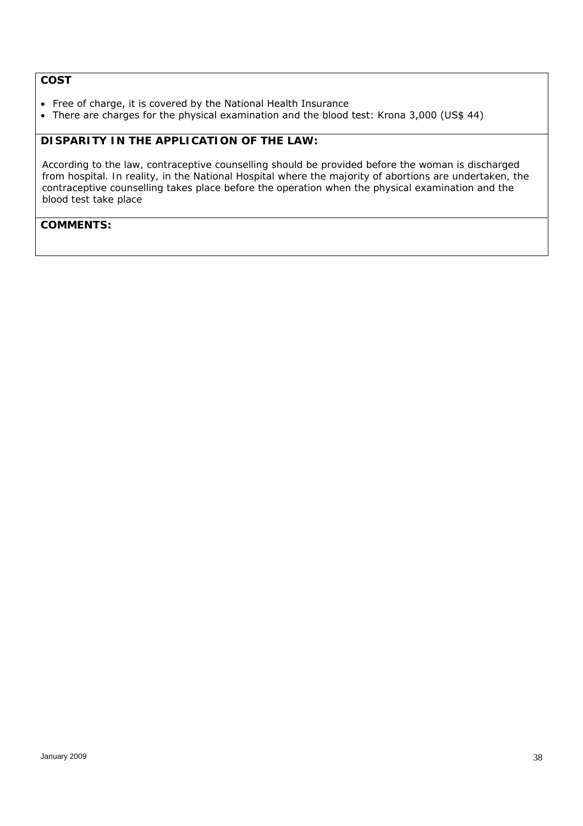### **COST**

- Free of charge, it is covered by the National Health Insurance
- There are charges for the physical examination and the blood test: Krona 3,000 (US\$ 44)

### *DISPARITY IN THE APPLICATION OF THE LAW:*

*According to the law, contraceptive counselling should be provided before the woman is discharged from hospital. In reality, in the National Hospital where the majority of abortions are undertaken, the contraceptive counselling takes place before the operation when the physical examination and the blood test take place*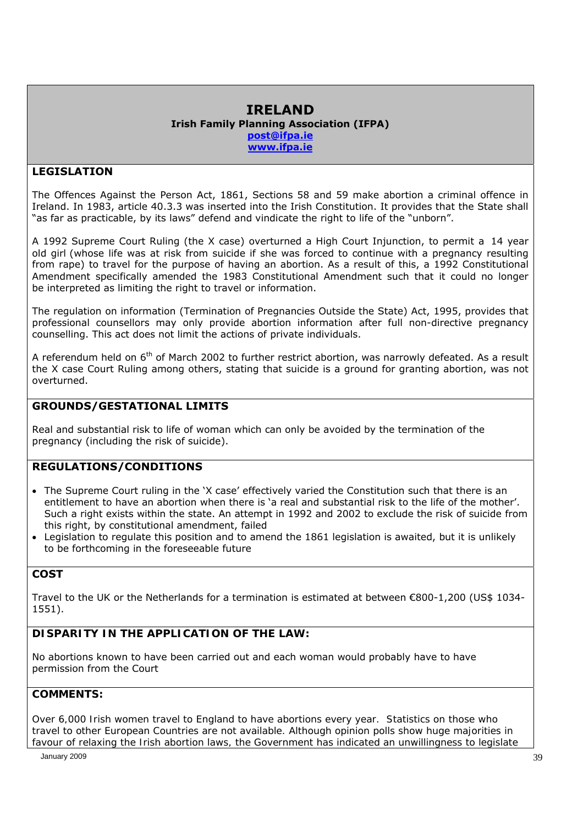### **IRELAND Irish Family Planning Association (IFPA) post@ifpa.ie www.ifpa.ie**

# **LEGISLATION**

The Offences Against the Person Act, 1861, Sections 58 and 59 make abortion a criminal offence in Ireland. In 1983, article 40.3.3 was inserted into the Irish Constitution. It provides that the State shall "as far as practicable, by its laws" defend and vindicate the right to life of the "unborn".

A 1992 Supreme Court Ruling (the X case) overturned a High Court Injunction, to permit a 14 year old girl (whose life was at risk from suicide if she was forced to continue with a pregnancy resulting from rape) to travel for the purpose of having an abortion. As a result of this, a 1992 Constitutional Amendment specifically amended the 1983 Constitutional Amendment such that it could no longer be interpreted as limiting the right to travel or information.

The regulation on information (Termination of Pregnancies Outside the State) Act, 1995, provides that professional counsellors may only provide abortion information after full non-directive pregnancy counselling. This act does not limit the actions of private individuals.

A referendum held on 6<sup>th</sup> of March 2002 to further restrict abortion, was narrowly defeated. As a result the X case Court Ruling among others, stating that suicide is a ground for granting abortion, was not overturned.

### **GROUNDS/GESTATIONAL LIMITS**

Real and substantial risk to life of woman which can only be avoided by the termination of the pregnancy (including the risk of suicide).

### **REGULATIONS/CONDITIONS**

- The Supreme Court ruling in the 'X case' effectively varied the Constitution such that there is an entitlement to have an abortion when there is 'a real and substantial risk to the life of the mother'. Such a right exists within the state. An attempt in 1992 and 2002 to exclude the risk of suicide from this right, by constitutional amendment, failed
- Legislation to regulate this position and to amend the 1861 legislation is awaited, but it is unlikely to be forthcoming in the foreseeable future

# **COST**

Travel to the UK or the Netherlands for a termination is estimated at between €800-1,200 (US\$ 1034- 1551).

# *DISPARITY IN THE APPLICATION OF THE LAW:*

No abortions known to have been carried out and each woman would probably have to have permission from the Court

### *COMMENTS:*

*Over 6,000 Irish women travel to England to have abortions every year. Statistics on those who travel to other European Countries are not available. Although opinion polls show huge majorities in favour of relaxing the Irish abortion laws, the Government has indicated an unwillingness to legislate*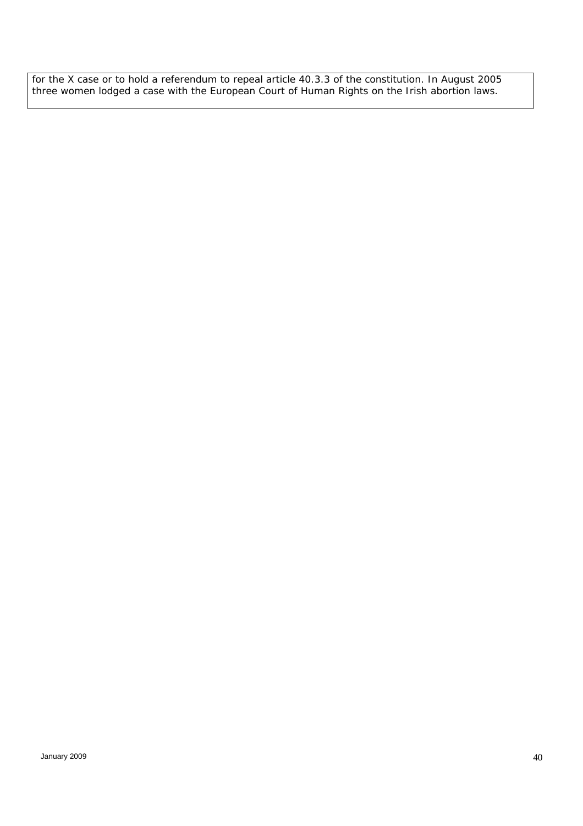*for the X case or to hold a referendum to repeal article 40.3.3 of the constitution. In August 2005 three women lodged a case with the European Court of Human Rights on the Irish abortion laws.*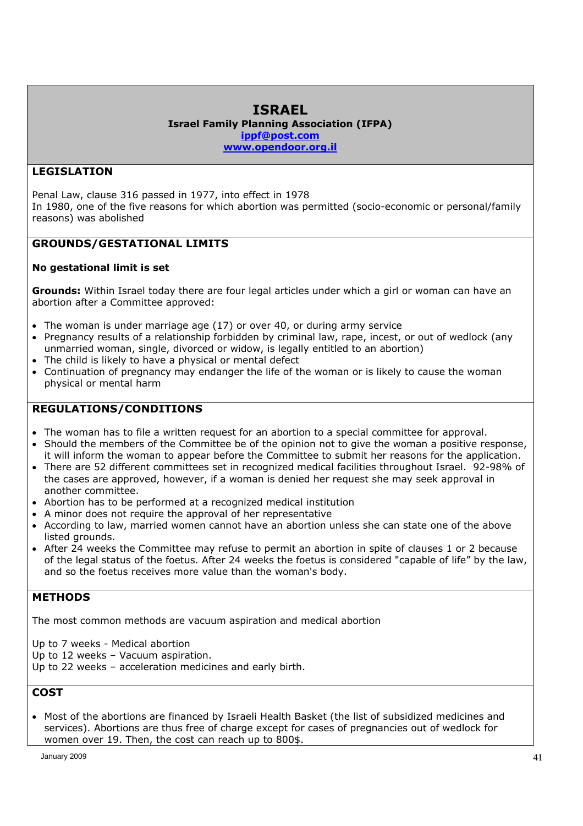# **ISRAEL**

**Israel Family Planning Association (IFPA) ippf@post.com www.opendoor.org.il** 

# **LEGISLATION**

Penal Law, clause 316 passed in 1977, into effect in 1978 In 1980, one of the five reasons for which abortion was permitted (socio-economic or personal/family reasons) was abolished

# **GROUNDS/GESTATIONAL LIMITS**

### **No gestational limit is set**

**Grounds:** Within Israel today there are four legal articles under which a girl or woman can have an abortion after a Committee approved:

- $\bullet$  The woman is under marriage age (17) or over 40, or during army service
- Pregnancy results of a relationship forbidden by criminal law, rape, incest, or out of wedlock (any unmarried woman, single, divorced or widow, is legally entitled to an abortion)
- The child is likely to have a physical or mental defect
- Continuation of pregnancy may endanger the life of the woman or is likely to cause the woman physical or mental harm

# **REGULATIONS/CONDITIONS**

- The woman has to file a written request for an abortion to a special committee for approval.
- Should the members of the Committee be of the opinion not to give the woman a positive response, it will inform the woman to appear before the Committee to submit her reasons for the application.
- There are 52 different committees set in recognized medical facilities throughout Israel. 92-98% of the cases are approved, however, if a woman is denied her request she may seek approval in another committee.
- Abortion has to be performed at a recognized medical institution
- A minor does not require the approval of her representative
- According to law, married women cannot have an abortion unless she can state one of the above listed grounds.
- After 24 weeks the Committee may refuse to permit an abortion in spite of clauses 1 or 2 because of the legal status of the foetus. After 24 weeks the foetus is considered "capable of life" by the law, and so the foetus receives more value than the woman's body.

# **METHODS**

The most common methods are vacuum aspiration and medical abortion

Up to 7 weeks - Medical abortion

Up to 12 weeks – Vacuum aspiration.

Up to 22 weeks – acceleration medicines and early birth.

# **COST**

• Most of the abortions are financed by Israeli Health Basket (the list of subsidized medicines and services). Abortions are thus free of charge except for cases of pregnancies out of wedlock for women over 19. Then, the cost can reach up to 800\$.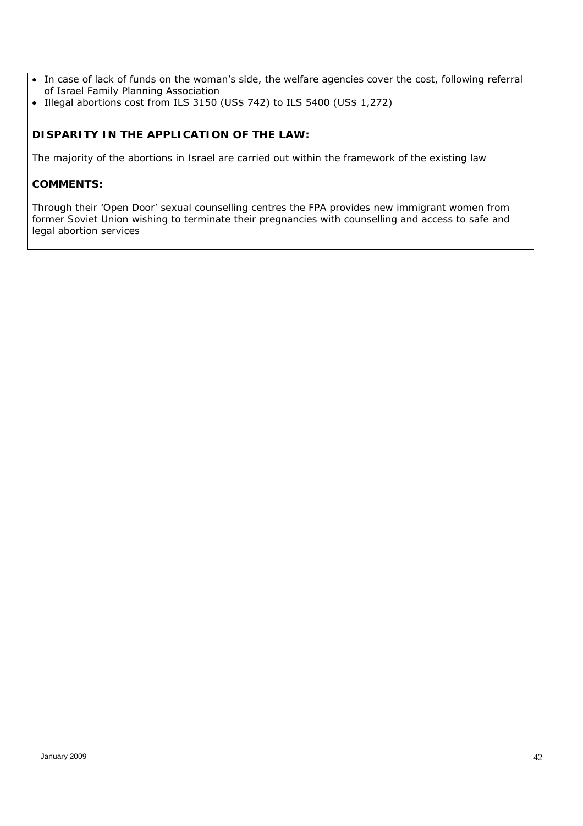- In case of lack of funds on the woman's side, the welfare agencies cover the cost, following referral of Israel Family Planning Association
- Illegal abortions cost from ILS 3150 (US\$ 742) to ILS 5400 (US\$ 1,272)

# *DISPARITY IN THE APPLICATION OF THE LAW:*

*The majority of the abortions in Israel are carried out within the framework of the existing law* 

#### *COMMENTS:*

*Through their 'Open Door' sexual counselling centres the FPA provides new immigrant women from former Soviet Union wishing to terminate their pregnancies with counselling and access to safe and legal abortion services*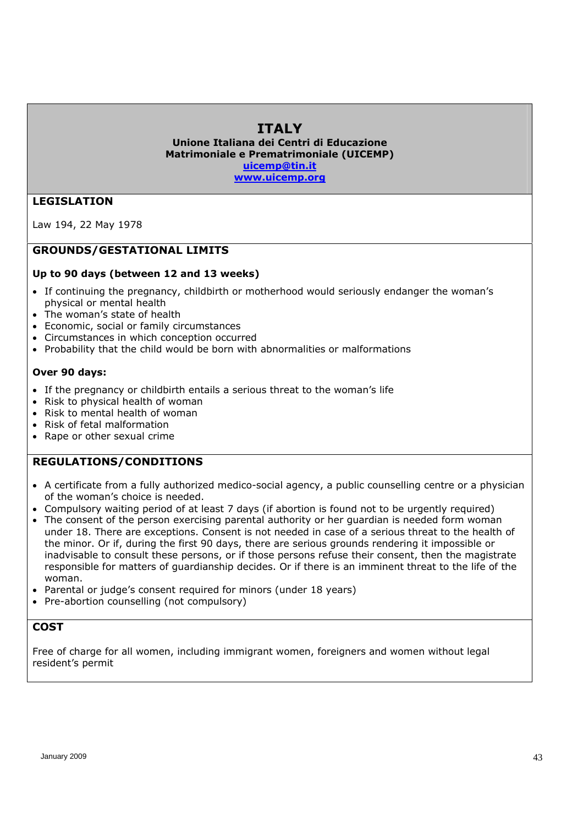# **ITALY**

**Unione Italiana dei Centri di Educazione Matrimoniale e Prematrimoniale (UICEMP) uicemp@tin.it**

**www.uicemp.org** 

### **LEGISLATION**

Law 194, 22 May 1978

### **GROUNDS/GESTATIONAL LIMITS**

### **Up to 90 days (between 12 and 13 weeks)**

- If continuing the pregnancy, childbirth or motherhood would seriously endanger the woman's physical or mental health
- The woman's state of health
- Economic, social or family circumstances
- Circumstances in which conception occurred
- Probability that the child would be born with abnormalities or malformations

### **Over 90 days:**

- If the pregnancy or childbirth entails a serious threat to the woman's life
- Risk to physical health of woman
- Risk to mental health of woman
- Risk of fetal malformation
- Rape or other sexual crime

### **REGULATIONS/CONDITIONS**

- A certificate from a fully authorized medico-social agency, a public counselling centre or a physician of the woman's choice is needed.
- Compulsory waiting period of at least 7 days (if abortion is found not to be urgently required)
- The consent of the person exercising parental authority or her quardian is needed form woman under 18. There are exceptions. Consent is not needed in case of a serious threat to the health of the minor. Or if, during the first 90 days, there are serious grounds rendering it impossible or inadvisable to consult these persons, or if those persons refuse their consent, then the magistrate responsible for matters of guardianship decides. Or if there is an imminent threat to the life of the woman.
- Parental or judge's consent required for minors (under 18 years)
- Pre-abortion counselling (not compulsory)

### **COST**

Free of charge for all women, including immigrant women, foreigners and women without legal resident's permit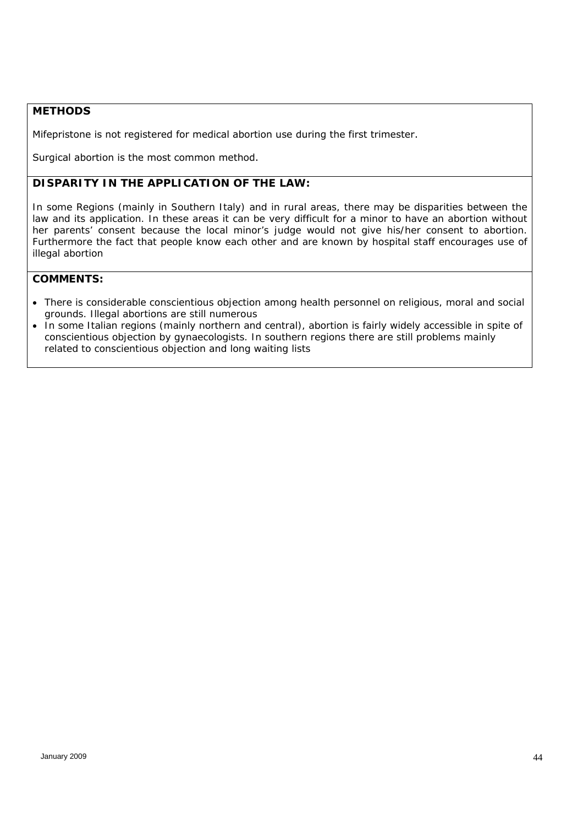### **METHODS**

Mifepristone is not registered for medical abortion use during the first trimester.

Surgical abortion is the most common method.

# *DISPARITY IN THE APPLICATION OF THE LAW:*

*In some Regions (mainly in Southern Italy) and in rural areas, there may be disparities between the*  law and its application. In these areas it can be very difficult for a minor to have an abortion without *her parents' consent because the local minor's judge would not give his/her consent to abortion. Furthermore the fact that people know each other and are known by hospital staff encourages use of illegal abortion* 

- *There is considerable conscientious objection among health personnel on religious, moral and social grounds. Illegal abortions are still numerous*
- *In some Italian regions (mainly northern and central), abortion is fairly widely accessible in spite of conscientious objection by gynaecologists. In southern regions there are still problems mainly related to conscientious objection and long waiting lists*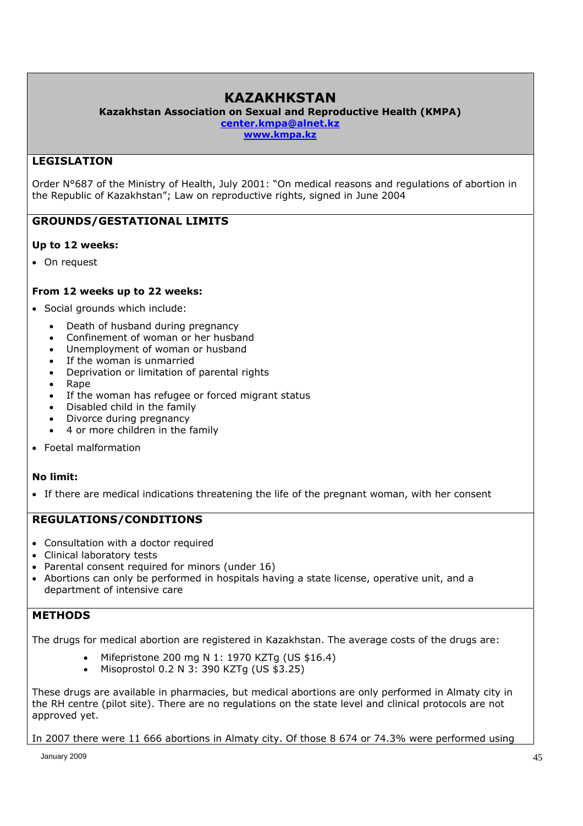# **KAZAKHKSTAN**

**Kazakhstan Association on Sexual and Reproductive Health (KMPA)** 

**center.kmpa@alnet.kz** 

**www.kmpa.kz** 

### **LEGISLATION**

Order N°687 of the Ministry of Health, July 2001: "On medical reasons and regulations of abortion in the Republic of Kazakhstan"; Law on reproductive rights, signed in June 2004

# **GROUNDS/GESTATIONAL LIMITS**

### **Up to 12 weeks:**

• On request

### **From 12 weeks up to 22 weeks:**

- Social grounds which include:
	- Death of husband during pregnancy
	- Confinement of woman or her husband
	- Unemployment of woman or husband
	- If the woman is unmarried
	- Deprivation or limitation of parental rights
	- Rape
	- If the woman has refugee or forced migrant status
	- Disabled child in the family
	- Divorce during pregnancy
	- 4 or more children in the family
- Foetal malformation

### **No limit:**

If there are medical indications threatening the life of the pregnant woman, with her consent

### **REGULATIONS/CONDITIONS**

- Consultation with a doctor required
- Clinical laboratory tests
- Parental consent required for minors (under 16)
- Abortions can only be performed in hospitals having a state license, operative unit, and a department of intensive care

### **METHODS**

The drugs for medical abortion are registered in Kazakhstan. The average costs of the drugs are:

- Mifepristone 200 mg N 1: 1970 KZTg (US \$16.4)
- Misoprostol 0.2 N 3: 390 KZTg (US \$3.25)

These drugs are available in pharmacies, but medical abortions are only performed in Almaty city in the RH centre (pilot site). There are no regulations on the state level and clinical protocols are not approved yet.

In 2007 there were 11 666 abortions in Almaty city. Of those 8 674 or 74.3% were performed using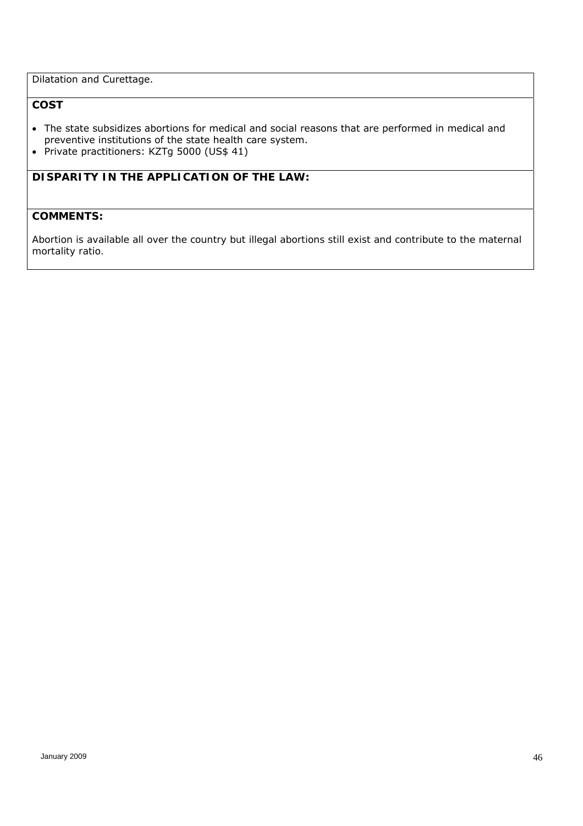Dilatation and Curettage.

# **COST**

- The state subsidizes abortions for medical and social reasons that are performed in medical and preventive institutions of the state health care system.
- Private practitioners: KZTg 5000 (US\$ 41)

# *DISPARITY IN THE APPLICATION OF THE LAW:*

### *COMMENTS:*

*Abortion is available all over the country but illegal abortions still exist and contribute to the maternal mortality ratio.*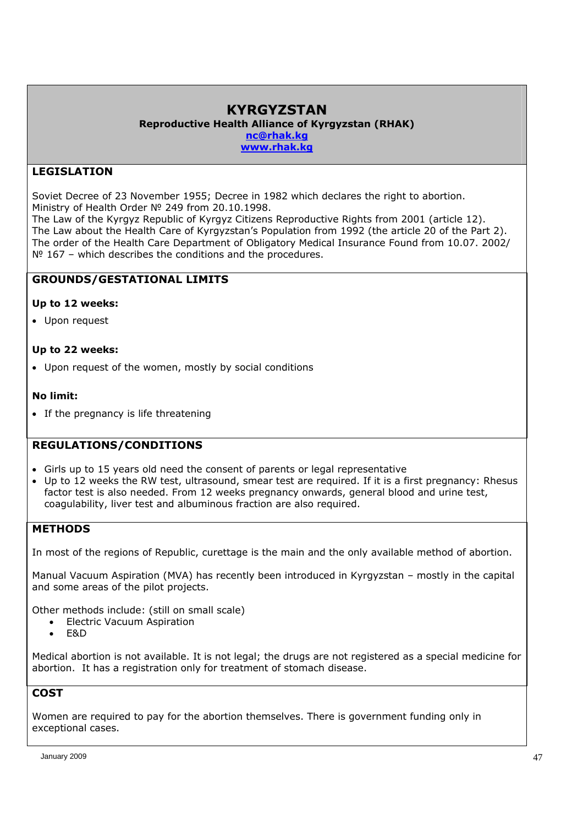# **KYRGYZSTAN**

**Reproductive Health Alliance of Kyrgyzstan (RHAK)** 

**nc@rhak.kg**

**www.rhak.kg** 

# **LEGISLATION**

Soviet Decree of 23 November 1955; Decree in 1982 which declares the right to abortion. Ministry of Health Order № 249 from 20.10.1998.

The Law of the Kyrgyz Republic of Kyrgyz Citizens Reproductive Rights from 2001 (article 12). The Law about the Health Care of Kyrgyzstan's Population from 1992 (the article 20 of the Part 2). The order of the Health Care Department of Obligatory Medical Insurance Found from 10.07. 2002/  $N<sup>o</sup>$  167 – which describes the conditions and the procedures.

# **GROUNDS/GESTATIONAL LIMITS**

### **Up to 12 weeks:**

Upon request

### **Up to 22 weeks:**

Upon request of the women, mostly by social conditions

### **No limit:**

• If the pregnancy is life threatening

### **REGULATIONS/CONDITIONS**

- Girls up to 15 years old need the consent of parents or legal representative
- Up to 12 weeks the RW test, ultrasound, smear test are required. If it is a first pregnancy: Rhesus factor test is also needed. From 12 weeks pregnancy onwards, general blood and urine test, coagulability, liver test and albuminous fraction are also required.

### **METHODS**

In most of the regions of Republic, curettage is the main and the only available method of abortion.

Manual Vacuum Aspiration (MVA) has recently been introduced in Kyrgyzstan – mostly in the capital and some areas of the pilot projects.

Other methods include: (still on small scale)

- Electric Vacuum Aspiration
- $-$ F&D

Medical abortion is not available. It is not legal; the drugs are not registered as a special medicine for abortion. It has a registration only for treatment of stomach disease.

# **COST**

Women are required to pay for the abortion themselves. There is government funding only in exceptional cases.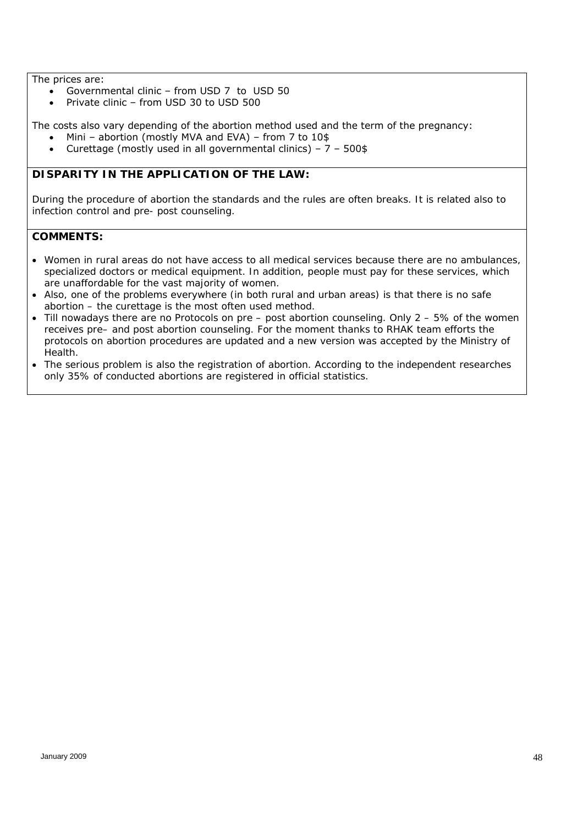The prices are:

- Governmental clinic from USD 7 to USD 50
- Private clinic from USD 30 to USD 500

The costs also vary depending of the abortion method used and the term of the pregnancy:

- Mini abortion (mostly MVA and EVA) from 7 to 10\$
- Curettage (mostly used in all governmental clinics)  $7 500$ \$

### *DISPARITY IN THE APPLICATION OF THE LAW:*

*During the procedure of abortion the standards and the rules are often breaks. It is related also to infection control and pre- post counseling.* 

- *Women in rural areas do not have access to all medical services because there are no ambulances, specialized doctors or medical equipment. In addition, people must pay for these services, which are unaffordable for the vast majority of women.*
- *Also, one of the problems everywhere (in both rural and urban areas) is that there is no safe abortion – the curettage is the most often used method.*
- *Till nowadays there are no Protocols on pre post abortion counseling. Only 2 5% of the women receives pre– and post abortion counseling. For the moment thanks to RHAK team efforts the protocols on abortion procedures are updated and a new version was accepted by the Ministry of Health.*
- *The serious problem is also the registration of abortion. According to the independent researches only 35% of conducted abortions are registered in official statistics.*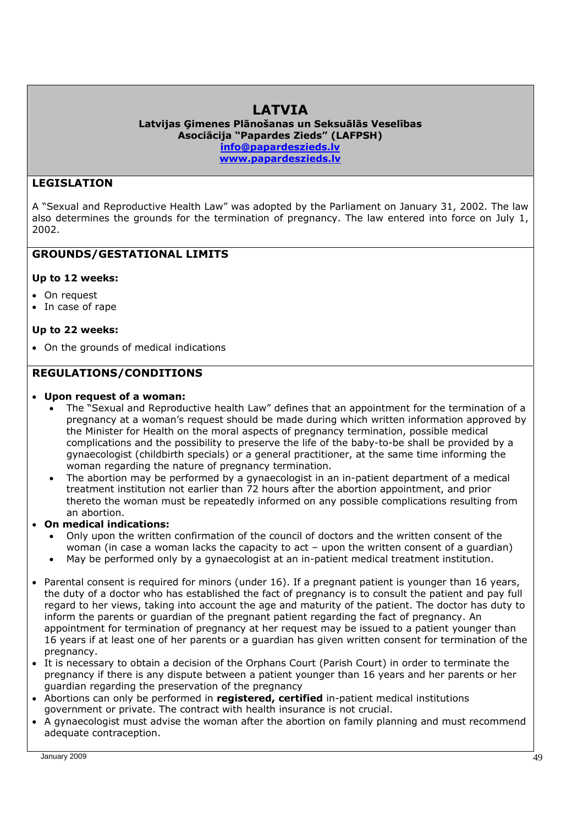# **LATVIA**

**Latvijas Ģimenes Plānošanas un Seksuālās Veselības Asociācija "Papardes Zieds" (LAFPSH) info@papardeszieds.lv www.papardeszieds.lv** 

### **LEGISLATION**

A "Sexual and Reproductive Health Law" was adopted by the Parliament on January 31, 2002. The law also determines the grounds for the termination of pregnancy. The law entered into force on July 1, 2002.

### **GROUNDS/GESTATIONAL LIMITS**

### **Up to 12 weeks:**

- On request
- In case of rape

### **Up to 22 weeks:**

On the grounds of medical indications

### **REGULATIONS/CONDITIONS**

### **Upon request of a woman:**

- The "Sexual and Reproductive health Law" defines that an appointment for the termination of a pregnancy at a woman's request should be made during which written information approved by the Minister for Health on the moral aspects of pregnancy termination, possible medical complications and the possibility to preserve the life of the baby-to-be shall be provided by a gynaecologist (childbirth specials) or a general practitioner, at the same time informing the woman regarding the nature of pregnancy termination.
- The abortion may be performed by a gynaecologist in an in-patient department of a medical treatment institution not earlier than 72 hours after the abortion appointment, and prior thereto the woman must be repeatedly informed on any possible complications resulting from an abortion.
- **On medical indications:** 
	- Only upon the written confirmation of the council of doctors and the written consent of the woman (in case a woman lacks the capacity to act – upon the written consent of a guardian)
	- May be performed only by a gynaecologist at an in-patient medical treatment institution.
- Parental consent is required for minors (under 16). If a pregnant patient is younger than 16 years, the duty of a doctor who has established the fact of pregnancy is to consult the patient and pay full regard to her views, taking into account the age and maturity of the patient. The doctor has duty to inform the parents or guardian of the pregnant patient regarding the fact of pregnancy. An appointment for termination of pregnancy at her request may be issued to a patient younger than 16 years if at least one of her parents or a guardian has given written consent for termination of the pregnancy.
- It is necessary to obtain a decision of the Orphans Court (Parish Court) in order to terminate the pregnancy if there is any dispute between a patient younger than 16 years and her parents or her guardian regarding the preservation of the pregnancy
- Abortions can only be performed in **registered, certified** in-patient medical institutions government or private. The contract with health insurance is not crucial.
- A gynaecologist must advise the woman after the abortion on family planning and must recommend adequate contraception.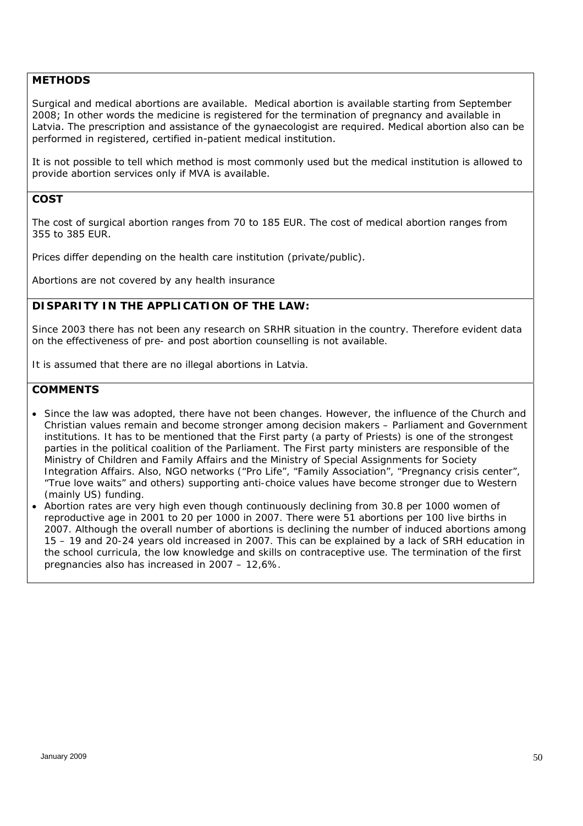### **METHODS**

Surgical and medical abortions are available. Medical abortion is available starting from September 2008; In other words the medicine is registered for the termination of pregnancy and available in Latvia. The prescription and assistance of the gynaecologist are required. Medical abortion also can be performed in registered, certified in-patient medical institution.

It is not possible to tell which method is most commonly used but the medical institution is allowed to provide abortion services only if MVA is available.

### **COST**

The cost of surgical abortion ranges from 70 to 185 EUR. The cost of medical abortion ranges from 355 to 385 EUR.

Prices differ depending on the health care institution (private/public).

Abortions are not covered by any health insurance

### *DISPARITY IN THE APPLICATION OF THE LAW:*

*Since 2003 there has not been any research on SRHR situation in the country. Therefore evident data on the effectiveness of pre- and post abortion counselling is not available.* 

*It is assumed that there are no illegal abortions in Latvia.* 

- *Since the law was adopted, there have not been changes. However, the influence of the Church and Christian values remain and become stronger among decision makers – Parliament and Government institutions. It has to be mentioned that the First party (a party of Priests) is one of the strongest parties in the political coalition of the Parliament. The First party ministers are responsible of the Ministry of Children and Family Affairs and the Ministry of Special Assignments for Society Integration Affairs. Also, NGO networks ("Pro Life", "Family Association", "Pregnancy crisis center", "True love waits" and others) supporting anti-choice values have become stronger due to Western (mainly US) funding.*
- Abortion rates are very high even though continuously declining from 30.8 per 1000 women of *reproductive age in 2001 to 20 per 1000 in 2007. There were 51 abortions per 100 live births in 2007. Although the overall number of abortions is declining the number of induced abortions among 15 – 19 and 20-24 years old increased in 2007. This can be explained by a lack of SRH education in the school curricula, the low knowledge and skills on contraceptive use. The termination of the first pregnancies also has increased in 2007 – 12,6%.*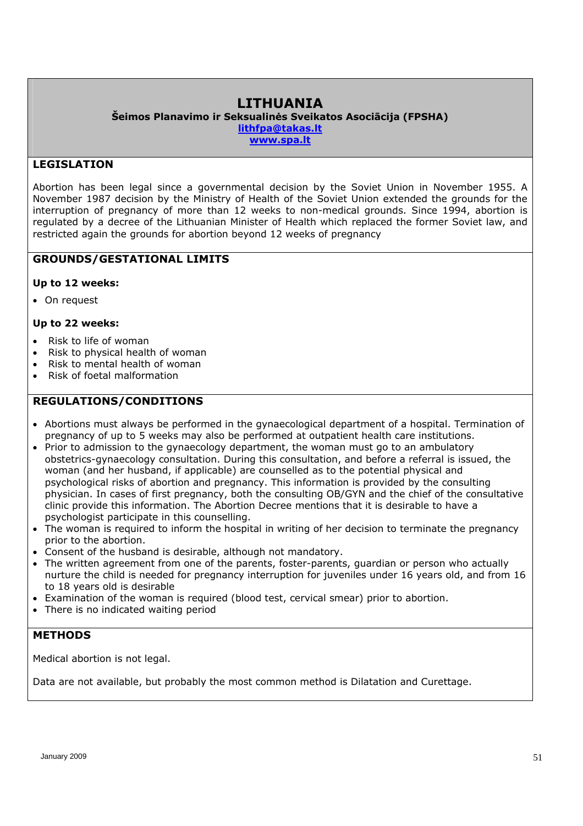# **LITHUANIA**

**Šeimos Planavimo ir Seksualinės Sveikatos Asociācija (FPSHA) lithfpa@takas.lt**

**www.spa.lt** 

## **LEGISLATION**

Abortion has been legal since a governmental decision by the Soviet Union in November 1955. A November 1987 decision by the Ministry of Health of the Soviet Union extended the grounds for the interruption of pregnancy of more than 12 weeks to non-medical grounds. Since 1994, abortion is regulated by a decree of the Lithuanian Minister of Health which replaced the former Soviet law, and restricted again the grounds for abortion beyond 12 weeks of pregnancy

### **GROUNDS/GESTATIONAL LIMITS**

### **Up to 12 weeks:**

• On request

### **Up to 22 weeks:**

- Risk to life of woman
- Risk to physical health of woman
- Risk to mental health of woman
- Risk of foetal malformation

### **REGULATIONS/CONDITIONS**

- Abortions must always be performed in the gynaecological department of a hospital. Termination of pregnancy of up to 5 weeks may also be performed at outpatient health care institutions.
- Prior to admission to the gynaecology department, the woman must go to an ambulatory obstetrics-gynaecology consultation. During this consultation, and before a referral is issued, the woman (and her husband, if applicable) are counselled as to the potential physical and psychological risks of abortion and pregnancy. This information is provided by the consulting physician. In cases of first pregnancy, both the consulting OB/GYN and the chief of the consultative clinic provide this information. The Abortion Decree mentions that it is desirable to have a psychologist participate in this counselling.
- The woman is required to inform the hospital in writing of her decision to terminate the pregnancy prior to the abortion.
- Consent of the husband is desirable, although not mandatory.
- The written agreement from one of the parents, foster-parents, guardian or person who actually nurture the child is needed for pregnancy interruption for juveniles under 16 years old, and from 16 to 18 years old is desirable
- Examination of the woman is required (blood test, cervical smear) prior to abortion.
- There is no indicated waiting period

### **METHODS**

Medical abortion is not legal.

Data are not available, but probably the most common method is Dilatation and Curettage.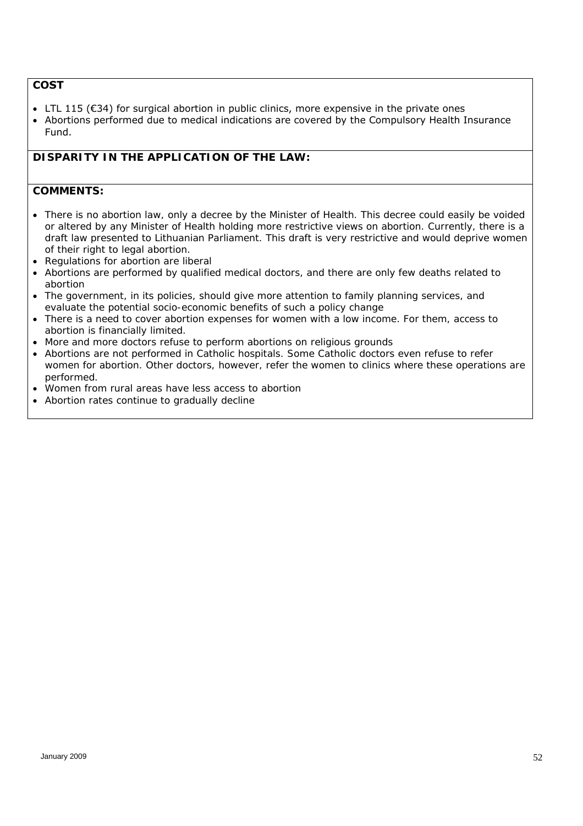# **COST**

- LTL 115 (€34) for surgical abortion in public clinics, more expensive in the private ones
- Abortions performed due to medical indications are covered by the Compulsory Health Insurance Fund.

# *DISPARITY IN THE APPLICATION OF THE LAW:*

- *There is no abortion law, only a decree by the Minister of Health. This decree could easily be voided or altered by any Minister of Health holding more restrictive views on abortion. Currently, there is a draft law presented to Lithuanian Parliament. This draft is very restrictive and would deprive women of their right to legal abortion.*
- *Regulations for abortion are liberal*
- *Abortions are performed by qualified medical doctors, and there are only few deaths related to abortion*
- *The government, in its policies, should give more attention to family planning services, and evaluate the potential socio-economic benefits of such a policy change*
- *There is a need to cover abortion expenses for women with a low income. For them, access to abortion is financially limited.*
- *More and more doctors refuse to perform abortions on religious grounds*
- *Abortions are not performed in Catholic hospitals. Some Catholic doctors even refuse to refer women for abortion. Other doctors, however, refer the women to clinics where these operations are performed.*
- *Women from rural areas have less access to abortion*
- *Abortion rates continue to gradually decline*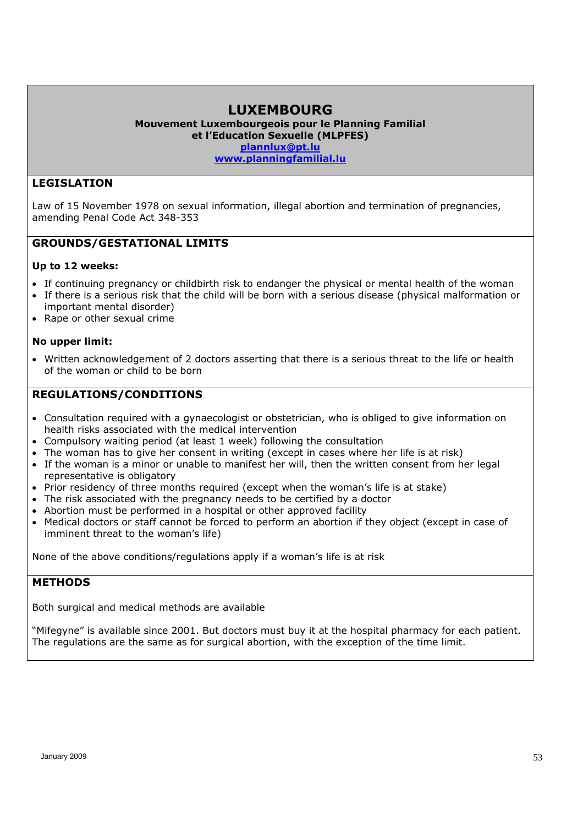# **LUXEMBOURG**

**Mouvement Luxembourgeois pour le Planning Familial et l'Education Sexuelle (MLPFES) plannlux@pt.lu**

**www.planningfamilial.lu**

### **LEGISLATION**

Law of 15 November 1978 on sexual information, illegal abortion and termination of pregnancies, amending Penal Code Act 348-353

### **GROUNDS/GESTATIONAL LIMITS**

### **Up to 12 weeks:**

- If continuing pregnancy or childbirth risk to endanger the physical or mental health of the woman
- If there is a serious risk that the child will be born with a serious disease (physical malformation or important mental disorder)
- Rape or other sexual crime

#### **No upper limit:**

 Written acknowledgement of 2 doctors asserting that there is a serious threat to the life or health of the woman or child to be born

### **REGULATIONS/CONDITIONS**

- Consultation required with a gynaecologist or obstetrician, who is obliged to give information on health risks associated with the medical intervention
- Compulsory waiting period (at least 1 week) following the consultation
- The woman has to give her consent in writing (except in cases where her life is at risk)
- If the woman is a minor or unable to manifest her will, then the written consent from her legal representative is obligatory
- Prior residency of three months required (except when the woman's life is at stake)
- The risk associated with the pregnancy needs to be certified by a doctor
- Abortion must be performed in a hospital or other approved facility
- Medical doctors or staff cannot be forced to perform an abortion if they object (except in case of imminent threat to the woman's life)

None of the above conditions/regulations apply if a woman's life is at risk

### **METHODS**

Both surgical and medical methods are available

"Mifegyne" is available since 2001. But doctors must buy it at the hospital pharmacy for each patient. The regulations are the same as for surgical abortion, with the exception of the time limit.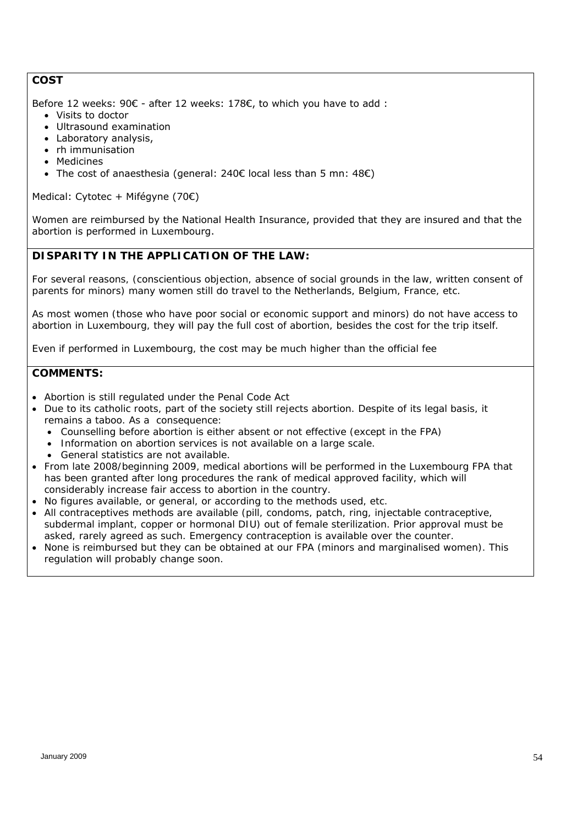# **COST**

Before 12 weeks: 90€ - after 12 weeks: 178€, to which you have to add :

- Visits to doctor
- Ultrasound examination
- Laboratory analysis,
- rh immunisation
- Medicines
- The cost of anaesthesia (general: 240€ local less than 5 mn: 48€)

Medical: Cytotec + Mifégyne (70€)

Women are reimbursed by the National Health Insurance, provided that they are insured and that the abortion is performed in Luxembourg.

# *DISPARITY IN THE APPLICATION OF THE LAW:*

*For several reasons, (conscientious objection, absence of social grounds in the law, written consent of parents for minors) many women still do travel to the Netherlands, Belgium, France, etc.* 

*As most women (those who have poor social or economic support and minors) do not have access to abortion in Luxembourg, they will pay the full cost of abortion, besides the cost for the trip itself.* 

*Even if performed in Luxembourg, the cost may be much higher than the official fee* 

- *Abortion is still regulated under the Penal Code Act*
- *Due to its catholic roots, part of the society still rejects abortion. Despite of its legal basis, it remains a taboo. As a consequence:* 
	- *Counselling before abortion is either absent or not effective (except in the FPA)*
	- *Information on abortion services is not available on a large scale.*
	- *General statistics are not available.*
- *From late 2008/beginning 2009, medical abortions will be performed in the Luxembourg FPA that*  has been granted after long procedures the rank of medical approved facility, which will *considerably increase fair access to abortion in the country.*
- No figures available, or general, or according to the methods used, etc.
- *All contraceptives methods are available (pill, condoms, patch, ring, injectable contraceptive, subdermal implant, copper or hormonal DIU) out of female sterilization. Prior approval must be asked, rarely agreed as such. Emergency contraception is available over the counter.*
- *None is reimbursed but they can be obtained at our FPA (minors and marginalised women). This regulation will probably change soon.*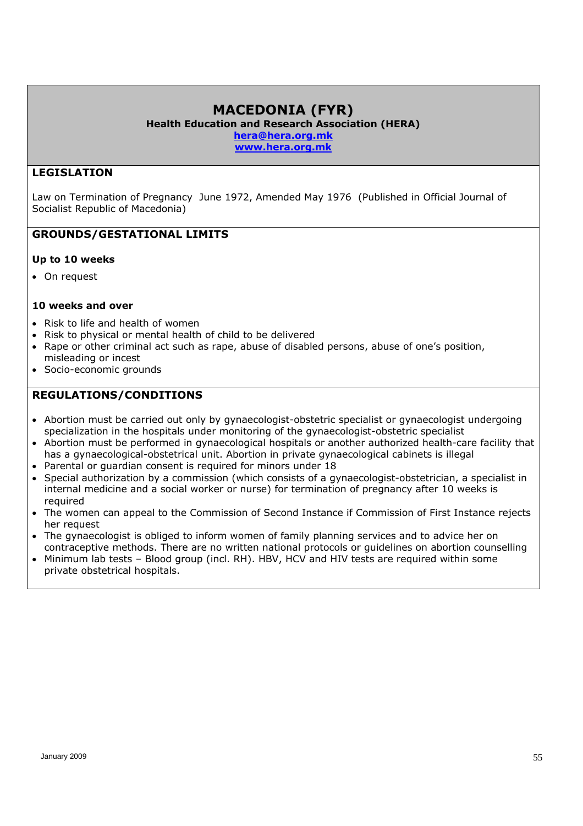# **MACEDONIA (FYR)**

**Health Education and Research Association (HERA)** 

**hera@hera.org.mk**

**www.hera.org.mk**

# **LEGISLATION**

Law on Termination of Pregnancy June 1972, Amended May 1976 (Published in Official Journal of Socialist Republic of Macedonia)

### **GROUNDS/GESTATIONAL LIMITS**

### **Up to 10 weeks**

On request

### **10 weeks and over**

- Risk to life and health of women
- Risk to physical or mental health of child to be delivered
- Rape or other criminal act such as rape, abuse of disabled persons, abuse of one's position, misleading or incest
- Socio-economic grounds

# **REGULATIONS/CONDITIONS**

- Abortion must be carried out only by gynaecologist-obstetric specialist or gynaecologist undergoing specialization in the hospitals under monitoring of the gynaecologist-obstetric specialist
- Abortion must be performed in gynaecological hospitals or another authorized health-care facility that has a gynaecological-obstetrical unit. Abortion in private gynaecological cabinets is illegal
- Parental or guardian consent is required for minors under 18
- Special authorization by a commission (which consists of a gynaecologist-obstetrician, a specialist in internal medicine and a social worker or nurse) for termination of pregnancy after 10 weeks is required
- The women can appeal to the Commission of Second Instance if Commission of First Instance rejects her request
- The gynaecologist is obliged to inform women of family planning services and to advice her on contraceptive methods. There are no written national protocols or guidelines on abortion counselling
- Minimum lab tests Blood group (incl. RH). HBV, HCV and HIV tests are required within some private obstetrical hospitals.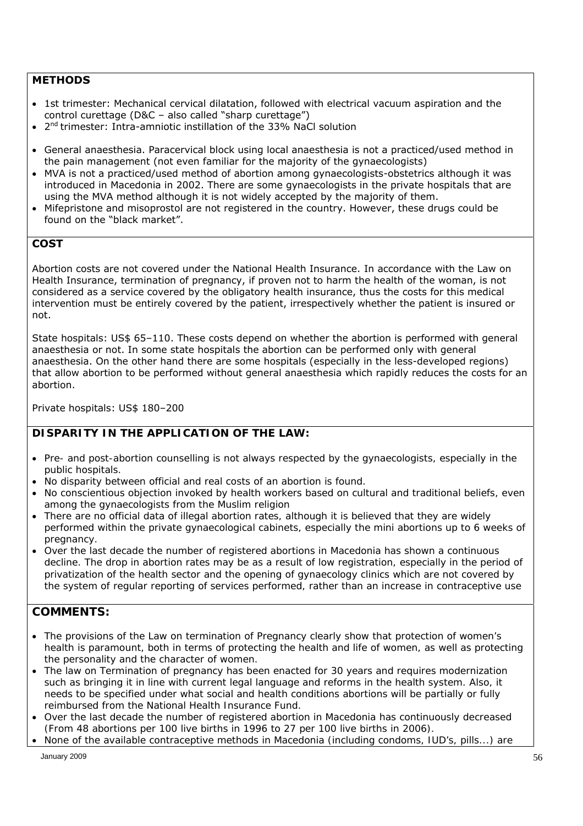### **METHODS**

- 1st trimester: Mechanical cervical dilatation, followed with electrical vacuum aspiration and the control curettage (D&C – also called "sharp curettage")
- $\bullet$  2<sup>nd</sup> trimester: Intra-amniotic instillation of the 33% NaCl solution
- General anaesthesia. Paracervical block using local anaesthesia is not a practiced/used method in the pain management (not even familiar for the majority of the gynaecologists)
- MVA is not a practiced/used method of abortion among gynaecologists-obstetrics although it was introduced in Macedonia in 2002. There are some gynaecologists in the private hospitals that are using the MVA method although it is not widely accepted by the majority of them.
- Mifepristone and misoprostol are not registered in the country. However, these drugs could be found on the "black market".

### **COST**

Abortion costs are not covered under the National Health Insurance. In accordance with the Law on Health Insurance, termination of pregnancy, if proven not to harm the health of the woman, is not considered as a service covered by the obligatory health insurance, thus the costs for this medical intervention must be entirely covered by the patient, irrespectively whether the patient is insured or not.

State hospitals: US\$ 65–110. These costs depend on whether the abortion is performed with general anaesthesia or not. In some state hospitals the abortion can be performed only with general anaesthesia. On the other hand there are some hospitals (especially in the less-developed regions) that allow abortion to be performed without general anaesthesia which rapidly reduces the costs for an abortion.

Private hospitals: US\$ 180–200

### *DISPARITY IN THE APPLICATION OF THE LAW:*

- *Pre- and post-abortion counselling is not always respected by the gynaecologists, especially in the public hospitals.*
- *No disparity between official and real costs of an abortion is found.*
- *No conscientious objection invoked by health workers based on cultural and traditional beliefs, even among the gynaecologists from the Muslim religion*
- *There are no official data of illegal abortion rates, although it is believed that they are widely performed within the private gynaecological cabinets, especially the mini abortions up to 6 weeks of pregnancy.*
- *Over the last decade the number of registered abortions in Macedonia has shown a continuous*  decline. The drop in abortion rates may be as a result of low registration, especially in the period of *privatization of the health sector and the opening of gynaecology clinics which are not covered by the system of regular reporting of services performed, rather than an increase in contraceptive use*

- *The provisions of the Law on termination of Pregnancy clearly show that protection of women's health is paramount, both in terms of protecting the health and life of women, as well as protecting the personality and the character of women.*
- *The law on Termination of pregnancy has been enacted for 30 years and requires modernization such as bringing it in line with current legal language and reforms in the health system. Also, it needs to be specified under what social and health conditions abortions will be partially or fully reimbursed from the National Health Insurance Fund.*
- *Over the last decade the number of registered abortion in Macedonia has continuously decreased (From 48 abortions per 100 live births in 1996 to 27 per 100 live births in 2006).*
- *None of the available contraceptive methods in Macedonia (including condoms, IUD's, pills...) are*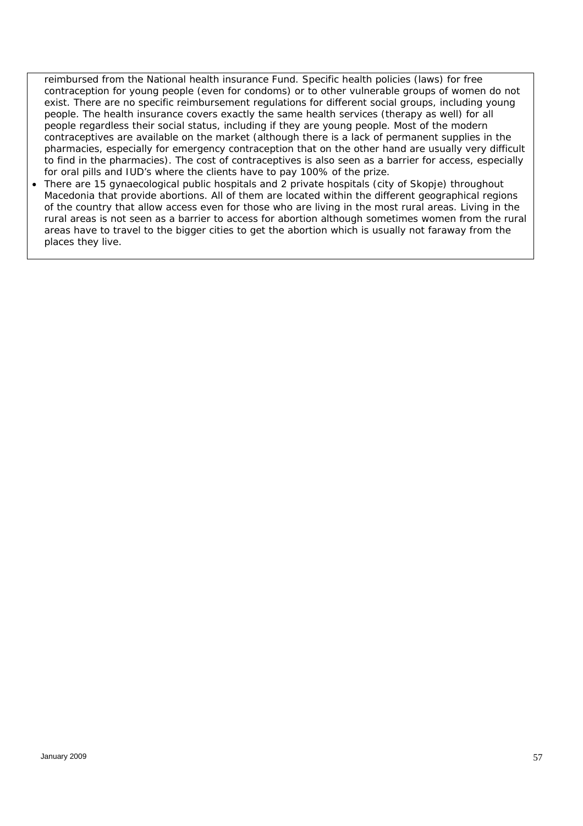*reimbursed from the National health insurance Fund. Specific health policies (laws) for free contraception for young people (even for condoms) or to other vulnerable groups of women do not*  exist. There are no specific reimbursement regulations for different social groups, including young people. The health insurance covers exactly the same health services (therapy as well) for all *people regardless their social status, including if they are young people. Most of the modern contraceptives are available on the market (although there is a lack of permanent supplies in the pharmacies, especially for emergency contraception that on the other hand are usually very difficult to find in the pharmacies). The cost of contraceptives is also seen as a barrier for access, especially for oral pills and IUD's where the clients have to pay 100% of the prize.* 

 *There are 15 gynaecological public hospitals and 2 private hospitals (city of Skopje) throughout Macedonia that provide abortions. All of them are located within the different geographical regions of the country that allow access even for those who are living in the most rural areas. Living in the rural areas is not seen as a barrier to access for abortion although sometimes women from the rural areas have to travel to the bigger cities to get the abortion which is usually not faraway from the places they live.*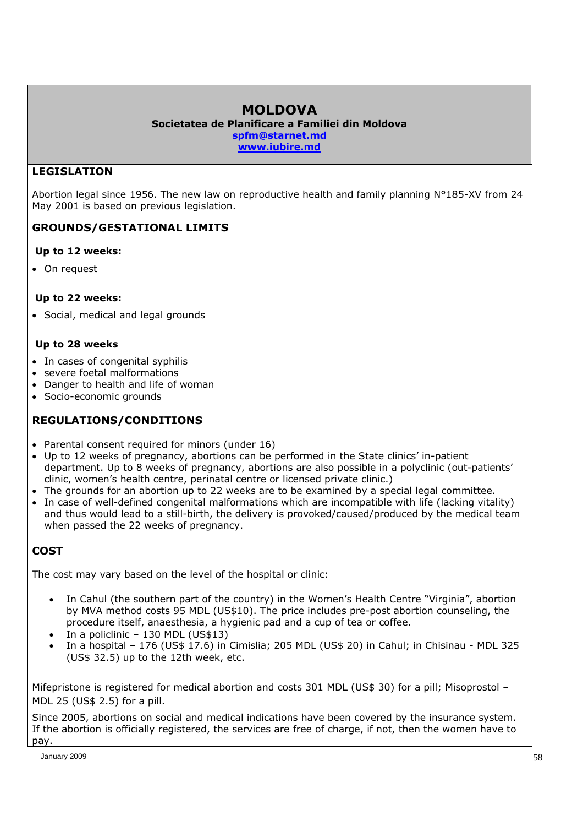# **MOLDOVA**

**Societatea de Planificare a Familiei din Moldova spfm@starnet.md** 

**www.iubire.md** 

# **LEGISLATION**

Abortion legal since 1956. The new law on reproductive health and family planning N°185-XV from 24 May 2001 is based on previous legislation.

### **GROUNDS/GESTATIONAL LIMITS**

### **Up to 12 weeks:**

On request

### **Up to 22 weeks:**

Social, medical and legal grounds

### **Up to 28 weeks**

- In cases of congenital syphilis
- severe foetal malformations
- Danger to health and life of woman
- Socio-economic grounds

# **REGULATIONS/CONDITIONS**

- Parental consent required for minors (under 16)
- Up to 12 weeks of pregnancy, abortions can be performed in the State clinics' in-patient department. Up to 8 weeks of pregnancy, abortions are also possible in a polyclinic (out-patients' clinic, women's health centre, perinatal centre or licensed private clinic.)
- The grounds for an abortion up to 22 weeks are to be examined by a special legal committee.
- In case of well-defined congenital malformations which are incompatible with life (lacking vitality) and thus would lead to a still-birth, the delivery is provoked/caused/produced by the medical team when passed the 22 weeks of pregnancy.

# **COST**

The cost may vary based on the level of the hospital or clinic:

- In Cahul (the southern part of the country) in the Women's Health Centre "Virginia", abortion by MVA method costs 95 MDL (US\$10). The price includes pre-post abortion counseling, the procedure itself, anaesthesia, a hygienic pad and a cup of tea or coffee.
- In a policlinic 130 MDL (US\$13)
- In a hospital 176 (US\$ 17.6) in Cimislia; 205 MDL (US\$ 20) in Cahul; in Chisinau MDL 325 (US\$ 32.5) up to the 12th week, etc.

Mifepristone is registered for medical abortion and costs 301 MDL (US\$ 30) for a pill; Misoprostol -MDL 25 (US\$ 2.5) for a pill.

Since 2005, abortions on social and medical indications have been covered by the insurance system. If the abortion is officially registered, the services are free of charge, if not, then the women have to pay.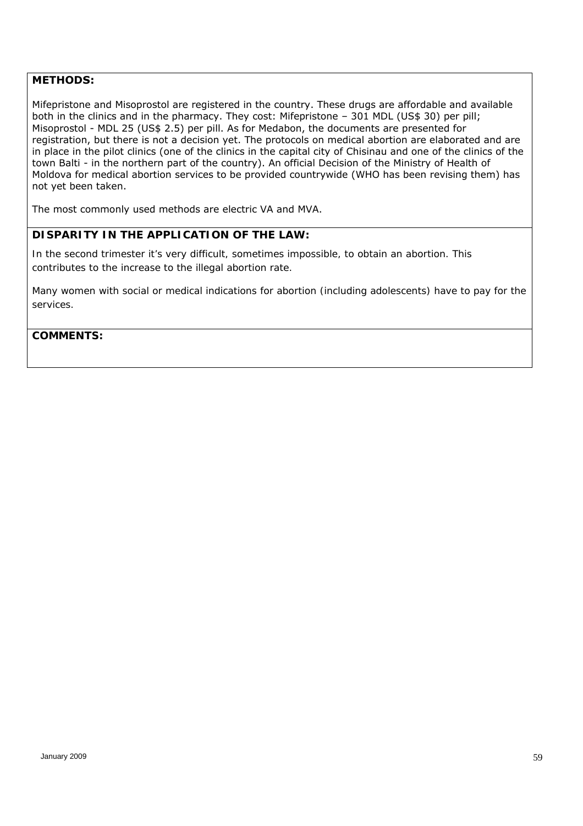### **METHODS:**

Mifepristone and Misoprostol are registered in the country. These drugs are affordable and available both in the clinics and in the pharmacy. They cost: Mifepristone - 301 MDL (US\$ 30) per pill; Misoprostol - MDL 25 (US\$ 2.5) per pill. As for Medabon, the documents are presented for registration, but there is not a decision yet. The protocols on medical abortion are elaborated and are in place in the pilot clinics (one of the clinics in the capital city of Chisinau and one of the clinics of the town Balti - in the northern part of the country). An official Decision of the Ministry of Health of Moldova for medical abortion services to be provided countrywide (WHO has been revising them) has not yet been taken.

The most commonly used methods are electric VA and MVA.

### *DISPARITY IN THE APPLICATION OF THE LAW:*

*In the second trimester it's very difficult, sometimes impossible, to obtain an abortion. This contributes to the increase to the illegal abortion rate.* 

*Many women with social or medical indications for abortion (including adolescents) have to pay for the services.*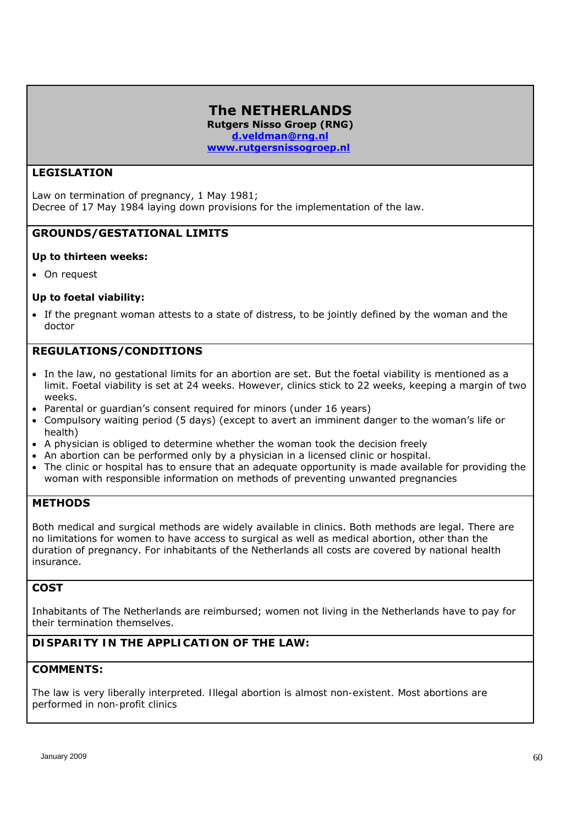### **The NETHERLANDS Rutgers Nisso Groep (RNG) d.veldman@rng.nl www.rutgersnissogroep.nl**

### **LEGISLATION**

Law on termination of pregnancy, 1 May 1981; Decree of 17 May 1984 laying down provisions for the implementation of the law.

### **GROUNDS/GESTATIONAL LIMITS**

#### **Up to thirteen weeks:**

• On request

### **Up to foetal viability:**

 If the pregnant woman attests to a state of distress, to be jointly defined by the woman and the doctor

### **REGULATIONS/CONDITIONS**

- In the law, no gestational limits for an abortion are set. But the foetal viability is mentioned as a limit. Foetal viability is set at 24 weeks. However, clinics stick to 22 weeks, keeping a margin of two weeks.
- Parental or quardian's consent required for minors (under 16 years)
- Compulsory waiting period (5 days) (except to avert an imminent danger to the woman's life or health)
- A physician is obliged to determine whether the woman took the decision freely
- An abortion can be performed only by a physician in a licensed clinic or hospital.
- The clinic or hospital has to ensure that an adequate opportunity is made available for providing the woman with responsible information on methods of preventing unwanted pregnancies

### **METHODS**

Both medical and surgical methods are widely available in clinics. Both methods are legal. There are no limitations for women to have access to surgical as well as medical abortion, other than the duration of pregnancy. For inhabitants of the Netherlands all costs are covered by national health insurance.

# **COST**

Inhabitants of The Netherlands are reimbursed; women not living in the Netherlands have to pay for their termination themselves.

### *DISPARITY IN THE APPLICATION OF THE LAW:*

### *COMMENTS:*

*The law is very liberally interpreted. Illegal abortion is almost non-existent. Most abortions are performed in non-profit clinics*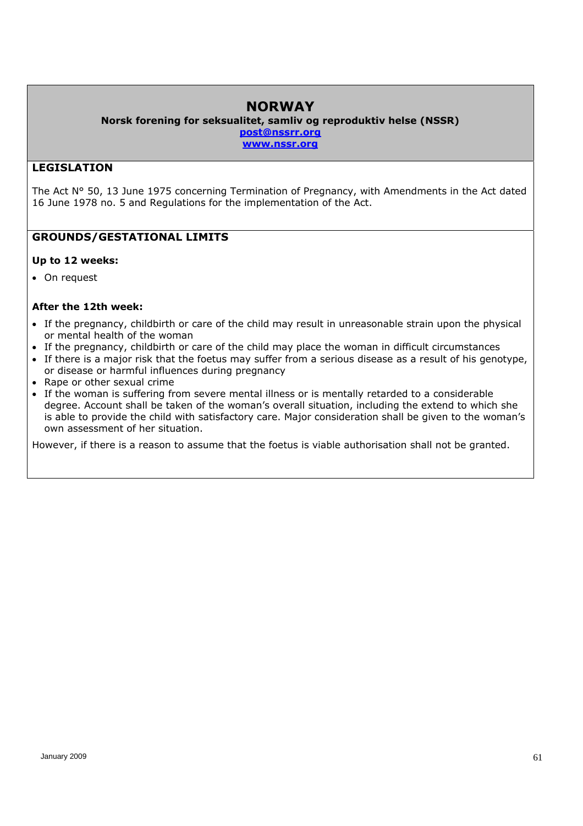# **NORWAY**

**Norsk forening for seksualitet, samliv og reproduktiv helse (NSSR) post@nssrr.org** 

**www.nssr.org** 

### **LEGISLATION**

The Act N° 50, 13 June 1975 concerning Termination of Pregnancy, with Amendments in the Act dated 16 June 1978 no. 5 and Regulations for the implementation of the Act.

### **GROUNDS/GESTATIONAL LIMITS**

### **Up to 12 weeks:**

• On request

### **After the 12th week:**

- If the pregnancy, childbirth or care of the child may result in unreasonable strain upon the physical or mental health of the woman
- If the pregnancy, childbirth or care of the child may place the woman in difficult circumstances
- If there is a major risk that the foetus may suffer from a serious disease as a result of his genotype, or disease or harmful influences during pregnancy
- Rape or other sexual crime
- If the woman is suffering from severe mental illness or is mentally retarded to a considerable degree. Account shall be taken of the woman's overall situation, including the extend to which she is able to provide the child with satisfactory care. Major consideration shall be given to the woman's own assessment of her situation.

However, if there is a reason to assume that the foetus is viable authorisation shall not be granted.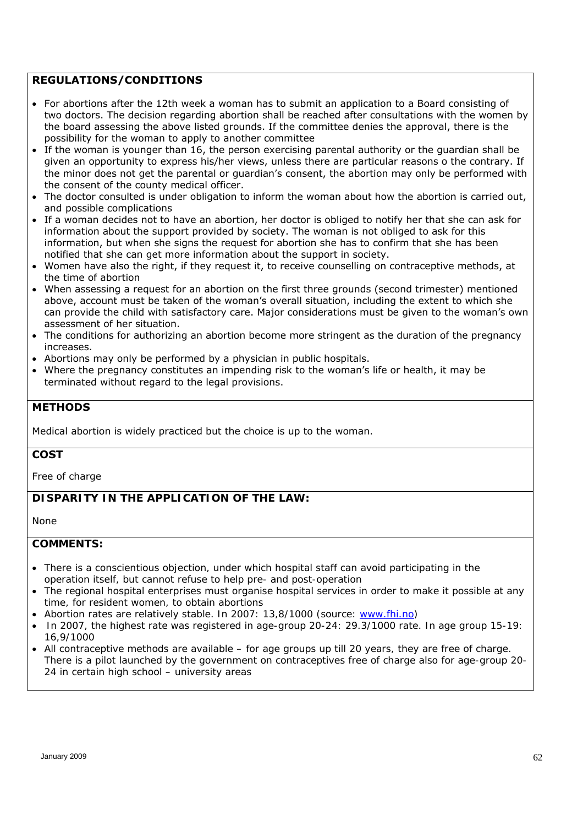### **REGULATIONS/CONDITIONS**

- For abortions after the 12th week a woman has to submit an application to a Board consisting of two doctors. The decision regarding abortion shall be reached after consultations with the women by the board assessing the above listed grounds. If the committee denies the approval, there is the possibility for the woman to apply to another committee
- If the woman is younger than 16, the person exercising parental authority or the guardian shall be given an opportunity to express his/her views, unless there are particular reasons o the contrary. If the minor does not get the parental or guardian's consent, the abortion may only be performed with the consent of the county medical officer.
- The doctor consulted is under obligation to inform the woman about how the abortion is carried out, and possible complications
- If a woman decides not to have an abortion, her doctor is obliged to notify her that she can ask for information about the support provided by society. The woman is not obliged to ask for this information, but when she signs the request for abortion she has to confirm that she has been notified that she can get more information about the support in society.
- Women have also the right, if they request it, to receive counselling on contraceptive methods, at the time of abortion
- When assessing a request for an abortion on the first three grounds (second trimester) mentioned above, account must be taken of the woman's overall situation, including the extent to which she can provide the child with satisfactory care. Major considerations must be given to the woman's own assessment of her situation.
- The conditions for authorizing an abortion become more stringent as the duration of the pregnancy increases.
- Abortions may only be performed by a physician in public hospitals.
- Where the pregnancy constitutes an impending risk to the woman's life or health, it may be terminated without regard to the legal provisions.

### **METHODS**

Medical abortion is widely practiced but the choice is up to the woman.

### **COST**

Free of charge

### *DISPARITY IN THE APPLICATION OF THE LAW:*

*None*

- *There is a conscientious objection, under which hospital staff can avoid participating in the operation itself, but cannot refuse to help pre- and post-operation*
- *The regional hospital enterprises must organise hospital services in order to make it possible at any time, for resident women, to obtain abortions*
- *Abortion rates are relatively stable. In 2007: 13,8/1000 (source: www.fhi.no)*
- *In 2007, the highest rate was registered in age-group 20-24: 29.3/1000 rate. In age group 15-19: 16,9/1000*
- *All contraceptive methods are available for age groups up till 20 years, they are free of charge. There is a pilot launched by the government on contraceptives free of charge also for age-group 20- 24 in certain high school – university areas*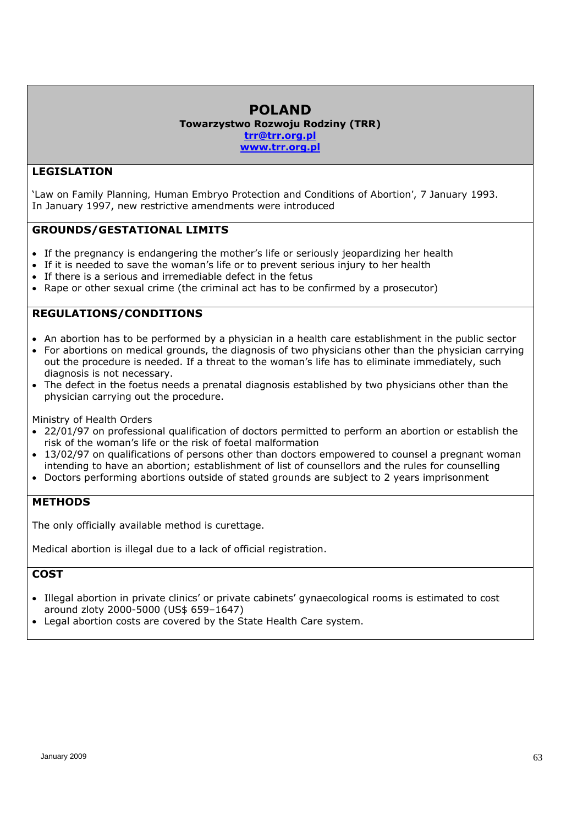# **POLAND**

**Towarzystwo Rozwoju Rodziny (TRR)** 

**trr@trr.org.pl www.trr.org.pl** 

# **LEGISLATION**

'*Law on Family Planning, Human Embryo Protection and Conditions of Abortion'*, 7 January 1993. In January 1997, new restrictive amendments were introduced

# **GROUNDS/GESTATIONAL LIMITS**

- If the pregnancy is endangering the mother's life or seriously jeopardizing her health
- If it is needed to save the woman's life or to prevent serious injury to her health
- If there is a serious and irremediable defect in the fetus
- Rape or other sexual crime (the criminal act has to be confirmed by a prosecutor)

# **REGULATIONS/CONDITIONS**

- An abortion has to be performed by a physician in a health care establishment in the public sector
- For abortions on medical grounds, the diagnosis of two physicians other than the physician carrying out the procedure is needed. If a threat to the woman's life has to eliminate immediately, such diagnosis is not necessary.
- The defect in the foetus needs a prenatal diagnosis established by two physicians other than the physician carrying out the procedure.

Ministry of Health Orders

- 22/01/97 on professional qualification of doctors permitted to perform an abortion or establish the risk of the woman's life or the risk of foetal malformation
- 13/02/97 on qualifications of persons other than doctors empowered to counsel a pregnant woman intending to have an abortion; establishment of list of counsellors and the rules for counselling
- Doctors performing abortions outside of stated grounds are subject to 2 years imprisonment

# **METHODS**

The only officially available method is curettage.

Medical abortion is illegal due to a lack of official registration.

# **COST**

- Illegal abortion in private clinics' or private cabinets' gynaecological rooms is estimated to cost around zloty 2000-5000 (US\$ 659–1647)
- Legal abortion costs are covered by the State Health Care system.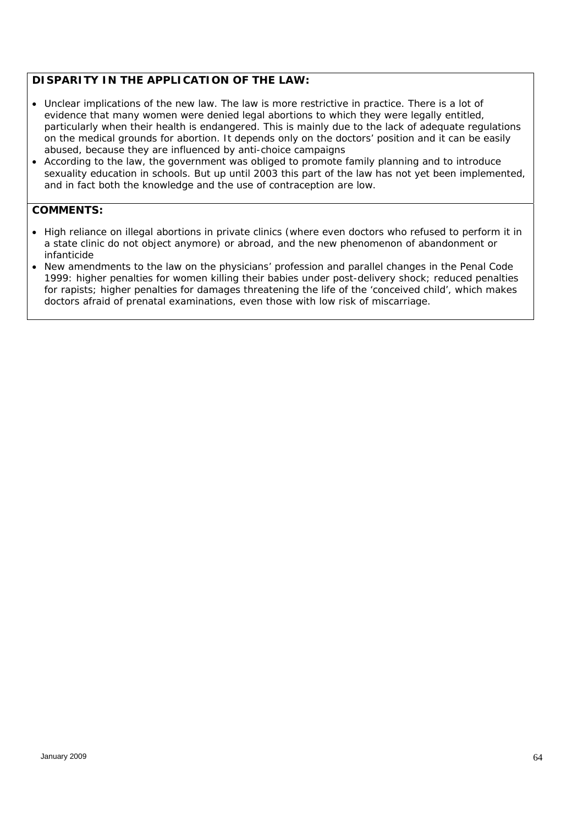### *DISPARITY IN THE APPLICATION OF THE LAW:*

- *Unclear implications of the new law. The law is more restrictive in practice. There is a lot of evidence that many women were denied legal abortions to which they were legally entitled, particularly when their health is endangered. This is mainly due to the lack of adequate regulations on the medical grounds for abortion. It depends only on the doctors' position and it can be easily abused, because they are influenced by anti-choice campaigns*
- *According to the law, the government was obliged to promote family planning and to introduce sexuality education in schools. But up until 2003 this part of the law has not yet been implemented, and in fact both the knowledge and the use of contraception are low.*

- *High reliance on illegal abortions in private clinics (where even doctors who refused to perform it in a state clinic do not object anymore) or abroad, and the new phenomenon of abandonment or infanticide*
- *New amendments to the law on the physicians' profession and parallel changes in the Penal Code 1999: higher penalties for women killing their babies under post-delivery shock; reduced penalties for rapists; higher penalties for damages threatening the life of the 'conceived child', which makes doctors afraid of prenatal examinations, even those with low risk of miscarriage.*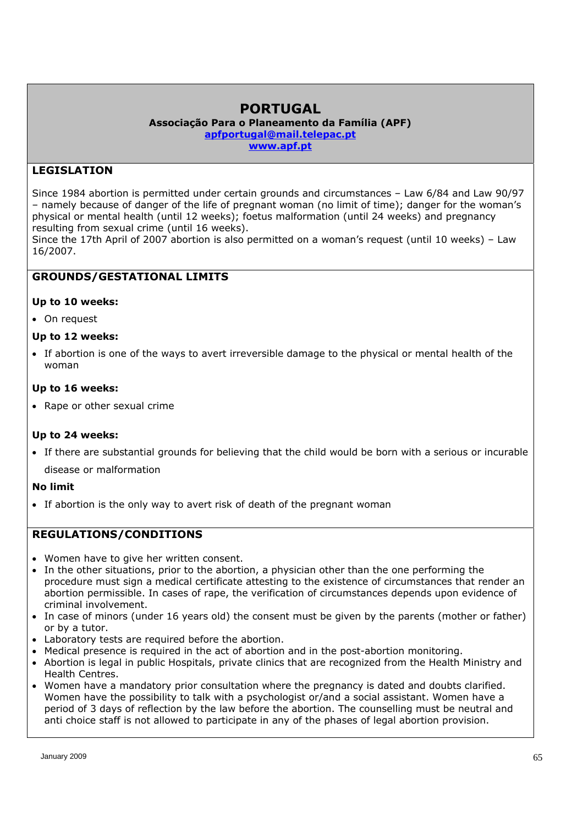# **PORTUGAL**

**Associação Para o Planeamento da Família (APF) apfportugal@mail.telepac.pt www.apf.pt**

# **LEGISLATION**

Since 1984 abortion is permitted under certain grounds and circumstances – Law 6/84 and Law 90/97 – namely because of danger of the life of pregnant woman (no limit of time); danger for the woman's physical or mental health (until 12 weeks); foetus malformation (until 24 weeks) and pregnancy resulting from sexual crime (until 16 weeks).

Since the 17th April of 2007 abortion is also permitted on a woman's request (until 10 weeks) – Law 16/2007.

### **GROUNDS/GESTATIONAL LIMITS**

### **Up to 10 weeks:**

• On request

### **Up to 12 weeks:**

 If abortion is one of the ways to avert irreversible damage to the physical or mental health of the woman

### **Up to 16 weeks:**

• Rape or other sexual crime

### **Up to 24 weeks:**

 If there are substantial grounds for believing that the child would be born with a serious or incurable disease or malformation

### **No limit**

• If abortion is the only way to avert risk of death of the pregnant woman

### **REGULATIONS/CONDITIONS**

- Women have to give her written consent.
- In the other situations, prior to the abortion, a physician other than the one performing the procedure must sign a medical certificate attesting to the existence of circumstances that render an abortion permissible. In cases of rape, the verification of circumstances depends upon evidence of criminal involvement.
- In case of minors (under 16 years old) the consent must be given by the parents (mother or father) or by a tutor.
- Laboratory tests are required before the abortion.
- Medical presence is required in the act of abortion and in the post-abortion monitoring.
- Abortion is legal in public Hospitals, private clinics that are recognized from the Health Ministry and Health Centres.
- Women have a mandatory prior consultation where the pregnancy is dated and doubts clarified. Women have the possibility to talk with a psychologist or/and a social assistant. Women have a period of 3 days of reflection by the law before the abortion. The counselling must be neutral and anti choice staff is not allowed to participate in any of the phases of legal abortion provision.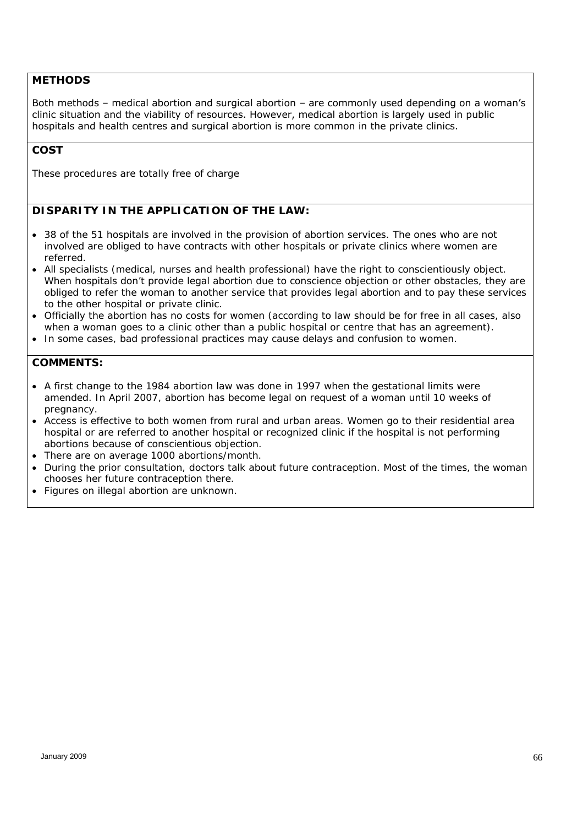### **METHODS**

Both methods – medical abortion and surgical abortion – are commonly used depending on a woman's clinic situation and the viability of resources. However, medical abortion is largely used in public hospitals and health centres and surgical abortion is more common in the private clinics.

### **COST**

These procedures are totally free of charge

### *DISPARITY IN THE APPLICATION OF THE LAW:*

- *38 of the 51 hospitals are involved in the provision of abortion services. The ones who are not involved are obliged to have contracts with other hospitals or private clinics where women are referred.*
- *All specialists (medical, nurses and health professional) have the right to conscientiously object. When hospitals don't provide legal abortion due to conscience objection or other obstacles, they are obliged to refer the woman to another service that provides legal abortion and to pay these services to the other hospital or private clinic.*
- *Officially the abortion has no costs for women (according to law should be for free in all cases, also when a woman goes to a clinic other than a public hospital or centre that has an agreement).*
- *In some cases, bad professional practices may cause delays and confusion to women.*

- *A first change to the 1984 abortion law was done in 1997 when the gestational limits were amended. In April 2007, abortion has become legal on request of a woman until 10 weeks of pregnancy.*
- *Access is effective to both women from rural and urban areas. Women go to their residential area hospital or are referred to another hospital or recognized clinic if the hospital is not performing abortions because of conscientious objection.*
- *There are on average 1000 abortions/month.*
- *During the prior consultation, doctors talk about future contraception. Most of the times, the woman chooses her future contraception there.*
- *Figures on illegal abortion are unknown.*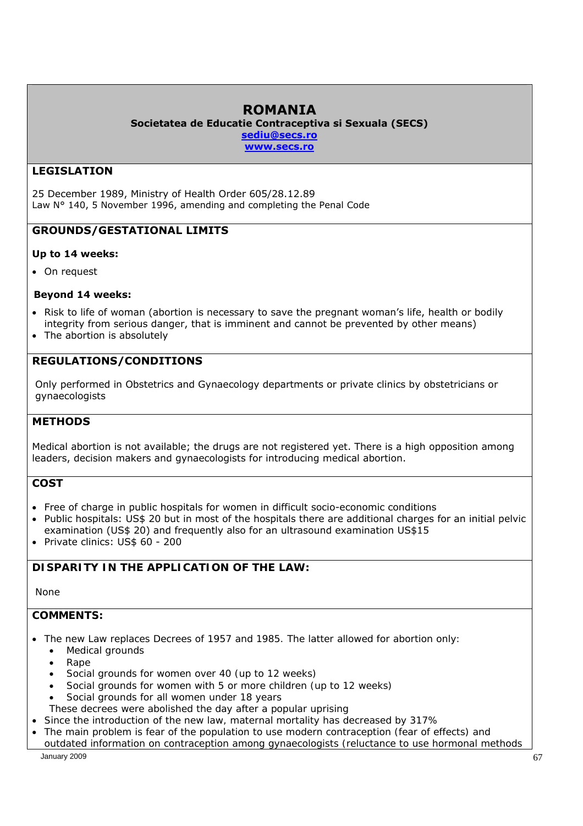# **ROMANIA**

**Societatea de Educatie Contraceptiva si Sexuala (SECS) sediu@secs.ro www.secs.ro**

# **LEGISLATION**

25 December 1989, Ministry of Health Order 605/28.12.89 Law N° 140, 5 November 1996, amending and completing the Penal Code

# **GROUNDS/GESTATIONAL LIMITS**

### **Up to 14 weeks:**

• On request

### **Beyond 14 weeks:**

- Risk to life of woman (abortion is necessary to save the pregnant woman's life, health or bodily integrity from serious danger, that is imminent and cannot be prevented by other means)
- The abortion is absolutely

# **REGULATIONS/CONDITIONS**

Only performed in Obstetrics and Gynaecology departments or private clinics by obstetricians or gynaecologists

### **METHODS**

Medical abortion is not available; the drugs are not registered yet. There is a high opposition among leaders, decision makers and gynaecologists for introducing medical abortion.

# **COST**

- Free of charge in public hospitals for women in difficult socio-economic conditions
- Public hospitals: US\$ 20 but in most of the hospitals there are additional charges for an initial pelvic examination (US\$ 20) and frequently also for an ultrasound examination US\$15
- Private clinics: US\$ 60 200

# *DISPARITY IN THE APPLICATION OF THE LAW:*

# *None*

- *The new Law replaces Decrees of 1957 and 1985. The latter allowed for abortion only: Medical grounds* 
	- *Rape*
	- *Social grounds for women over 40 (up to 12 weeks)*
	- *Social grounds for women with 5 or more children (up to 12 weeks)*
	- *Social grounds for all women under 18 years*
	- *These decrees were abolished the day after a popular uprising*
- *Since the introduction of the new law, maternal mortality has decreased by 317%*
- January 2009  $\hspace{1.5cm}67$  *The main problem is fear of the population to use modern contraception (fear of effects) and outdated information on contraception among gynaecologists (reluctance to use hormonal methods*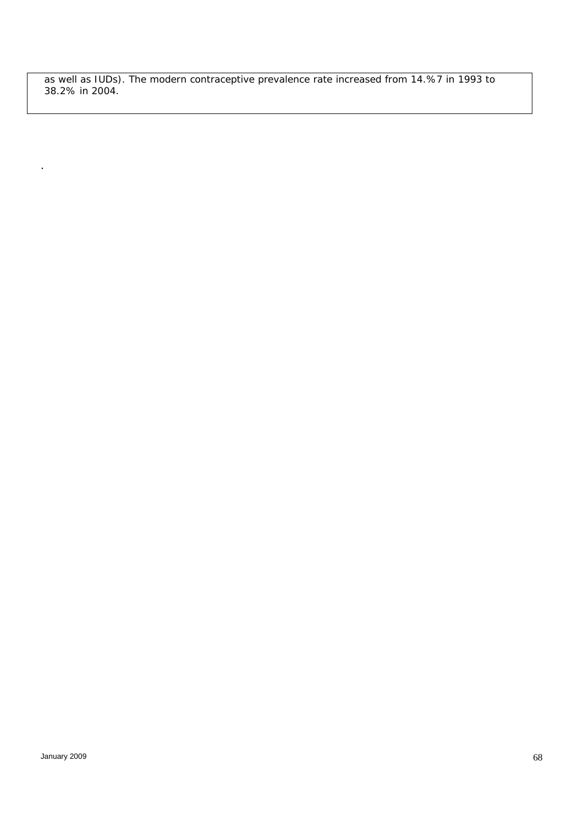*as well as IUDs). The modern contraceptive prevalence rate increased from 14.%7 in 1993 to 38.2% in 2004.* 

.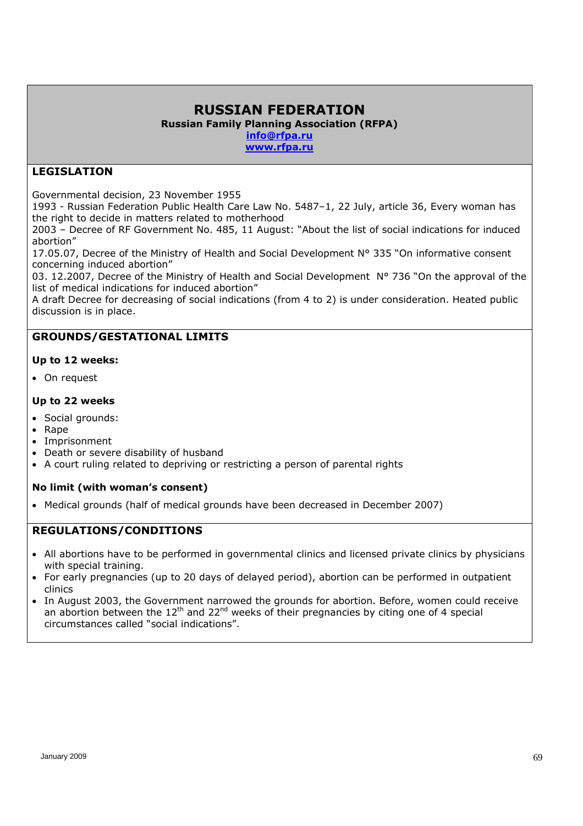# **RUSSIAN FEDERATION Russian Family Planning Association (RFPA) info@rfpa.ru**

**www.rfpa.ru** 

# **LEGISLATION**

Governmental decision, 23 November 1955

1993 - Russian Federation Public Health Care Law No. 5487–1, 22 July, article 36, Every woman has the right to decide in matters related to motherhood

2003 – Decree of RF Government No. 485, 11 August: "About the list of social indications for induced abortion"

17.05.07, Decree of the Ministry of Health and Social Development N° 335 "On informative consent concerning induced abortion"

03. 12.2007, Decree of the Ministry of Health and Social Development N° 736 "On the approval of the list of medical indications for induced abortion"

A draft Decree for decreasing of social indications (from 4 to 2) is under consideration. Heated public discussion is in place.

# **GROUNDS/GESTATIONAL LIMITS**

### **Up to 12 weeks:**

On request

### **Up to 22 weeks**

- Social grounds:
- Rape
- Imprisonment
- Death or severe disability of husband
- A court ruling related to depriving or restricting a person of parental rights

### **No limit (with woman's consent)**

• Medical grounds (half of medical grounds have been decreased in December 2007)

### **REGULATIONS/CONDITIONS**

- All abortions have to be performed in governmental clinics and licensed private clinics by physicians with special training.
- For early pregnancies (up to 20 days of delayed period), abortion can be performed in outpatient clinics
- In August 2003, the Government narrowed the grounds for abortion. Before, women could receive an abortion between the  $12<sup>th</sup>$  and  $22<sup>nd</sup>$  weeks of their pregnancies by citing one of 4 special circumstances called "social indications".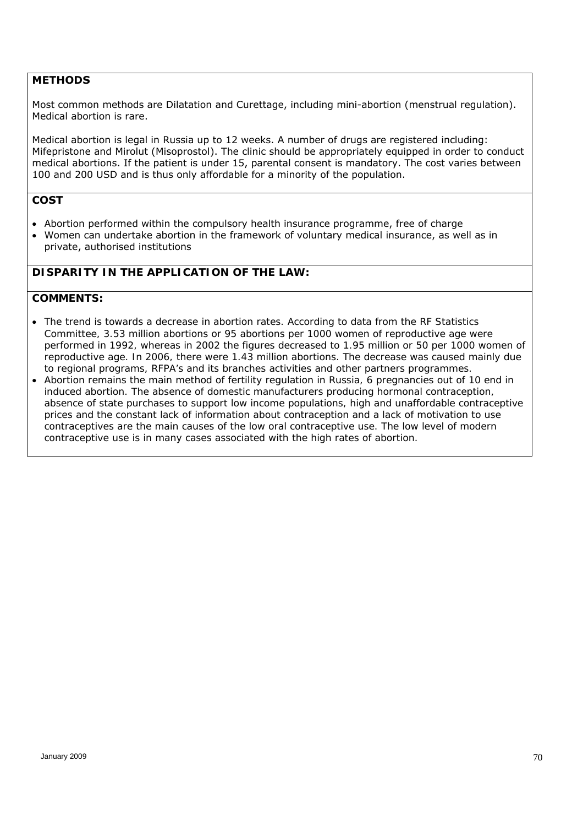### **METHODS**

Most common methods are Dilatation and Curettage, including mini-abortion (menstrual regulation). Medical abortion is rare.

Medical abortion is legal in Russia up to 12 weeks. A number of drugs are registered including: Mifepristone and Mirolut (Misoprostol). The clinic should be appropriately equipped in order to conduct medical abortions. If the patient is under 15, parental consent is mandatory. The cost varies between 100 and 200 USD and is thus only affordable for a minority of the population.

### **COST**

- Abortion performed within the compulsory health insurance programme, free of charge
- Women can undertake abortion in the framework of voluntary medical insurance, as well as in private, authorised institutions

### *DISPARITY IN THE APPLICATION OF THE LAW:*

- *The trend is towards a decrease in abortion rates. According to data from the RF Statistics Committee, 3.53 million abortions or 95 abortions per 1000 women of reproductive age were*  performed in 1992, whereas in 2002 the figures decreased to 1.95 million or 50 per 1000 women of *reproductive age. In 2006, there were 1.43 million abortions. The decrease was caused mainly due to regional programs, RFPA's and its branches activities and other partners programmes.*
- *Abortion remains the main method of fertility regulation in Russia, 6 pregnancies out of 10 end in induced abortion. The absence of domestic manufacturers producing hormonal contraception, absence of state purchases to support low income populations, high and unaffordable contraceptive prices and the constant lack of information about contraception and a lack of motivation to use contraceptives are the main causes of the low oral contraceptive use. The low level of modern contraceptive use is in many cases associated with the high rates of abortion.*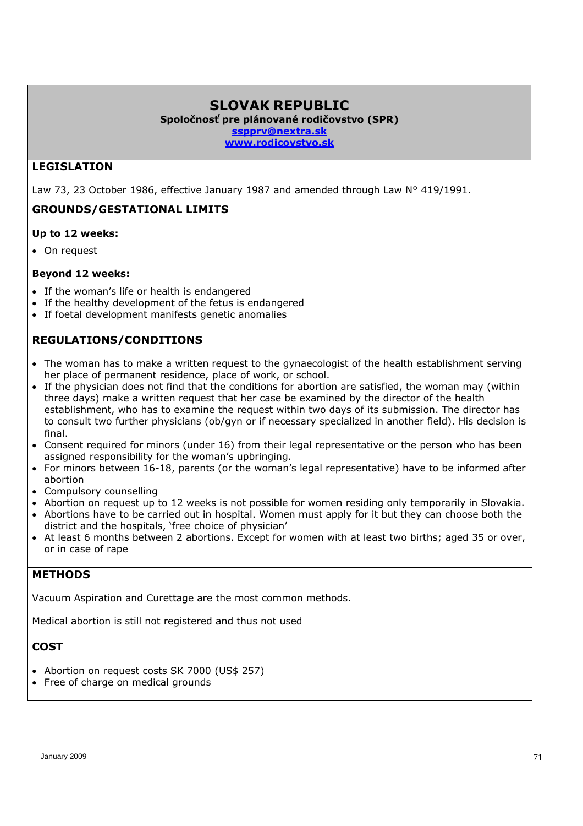# **SLOVAK REPUBLIC**

**Spoločnosť pre plánované rodičovstvo (SPR)** 

**sspprv@nextra.sk** 

**www.rodicovstvo.sk** 

### **LEGISLATION**

Law 73, 23 October 1986, effective January 1987 and amended through Law N° 419/1991.

### **GROUNDS/GESTATIONAL LIMITS**

### **Up to 12 weeks:**

On request

### **Beyond 12 weeks:**

- If the woman's life or health is endangered
- If the healthy development of the fetus is endangered
- If foetal development manifests genetic anomalies

# **REGULATIONS/CONDITIONS**

- The woman has to make a written request to the gynaecologist of the health establishment serving her place of permanent residence, place of work, or school.
- If the physician does not find that the conditions for abortion are satisfied, the woman may (within three days) make a written request that her case be examined by the director of the health establishment, who has to examine the request within two days of its submission. The director has to consult two further physicians (ob/gyn or if necessary specialized in another field). His decision is final.
- Consent required for minors (under 16) from their legal representative or the person who has been assigned responsibility for the woman's upbringing.
- For minors between 16-18, parents (or the woman's legal representative) have to be informed after abortion
- Compulsory counselling
- Abortion on request up to 12 weeks is not possible for women residing only temporarily in Slovakia.
- Abortions have to be carried out in hospital. Women must apply for it but they can choose both the district and the hospitals, 'free choice of physician'
- At least 6 months between 2 abortions. Except for women with at least two births; aged 35 or over, or in case of rape

# **METHODS**

Vacuum Aspiration and Curettage are the most common methods.

Medical abortion is still not registered and thus not used

### **COST**

- Abortion on request costs SK 7000 (US\$ 257)
- Free of charge on medical grounds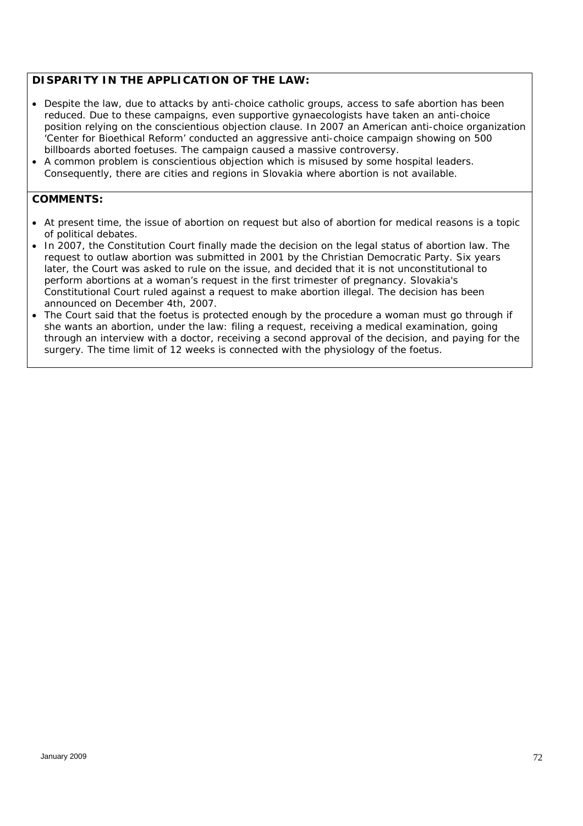### *DISPARITY IN THE APPLICATION OF THE LAW:*

- *Despite the law, due to attacks by anti-choice catholic groups, access to safe abortion has been reduced. Due to these campaigns, even supportive gynaecologists have taken an anti-choice position relying on the conscientious objection clause. In 2007 an American anti-choice organization 'Center for Bioethical Reform' conducted an aggressive anti-choice campaign showing on 500 billboards aborted foetuses. The campaign caused a massive controversy.*
- *A common problem is conscientious objection which is misused by some hospital leaders. Consequently, there are cities and regions in Slovakia where abortion is not available.*

- *At present time, the issue of abortion on request but also of abortion for medical reasons is a topic of political debates.*
- In 2007, the Constitution Court finally made the decision on the legal status of abortion law. The *request to outlaw abortion was submitted in 2001 by the Christian Democratic Party. Six years later, the Court was asked to rule on the issue, and decided that it is not unconstitutional to perform abortions at a woman's request in the first trimester of pregnancy. Slovakia's Constitutional Court ruled against a request to make abortion illegal. The decision has been announced on December 4th, 2007.*
- The Court said that the foetus is protected enough by the procedure a woman must go through if *she wants an abortion, under the law: filing a request, receiving a medical examination, going through an interview with a doctor, receiving a second approval of the decision, and paying for the surgery. The time limit of 12 weeks is connected with the physiology of the foetus.*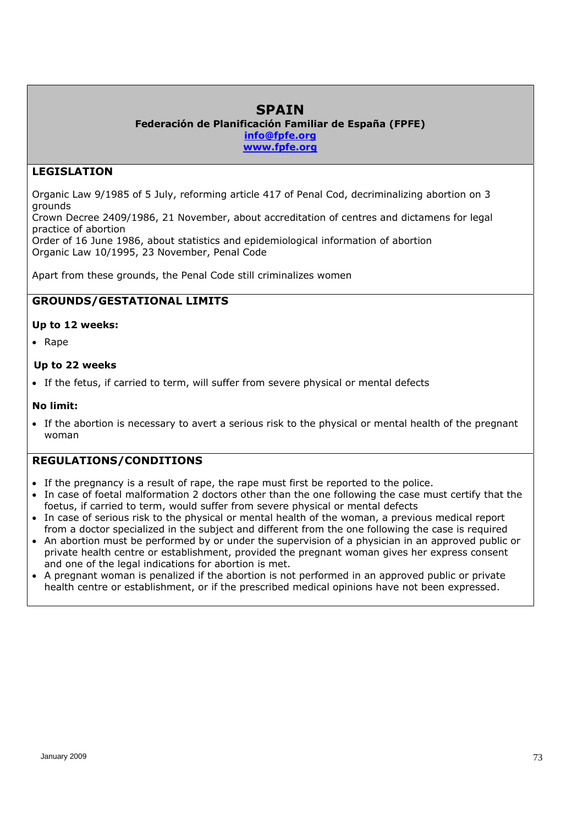# **SPAIN**

#### **Federación de Planificación Familiar de España (FPFE) info@fpfe.org**

**www.fpfe.org**

# **LEGISLATION**

Organic Law 9/1985 of 5 July, reforming article 417 of Penal Cod, decriminalizing abortion on 3 grounds

Crown Decree 2409/1986, 21 November, about accreditation of centres and dictamens for legal practice of abortion

Order of 16 June 1986, about statistics and epidemiological information of abortion Organic Law 10/1995, 23 November, Penal Code

Apart from these grounds, the Penal Code still criminalizes women

# **GROUNDS/GESTATIONAL LIMITS**

#### **Up to 12 weeks:**

• Rape

#### **Up to 22 weeks**

If the fetus, if carried to term, will suffer from severe physical or mental defects

#### **No limit:**

 If the abortion is necessary to avert a serious risk to the physical or mental health of the pregnant woman

#### **REGULATIONS/CONDITIONS**

- If the pregnancy is a result of rape, the rape must first be reported to the police.
- In case of foetal malformation 2 doctors other than the one following the case must certify that the foetus, if carried to term, would suffer from severe physical or mental defects
- In case of serious risk to the physical or mental health of the woman, a previous medical report from a doctor specialized in the subject and different from the one following the case is required
- An abortion must be performed by or under the supervision of a physician in an approved public or private health centre or establishment, provided the pregnant woman gives her express consent and one of the legal indications for abortion is met.
- A pregnant woman is penalized if the abortion is not performed in an approved public or private health centre or establishment, or if the prescribed medical opinions have not been expressed.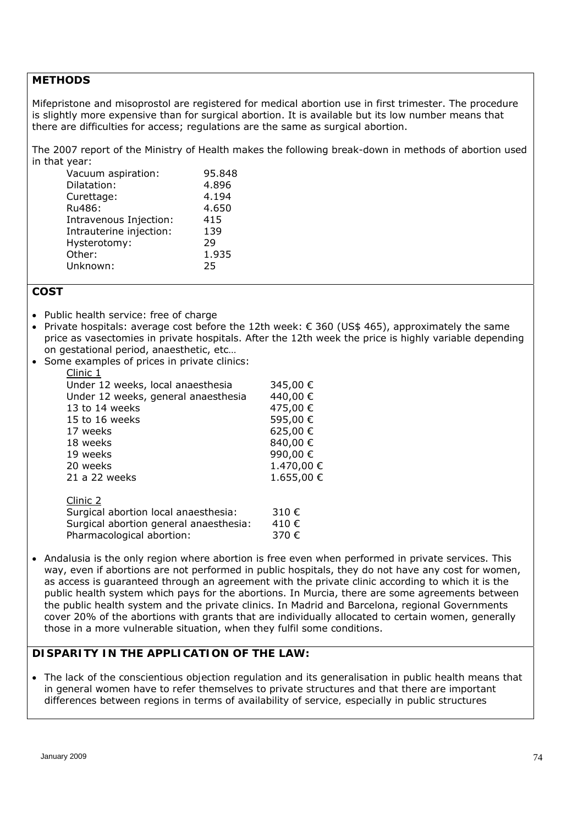#### **METHODS**

Mifepristone and misoprostol are registered for medical abortion use in first trimester. The procedure is slightly more expensive than for surgical abortion. It is available but its low number means that there are difficulties for access; regulations are the same as surgical abortion.

The 2007 report of the Ministry of Health makes the following break-down in methods of abortion used in that year:

| Vacuum aspiration:      | 95.848 |
|-------------------------|--------|
| Dilatation:             | 4.896  |
| Curettage:              | 4.194  |
| Ru486:                  | 4.650  |
| Intravenous Injection:  | 415    |
| Intrauterine injection: | 139    |
| Hysterotomy:            | 29     |
| Other:                  | 1.935  |
| Unknown:                | 25     |

#### **COST**

- Public health service: free of charge
- Private hospitals: average cost before the 12th week:  $\epsilon$  360 (US\$ 465), approximately the same price as vasectomies in private hospitals. After the 12th week the price is highly variable depending on gestational period, anaesthetic, etc…
- Some examples of prices in private clinics:

| Clinic 1                               |            |
|----------------------------------------|------------|
| Under 12 weeks, local anaesthesia      | 345,00 €   |
| Under 12 weeks, general anaesthesia    | 440,00 €   |
| 13 to 14 weeks                         | 475,00€    |
| 15 to 16 weeks                         | 595,00€    |
| 17 weeks                               | 625,00€    |
| 18 weeks                               | 840,00€    |
| 19 weeks                               | 990,00€    |
| 20 weeks                               | 1.470,00 € |
| 21 a 22 weeks                          | 1.655,00 € |
| Clinic 2                               |            |
| Surgical abortion local anaesthesia:   | 310€       |
| Surgical abortion general anaesthesia: | 410€       |

Pharmacological abortion: 370 €

• Andalusia is the only region where abortion is free even when performed in private services. This way, even if abortions are not performed in public hospitals, they do not have any cost for women, as access is guaranteed through an agreement with the private clinic according to which it is the public health system which pays for the abortions. In Murcia, there are some agreements between the public health system and the private clinics. In Madrid and Barcelona, regional Governments cover 20% of the abortions with grants that are individually allocated to certain women, generally those in a more vulnerable situation, when they fulfil some conditions.

#### *DISPARITY IN THE APPLICATION OF THE LAW:*

• The lack of the conscientious objection regulation and its generalisation in public health means that *in general women have to refer themselves to private structures and that there are important differences between regions in terms of availability of service, especially in public structures*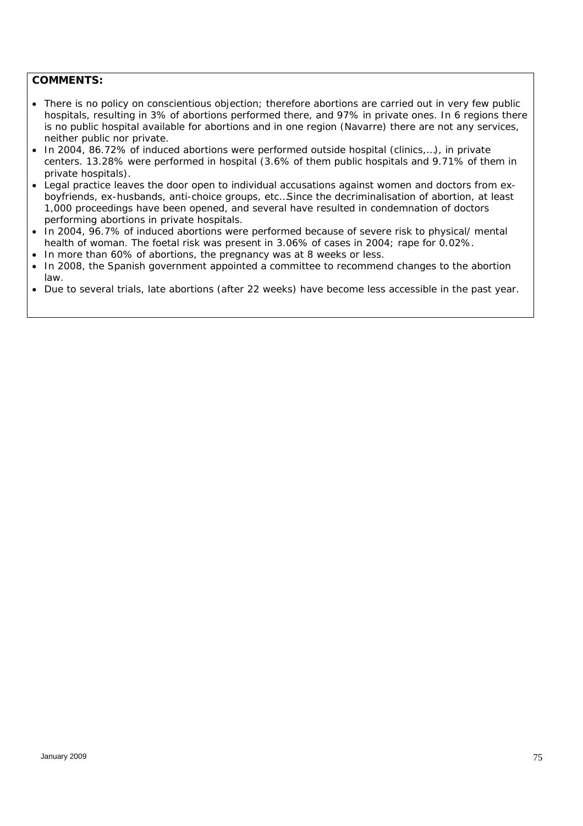- *There is no policy on conscientious objection; therefore abortions are carried out in very few public hospitals, resulting in 3% of abortions performed there, and 97% in private ones. In 6 regions there is no public hospital available for abortions and in one region (Navarre) there are not any services, neither public nor private.*
- *In 2004, 86.72% of induced abortions were performed outside hospital (clinics,…), in private centers. 13.28% were performed in hospital (3.6% of them public hospitals and 9.71% of them in private hospitals).*
- *Legal practice leaves the door open to individual accusations against women and doctors from exboyfriends, ex-husbands, anti-choice groups, etc…Since the decriminalisation of abortion, at least 1,000 proceedings have been opened, and several have resulted in condemnation of doctors performing abortions in private hospitals.*
- *In 2004, 96.7% of induced abortions were performed because of severe risk to physical/ mental health of woman. The foetal risk was present in 3.06% of cases in 2004; rape for 0.02%.*
- *In more than 60% of abortions, the pregnancy was at 8 weeks or less.*
- *In 2008, the Spanish government appointed a committee to recommend changes to the abortion law.*
- *Due to several trials, late abortions (after 22 weeks) have become less accessible in the past year.*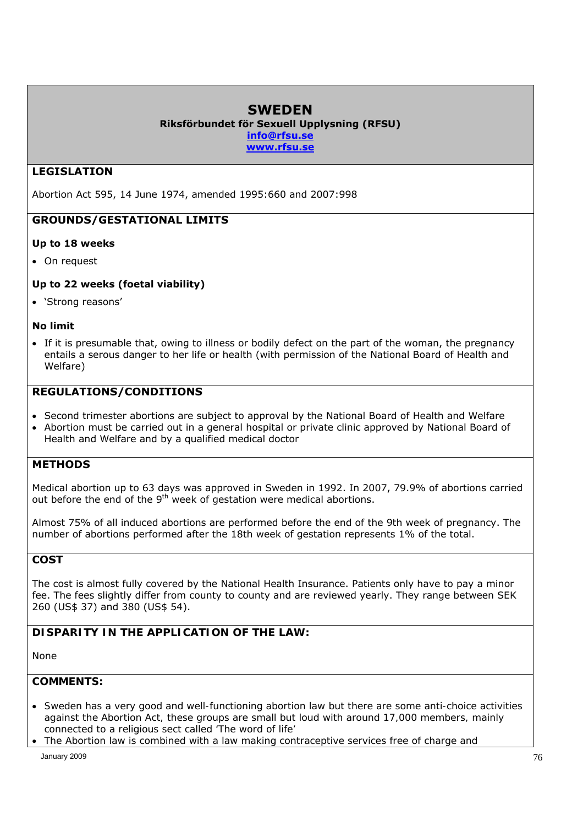# **SWEDEN**

**Riksförbundet för Sexuell Upplysning (RFSU)** 

**info@rfsu.se www.rfsu.se** 

# **LEGISLATION**

Abortion Act 595, 14 June 1974, amended 1995:660 and 2007:998

# **GROUNDS/GESTATIONAL LIMITS**

#### **Up to 18 weeks**

On request

#### **Up to 22 weeks (foetal viability)**

'Strong reasons'

#### **No limit**

 If it is presumable that, owing to illness or bodily defect on the part of the woman, the pregnancy entails a serous danger to her life or health (with permission of the National Board of Health and Welfare)

### **REGULATIONS/CONDITIONS**

- Second trimester abortions are subject to approval by the National Board of Health and Welfare
- Abortion must be carried out in a general hospital or private clinic approved by National Board of Health and Welfare and by a qualified medical doctor

#### **METHODS**

Medical abortion up to 63 days was approved in Sweden in 1992. In 2007, 79.9% of abortions carried out before the end of the 9<sup>th</sup> week of gestation were medical abortions.

Almost 75% of all induced abortions are performed before the end of the 9th week of pregnancy. The number of abortions performed after the 18th week of gestation represents 1% of the total.

### **COST**

The cost is almost fully covered by the National Health Insurance. Patients only have to pay a minor fee. The fees slightly differ from county to county and are reviewed yearly. They range between SEK 260 (US\$ 37) and 380 (US\$ 54).

# *DISPARITY IN THE APPLICATION OF THE LAW:*

*None*

- *Sweden has a very good and well-functioning abortion law but there are some anti-choice activities against the Abortion Act, these groups are small but loud with around 17,000 members, mainly connected to a religious sect called 'The word of life'*
- *The Abortion law is combined with a law making contraceptive services free of charge and*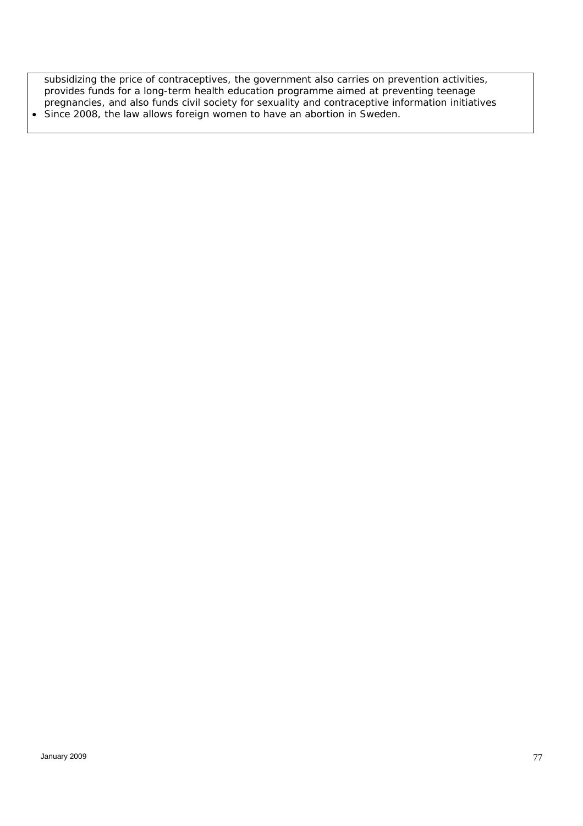*subsidizing the price of contraceptives, the government also carries on prevention activities, provides funds for a long-term health education programme aimed at preventing teenage pregnancies, and also funds civil society for sexuality and contraceptive information initiatives Since 2008, the law allows foreign women to have an abortion in Sweden.*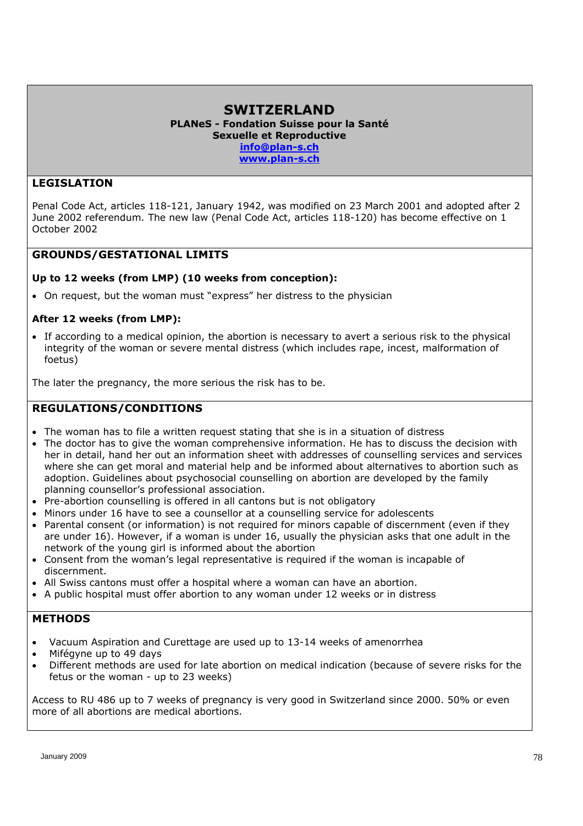#### **SWITZERLAND PLANeS - Fondation Suisse pour la Santé Sexuelle et Reproductive info@plan-s.ch www.plan-s.ch**

#### **LEGISLATION**

Penal Code Act, articles 118-121, January 1942, was modified on 23 March 2001 and adopted after 2 June 2002 referendum. The new law (Penal Code Act, articles 118-120) has become effective on 1 October 2002

### **GROUNDS/GESTATIONAL LIMITS**

#### **Up to 12 weeks (from LMP) (10 weeks from conception):**

On request, but the woman must "express" her distress to the physician

#### **After 12 weeks (from LMP):**

 If according to a medical opinion, the abortion is necessary to avert a serious risk to the physical integrity of the woman or severe mental distress (which includes rape, incest, malformation of foetus)

The later the pregnancy, the more serious the risk has to be.

#### **REGULATIONS/CONDITIONS**

- The woman has to file a written request stating that she is in a situation of distress
- The doctor has to give the woman comprehensive information. He has to discuss the decision with her in detail, hand her out an information sheet with addresses of counselling services and services where she can get moral and material help and be informed about alternatives to abortion such as adoption. Guidelines about psychosocial counselling on abortion are developed by the family planning counsellor's professional association.
- Pre-abortion counselling is offered in all cantons but is not obligatory
- Minors under 16 have to see a counsellor at a counselling service for adolescents
- Parental consent (or information) is not required for minors capable of discernment (even if they are under 16). However, if a woman is under 16, usually the physician asks that one adult in the network of the young girl is informed about the abortion
- Consent from the woman's legal representative is required if the woman is incapable of discernment.
- All Swiss cantons must offer a hospital where a woman can have an abortion.
- A public hospital must offer abortion to any woman under 12 weeks or in distress

#### **METHODS**

- Vacuum Aspiration and Curettage are used up to 13-14 weeks of amenorrhea
- Mifégyne up to 49 days
- Different methods are used for late abortion on medical indication (because of severe risks for the fetus or the woman - up to 23 weeks)

Access to RU 486 up to 7 weeks of pregnancy is very good in Switzerland since 2000. 50% or even more of all abortions are medical abortions.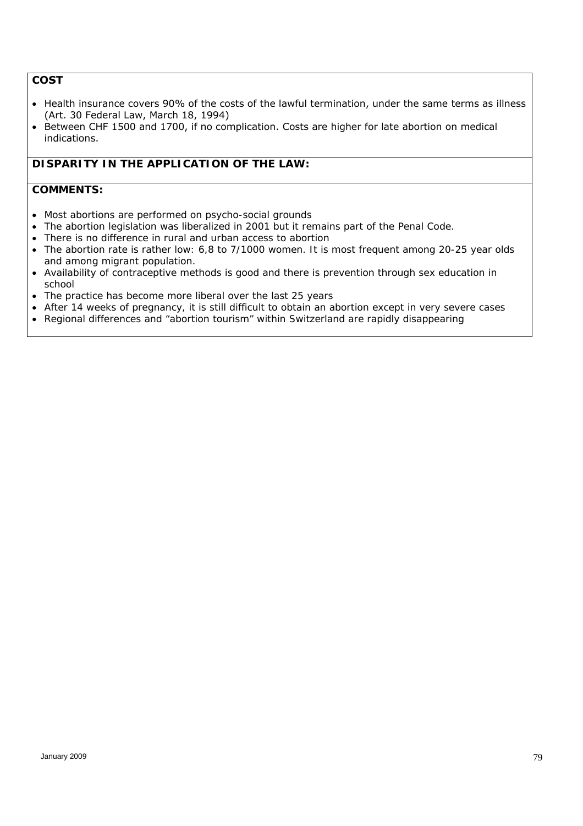## **COST**

- Health insurance covers 90% of the costs of the lawful termination, under the same terms as illness (Art. 30 Federal Law, March 18, 1994)
- Between CHF 1500 and 1700, if no complication. Costs are higher for late abortion on medical indications.

#### *DISPARITY IN THE APPLICATION OF THE LAW:*

- *Most abortions are performed on psycho-social grounds*
- *The abortion legislation was liberalized in 2001 but it remains part of the Penal Code.*
- *There is no difference in rural and urban access to abortion*
- *The abortion rate is rather low: 6,8 to 7/1000 women. It is most frequent among 20-25 year olds and among migrant population.*
- *Availability of contraceptive methods is good and there is prevention through sex education in school*
- *The practice has become more liberal over the last 25 years*
- *After 14 weeks of pregnancy, it is still difficult to obtain an abortion except in very severe cases*
- *Regional differences and "abortion tourism" within Switzerland are rapidly disappearing*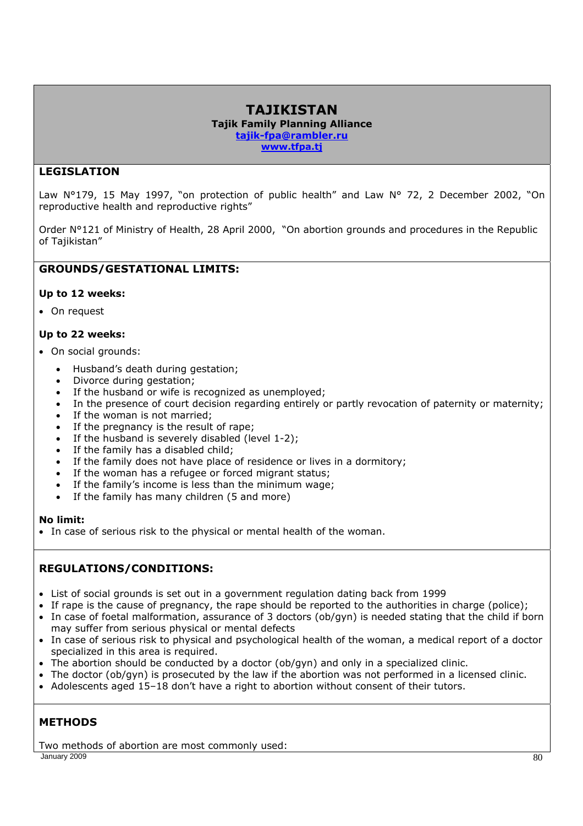### **TAJIKISTAN Tajik Family Planning Alliance tajik-fpa@rambler.ru www.tfpa.tj**

# **LEGISLATION**

Law N°179, 15 May 1997, "on protection of public health" and Law N° 72, 2 December 2002, "On reproductive health and reproductive rights"

Order N°121 of Ministry of Health, 28 April 2000, "On abortion grounds and procedures in the Republic of Tajikistan"

# **GROUNDS/GESTATIONAL LIMITS:**

#### **Up to 12 weeks:**

On request

#### **Up to 22 weeks:**

- On social grounds:
	- Husband's death during gestation;
	- Divorce during gestation;
	- If the husband or wife is recognized as unemployed;
	- In the presence of court decision regarding entirely or partly revocation of paternity or maternity;
	- If the woman is not married;
	- If the pregnancy is the result of rape;
	- If the husband is severely disabled (level 1-2);
	- If the family has a disabled child;
	- If the family does not have place of residence or lives in a dormitory;
	- If the woman has a refugee or forced migrant status;
	- If the family's income is less than the minimum wage;
	- If the family has many children (5 and more)

#### **No limit:**

In case of serious risk to the physical or mental health of the woman.

# **REGULATIONS/CONDITIONS:**

- List of social grounds is set out in a government regulation dating back from 1999
- If rape is the cause of pregnancy, the rape should be reported to the authorities in charge (police);
- In case of foetal malformation, assurance of 3 doctors (ob/gyn) is needed stating that the child if born may suffer from serious physical or mental defects
- In case of serious risk to physical and psychological health of the woman, a medical report of a doctor specialized in this area is required.
- The abortion should be conducted by a doctor (ob/gyn) and only in a specialized clinic.
- The doctor (ob/gyn) is prosecuted by the law if the abortion was not performed in a licensed clinic.
- Adolescents aged 15-18 don't have a right to abortion without consent of their tutors.

# **METHODS**

January 2009 80 Two methods of abortion are most commonly used: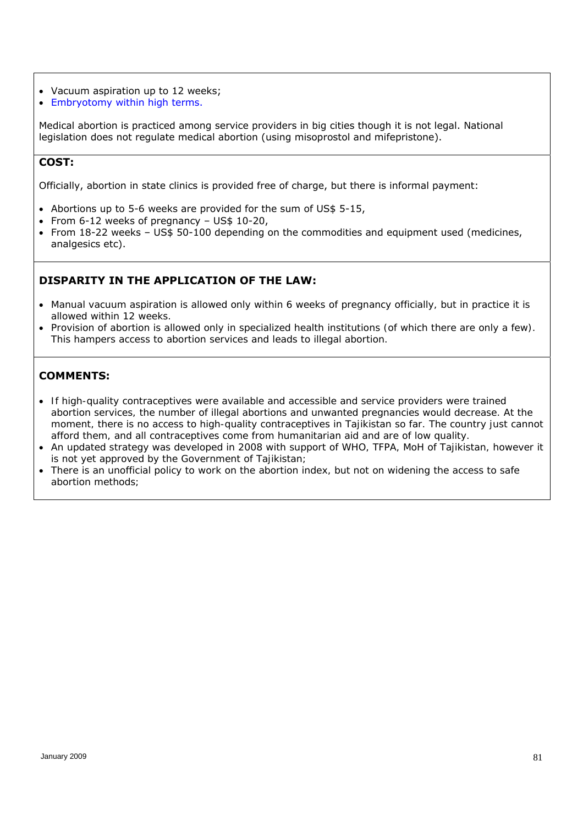- Vacuum aspiration up to 12 weeks;
- Embryotomy within high terms.

Medical abortion is practiced among service providers in big cities though it is not legal. National legislation does not regulate medical abortion (using misoprostol and mifepristone).

#### **COST:**

Officially, abortion in state clinics is provided free of charge, but there is informal payment:

- Abortions up to 5-6 weeks are provided for the sum of US\$ 5-15,
- From 6-12 weeks of pregnancy US\$ 10-20,
- From 18-22 weeks US\$ 50-100 depending on the commodities and equipment used (medicines, analgesics etc).

## **DISPARITY IN THE APPLICATION OF THE LAW:**

- *Manual vacuum aspiration is allowed only within 6 weeks of pregnancy officially, but in practice it is allowed within 12 weeks.*
- *Provision of abortion is allowed only in specialized health institutions (of which there are only a few). This hampers access to abortion services and leads to illegal abortion.*

- *If high-quality contraceptives were available and accessible and service providers were trained abortion services, the number of illegal abortions and unwanted pregnancies would decrease. At the moment, there is no access to high-quality contraceptives in Tajikistan so far. The country just cannot afford them, and all contraceptives come from humanitarian aid and are of low quality.*
- *An updated strategy was developed in 2008 with support of WHO, TFPA, MoH of Tajikistan, however it is not yet approved by the Government of Tajikistan;*
- *There is an unofficial policy to work on the abortion index, but not on widening the access to safe abortion methods;*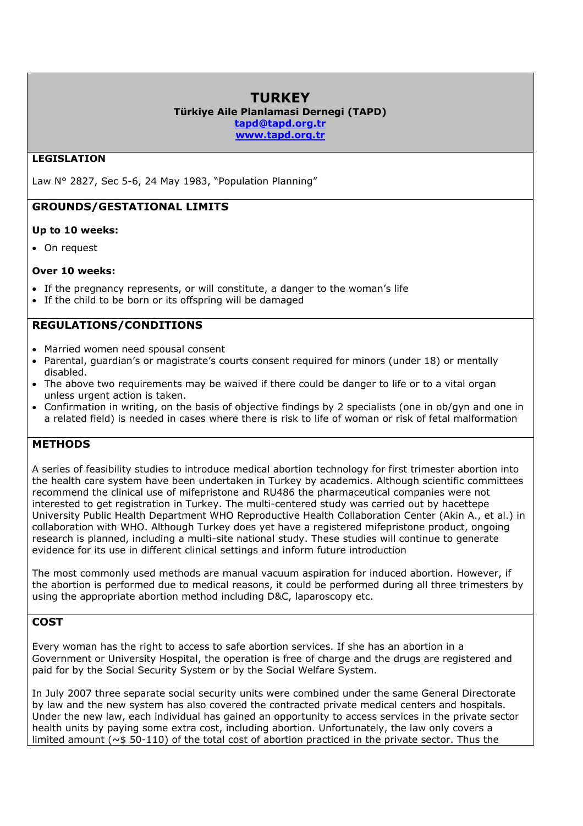# **TURKEY**

#### **Türkiye Aile Planlamasi Dernegi (TAPD)**

**tapd@tapd.org.tr**

**www.tapd.org.tr**

#### **LEGISLATION**

Law N° 2827, Sec 5-6, 24 May 1983, "Population Planning"

# **GROUNDS/GESTATIONAL LIMITS**

#### **Up to 10 weeks:**

• On request

#### **Over 10 weeks:**

- If the pregnancy represents, or will constitute, a danger to the woman's life
- If the child to be born or its offspring will be damaged

# **REGULATIONS/CONDITIONS**

- Married women need spousal consent
- Parental, guardian's or magistrate's courts consent required for minors (under 18) or mentally disabled.
- The above two requirements may be waived if there could be danger to life or to a vital organ unless urgent action is taken.
- Confirmation in writing, on the basis of objective findings by 2 specialists (one in ob/gyn and one in a related field) is needed in cases where there is risk to life of woman or risk of fetal malformation

# **METHODS**

A series of feasibility studies to introduce medical abortion technology for first trimester abortion into the health care system have been undertaken in Turkey by academics. Although scientific committees recommend the clinical use of mifepristone and RU486 the pharmaceutical companies were not interested to get registration in Turkey. The multi-centered study was carried out by hacettepe University Public Health Department WHO Reproductive Health Collaboration Center (Akin A., et al.) in collaboration with WHO. Although Turkey does yet have a registered mifepristone product, ongoing research is planned, including a multi-site national study. These studies will continue to generate evidence for its use in different clinical settings and inform future introduction

The most commonly used methods are manual vacuum aspiration for induced abortion. However, if the abortion is performed due to medical reasons, it could be performed during all three trimesters by using the appropriate abortion method including D&C, laparoscopy etc.

# **COST**

Every woman has the right to access to safe abortion services. If she has an abortion in a Government or University Hospital, the operation is free of charge and the drugs are registered and paid for by the Social Security System or by the Social Welfare System.

In July 2007 three separate social security units were combined under the same General Directorate by law and the new system has also covered the contracted private medical centers and hospitals. Under the new law, each individual has gained an opportunity to access services in the private sector health units by paying some extra cost, including abortion. Unfortunately, the law only covers a limited amount (~\$ 50-110) of the total cost of abortion practiced in the private sector. Thus the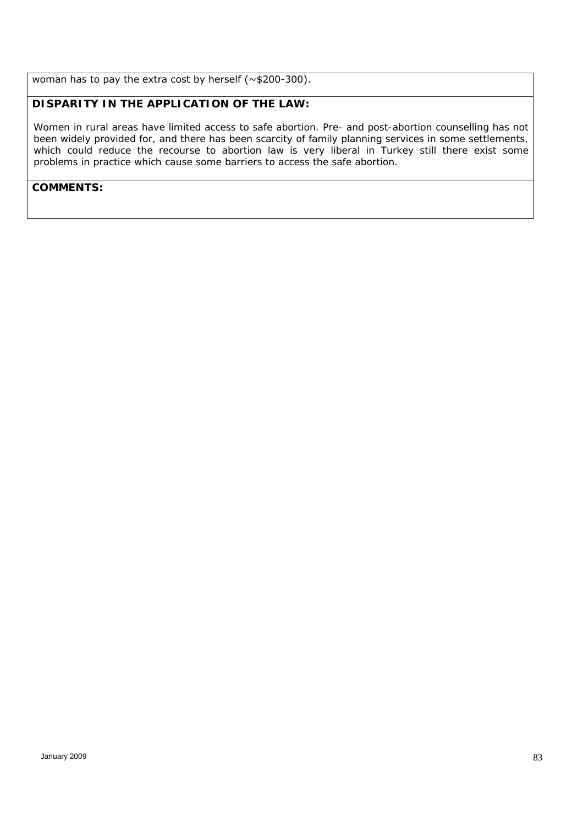woman has to pay the extra cost by herself (~\$200-300).

# *DISPARITY IN THE APPLICATION OF THE LAW:*

*Women in rural areas have limited access to safe abortion. Pre- and post-abortion counselling has not been widely provided for, and there has been scarcity of family planning services in some settlements, which could reduce the recourse to abortion law is very liberal in Turkey still there exist some problems in practice which cause some barriers to access the safe abortion.*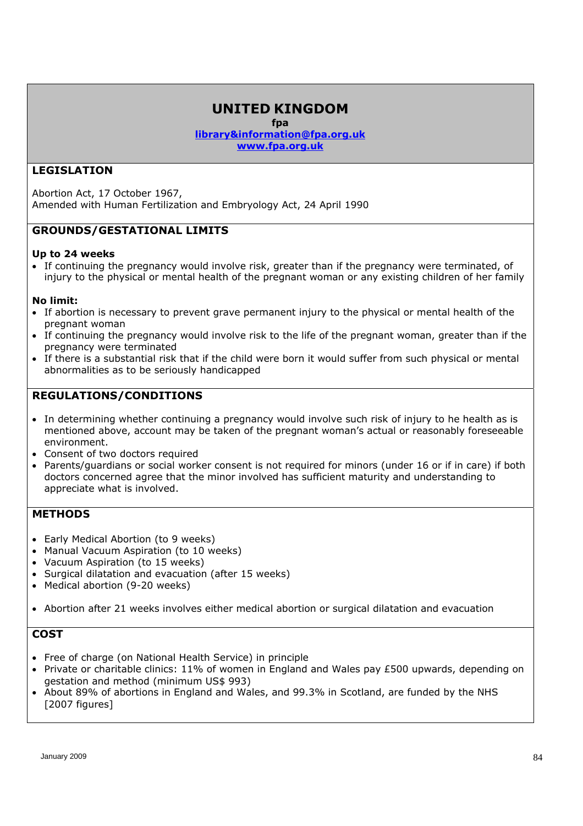# **UNITED KINGDOM**

**fpa** 

**library&information@fpa.org.uk www.fpa.org.uk** 

## **LEGISLATION**

Abortion Act, 17 October 1967, Amended with Human Fertilization and Embryology Act, 24 April 1990

# **GROUNDS/GESTATIONAL LIMITS**

#### **Up to 24 weeks**

 If continuing the pregnancy would involve risk, greater than if the pregnancy were terminated, of injury to the physical or mental health of the pregnant woman or any existing children of her family

#### **No limit:**

- If abortion is necessary to prevent grave permanent injury to the physical or mental health of the pregnant woman
- If continuing the pregnancy would involve risk to the life of the pregnant woman, greater than if the pregnancy were terminated
- If there is a substantial risk that if the child were born it would suffer from such physical or mental abnormalities as to be seriously handicapped

# **REGULATIONS/CONDITIONS**

- In determining whether continuing a pregnancy would involve such risk of injury to he health as is mentioned above, account may be taken of the pregnant woman's actual or reasonably foreseeable environment.
- Consent of two doctors required
- Parents/guardians or social worker consent is not required for minors (under 16 or if in care) if both doctors concerned agree that the minor involved has sufficient maturity and understanding to appreciate what is involved.

#### *METHODS*

- Early Medical Abortion (to 9 weeks)
- Manual Vacuum Aspiration (to 10 weeks)
- Vacuum Aspiration (to 15 weeks)
- Surgical dilatation and evacuation (after 15 weeks)
- Medical abortion (9-20 weeks)
- Abortion after 21 weeks involves either medical abortion or surgical dilatation and evacuation

# **COST**

- Free of charge (on National Health Service) in principle
- Private or charitable clinics: 11% of women in England and Wales pay £500 upwards, depending on gestation and method (minimum US\$ 993)
- About 89% of abortions in England and Wales, and 99.3% in Scotland, are funded by the NHS [2007 figures]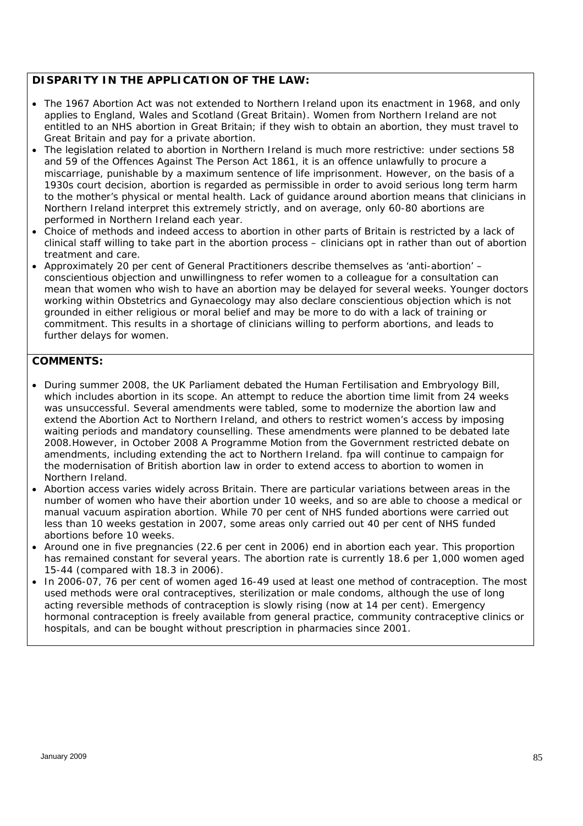#### *DISPARITY IN THE APPLICATION OF THE LAW:*

- *The 1967 Abortion Act was not extended to Northern Ireland upon its enactment in 1968, and only applies to England, Wales and Scotland (Great Britain). Women from Northern Ireland are not entitled to an NHS abortion in Great Britain; if they wish to obtain an abortion, they must travel to Great Britain and pay for a private abortion.*
- *The legislation related to abortion in Northern Ireland is much more restrictive: under sections 58 and 59 of the Offences Against The Person Act 1861, it is an offence unlawfully to procure a miscarriage, punishable by a maximum sentence of life imprisonment. However, on the basis of a 1930s court decision, abortion is regarded as permissible in order to avoid serious long term harm to the mother's physical or mental health. Lack of guidance around abortion means that clinicians in Northern Ireland interpret this extremely strictly, and on average, only 60-80 abortions are performed in Northern Ireland each year.*
- *Choice of methods and indeed access to abortion in other parts of Britain is restricted by a lack of clinical staff willing to take part in the abortion process – clinicians opt in rather than out of abortion treatment and care.*
- *Approximately 20 per cent of General Practitioners describe themselves as 'anti-abortion' conscientious objection and unwillingness to refer women to a colleague for a consultation can mean that women who wish to have an abortion may be delayed for several weeks. Younger doctors working within Obstetrics and Gynaecology may also declare conscientious objection which is not grounded in either religious or moral belief and may be more to do with a lack of training or commitment. This results in a shortage of clinicians willing to perform abortions, and leads to further delays for women.*

- *During summer 2008, the UK Parliament debated the Human Fertilisation and Embryology Bill, which includes abortion in its scope. An attempt to reduce the abortion time limit from 24 weeks was unsuccessful. Several amendments were tabled, some to modernize the abortion law and extend the Abortion Act to Northern Ireland, and others to restrict women's access by imposing waiting periods and mandatory counselling. These amendments were planned to be debated late 2008.However, in October 2008 A Programme Motion from the Government restricted debate on amendments, including extending the act to Northern Ireland. fpa will continue to campaign for the modernisation of British abortion law in order to extend access to abortion to women in Northern Ireland.*
- *Abortion access varies widely across Britain. There are particular variations between areas in the number of women who have their abortion under 10 weeks, and so are able to choose a medical or manual vacuum aspiration abortion. While 70 per cent of NHS funded abortions were carried out less than 10 weeks gestation in 2007, some areas only carried out 40 per cent of NHS funded abortions before 10 weeks.*
- *Around one in five pregnancies (22.6 per cent in 2006) end in abortion each year. This proportion has remained constant for several years. The abortion rate is currently 18.6 per 1,000 women aged 15-44 (compared with 18.3 in 2006).*
- In 2006-07, 76 per cent of women aged 16-49 used at least one method of contraception. The most *used methods were oral contraceptives, sterilization or male condoms, although the use of long acting reversible methods of contraception is slowly rising (now at 14 per cent). Emergency hormonal contraception is freely available from general practice, community contraceptive clinics or hospitals, and can be bought without prescription in pharmacies since 2001.*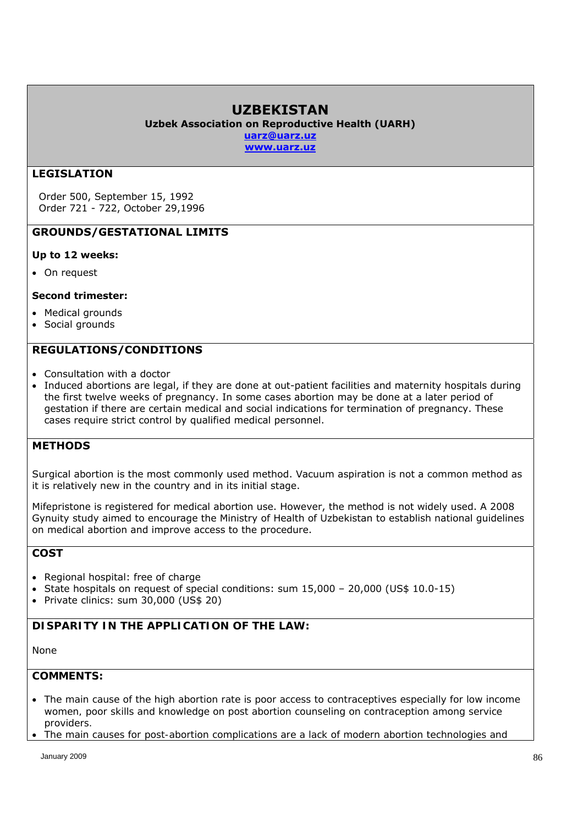# **UZBEKISTAN**

**Uzbek Association on Reproductive Health (UARH)** 

**uarz@uarz.uz www.uarz.uz**

## **LEGISLATION**

Order 500, September 15, 1992 Order 721 - 722, October 29,1996

## **GROUNDS/GESTATIONAL LIMITS**

#### **Up to 12 weeks:**

On request

#### **Second trimester:**

- Medical grounds
- Social grounds

# **REGULATIONS/CONDITIONS**

- Consultation with a doctor
- Induced abortions are legal, if they are done at out-patient facilities and maternity hospitals during the first twelve weeks of pregnancy. In some cases abortion may be done at a later period of gestation if there are certain medical and social indications for termination of pregnancy. These cases require strict control by qualified medical personnel.

# **METHODS**

Surgical abortion is the most commonly used method. Vacuum aspiration is not a common method as it is relatively new in the country and in its initial stage.

Mifepristone is registered for medical abortion use. However, the method is not widely used. A 2008 Gynuity study aimed to encourage the Ministry of Health of Uzbekistan to establish national guidelines on medical abortion and improve access to the procedure.

#### **COST**

- Regional hospital: free of charge
- State hospitals on request of special conditions: sum  $15,000 20,000$  (US\$  $10.0-15$ )
- Private clinics: sum 30,000 (US\$ 20)

#### *DISPARITY IN THE APPLICATION OF THE LAW:*

*None* 

- *The main cause of the high abortion rate is poor access to contraceptives especially for low income women, poor skills and knowledge on post abortion counseling on contraception among service providers.*
- *The main causes for post-abortion complications are a lack of modern abortion technologies and*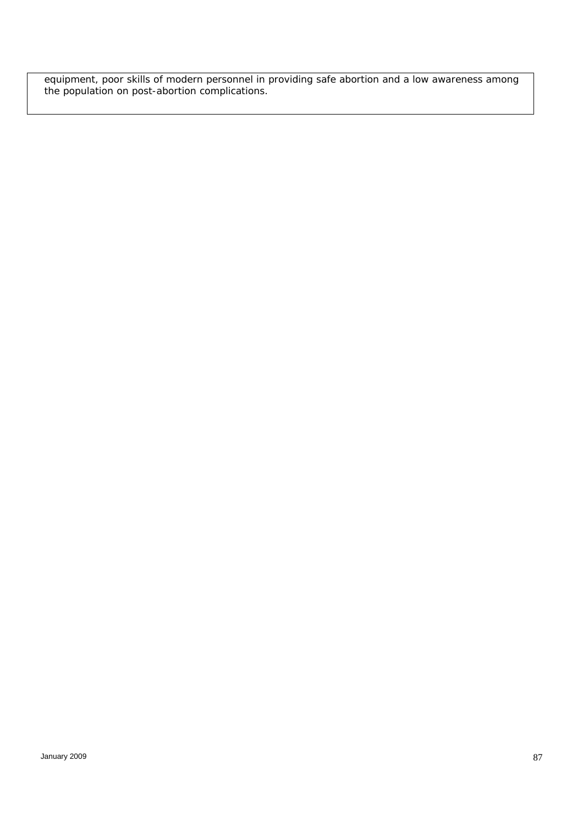equipment, poor skills of modern personnel in providing safe abortion and a low awareness among *the population on post-abortion complications.*